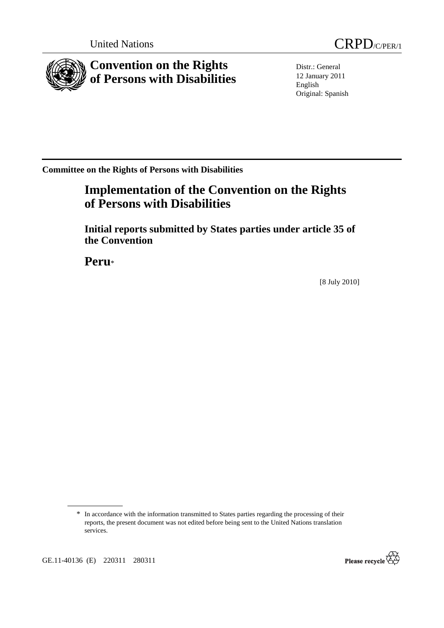

Distr.: General 12 January 2011 English Original: Spanish

**Committee on the Rights of Persons with Disabilities** 

# **Implementation of the Convention on the Rights of Persons with Disabilities**

 **Initial reports submitted by States parties under article 35 of the Convention** 

 **Peru**\*

[8 July 2010]



<sup>\*</sup> In accordance with the information transmitted to States parties regarding the processing of their reports, the present document was not edited before being sent to the United Nations translation services.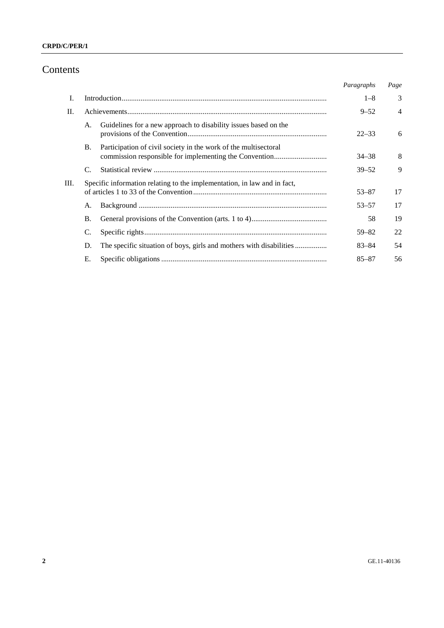# Contents

|         |           |                                                                          | Paragraphs | Page           |
|---------|-----------|--------------------------------------------------------------------------|------------|----------------|
| I.      |           |                                                                          | $1 - 8$    | 3              |
| $\Pi$ . |           |                                                                          | $9 - 52$   | $\overline{4}$ |
|         | А.        | Guidelines for a new approach to disability issues based on the          | $22 - 33$  | 6              |
|         | В.        | Participation of civil society in the work of the multisectoral          | $34 - 38$  | 8              |
|         |           |                                                                          | $39 - 52$  | 9              |
| Ш.      |           | Specific information relating to the implementation, in law and in fact, | $53 - 87$  | 17             |
|         | A.        |                                                                          | $53 - 57$  | 17             |
|         | <b>B.</b> |                                                                          | 58         | 19             |
|         | C.        |                                                                          | $59 - 82$  | 22             |
|         | D.        |                                                                          | $83 - 84$  | 54             |
|         | Е.        |                                                                          | $85 - 87$  | 56             |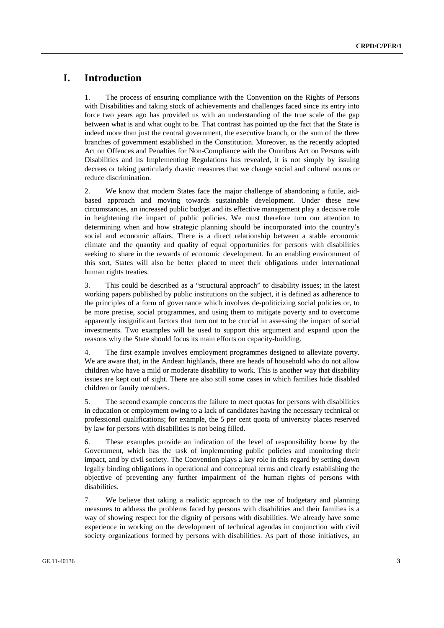# **I. Introduction**

1. The process of ensuring compliance with the Convention on the Rights of Persons with Disabilities and taking stock of achievements and challenges faced since its entry into force two years ago has provided us with an understanding of the true scale of the gap between what is and what ought to be. That contrast has pointed up the fact that the State is indeed more than just the central government, the executive branch, or the sum of the three branches of government established in the Constitution. Moreover, as the recently adopted Act on Offences and Penalties for Non-Compliance with the Omnibus Act on Persons with Disabilities and its Implementing Regulations has revealed, it is not simply by issuing decrees or taking particularly drastic measures that we change social and cultural norms or reduce discrimination.

2. We know that modern States face the major challenge of abandoning a futile, aidbased approach and moving towards sustainable development. Under these new circumstances, an increased public budget and its effective management play a decisive role in heightening the impact of public policies. We must therefore turn our attention to determining when and how strategic planning should be incorporated into the country's social and economic affairs. There is a direct relationship between a stable economic climate and the quantity and quality of equal opportunities for persons with disabilities seeking to share in the rewards of economic development. In an enabling environment of this sort, States will also be better placed to meet their obligations under international human rights treaties.

3. This could be described as a "structural approach" to disability issues; in the latest working papers published by public institutions on the subject, it is defined as adherence to the principles of a form of governance which involves de-politicizing social policies or, to be more precise, social programmes, and using them to mitigate poverty and to overcome apparently insignificant factors that turn out to be crucial in assessing the impact of social investments. Two examples will be used to support this argument and expand upon the reasons why the State should focus its main efforts on capacity-building.

4. The first example involves employment programmes designed to alleviate poverty. We are aware that, in the Andean highlands, there are heads of household who do not allow children who have a mild or moderate disability to work. This is another way that disability issues are kept out of sight. There are also still some cases in which families hide disabled children or family members.

5. The second example concerns the failure to meet quotas for persons with disabilities in education or employment owing to a lack of candidates having the necessary technical or professional qualifications; for example, the 5 per cent quota of university places reserved by law for persons with disabilities is not being filled.

6. These examples provide an indication of the level of responsibility borne by the Government, which has the task of implementing public policies and monitoring their impact, and by civil society. The Convention plays a key role in this regard by setting down legally binding obligations in operational and conceptual terms and clearly establishing the objective of preventing any further impairment of the human rights of persons with disabilities.

7. We believe that taking a realistic approach to the use of budgetary and planning measures to address the problems faced by persons with disabilities and their families is a way of showing respect for the dignity of persons with disabilities. We already have some experience in working on the development of technical agendas in conjunction with civil society organizations formed by persons with disabilities. As part of those initiatives, an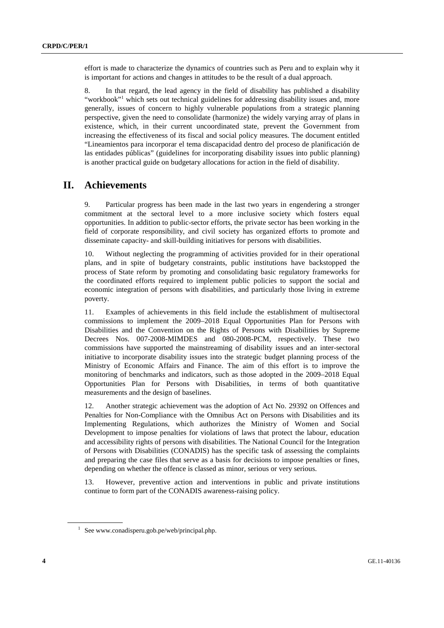effort is made to characterize the dynamics of countries such as Peru and to explain why it is important for actions and changes in attitudes to be the result of a dual approach.

8. In that regard, the lead agency in the field of disability has published a disability "workbook"<sup>1</sup> which sets out technical guidelines for addressing disability issues and, more generally, issues of concern to highly vulnerable populations from a strategic planning perspective, given the need to consolidate (harmonize) the widely varying array of plans in existence, which, in their current uncoordinated state, prevent the Government from increasing the effectiveness of its fiscal and social policy measures. The document entitled "Lineamientos para incorporar el tema discapacidad dentro del proceso de planificación de las entidades públicas" (guidelines for incorporating disability issues into public planning) is another practical guide on budgetary allocations for action in the field of disability.

# **II. Achievements**

9. Particular progress has been made in the last two years in engendering a stronger commitment at the sectoral level to a more inclusive society which fosters equal opportunities. In addition to public-sector efforts, the private sector has been working in the field of corporate responsibility, and civil society has organized efforts to promote and disseminate capacity- and skill-building initiatives for persons with disabilities.

10. Without neglecting the programming of activities provided for in their operational plans, and in spite of budgetary constraints, public institutions have backstopped the process of State reform by promoting and consolidating basic regulatory frameworks for the coordinated efforts required to implement public policies to support the social and economic integration of persons with disabilities, and particularly those living in extreme poverty.

11. Examples of achievements in this field include the establishment of multisectoral commissions to implement the 2009–2018 Equal Opportunities Plan for Persons with Disabilities and the Convention on the Rights of Persons with Disabilities by Supreme Decrees Nos. 007-2008-MIMDES and 080-2008-PCM, respectively. These two commissions have supported the mainstreaming of disability issues and an inter-sectoral initiative to incorporate disability issues into the strategic budget planning process of the Ministry of Economic Affairs and Finance. The aim of this effort is to improve the monitoring of benchmarks and indicators, such as those adopted in the 2009–2018 Equal Opportunities Plan for Persons with Disabilities, in terms of both quantitative measurements and the design of baselines.

12. Another strategic achievement was the adoption of Act No. 29392 on Offences and Penalties for Non-Compliance with the Omnibus Act on Persons with Disabilities and its Implementing Regulations, which authorizes the Ministry of Women and Social Development to impose penalties for violations of laws that protect the labour, education and accessibility rights of persons with disabilities. The National Council for the Integration of Persons with Disabilities (CONADIS) has the specific task of assessing the complaints and preparing the case files that serve as a basis for decisions to impose penalties or fines, depending on whether the offence is classed as minor, serious or very serious.

13. However, preventive action and interventions in public and private institutions continue to form part of the CONADIS awareness-raising policy.

<sup>1</sup> See www.conadisperu.gob.pe/web/principal.php.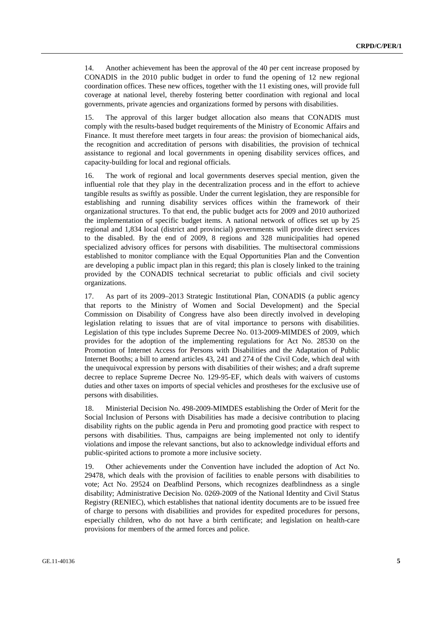14. Another achievement has been the approval of the 40 per cent increase proposed by CONADIS in the 2010 public budget in order to fund the opening of 12 new regional coordination offices. These new offices, together with the 11 existing ones, will provide full coverage at national level, thereby fostering better coordination with regional and local governments, private agencies and organizations formed by persons with disabilities.

15. The approval of this larger budget allocation also means that CONADIS must comply with the results-based budget requirements of the Ministry of Economic Affairs and Finance. It must therefore meet targets in four areas: the provision of biomechanical aids, the recognition and accreditation of persons with disabilities, the provision of technical assistance to regional and local governments in opening disability services offices, and capacity-building for local and regional officials.

16. The work of regional and local governments deserves special mention, given the influential role that they play in the decentralization process and in the effort to achieve tangible results as swiftly as possible. Under the current legislation, they are responsible for establishing and running disability services offices within the framework of their organizational structures. To that end, the public budget acts for 2009 and 2010 authorized the implementation of specific budget items. A national network of offices set up by 25 regional and 1,834 local (district and provincial) governments will provide direct services to the disabled. By the end of 2009, 8 regions and 328 municipalities had opened specialized advisory offices for persons with disabilities. The multisectoral commissions established to monitor compliance with the Equal Opportunities Plan and the Convention are developing a public impact plan in this regard; this plan is closely linked to the training provided by the CONADIS technical secretariat to public officials and civil society organizations.

17. As part of its 2009–2013 Strategic Institutional Plan, CONADIS (a public agency that reports to the Ministry of Women and Social Development) and the Special Commission on Disability of Congress have also been directly involved in developing legislation relating to issues that are of vital importance to persons with disabilities. Legislation of this type includes Supreme Decree No. 013-2009-MIMDES of 2009, which provides for the adoption of the implementing regulations for Act No. 28530 on the Promotion of Internet Access for Persons with Disabilities and the Adaptation of Public Internet Booths; a bill to amend articles 43, 241 and 274 of the Civil Code, which deal with the unequivocal expression by persons with disabilities of their wishes; and a draft supreme decree to replace Supreme Decree No. 129-95-EF, which deals with waivers of customs duties and other taxes on imports of special vehicles and prostheses for the exclusive use of persons with disabilities.

18. Ministerial Decision No. 498-2009-MIMDES establishing the Order of Merit for the Social Inclusion of Persons with Disabilities has made a decisive contribution to placing disability rights on the public agenda in Peru and promoting good practice with respect to persons with disabilities. Thus, campaigns are being implemented not only to identify violations and impose the relevant sanctions, but also to acknowledge individual efforts and public-spirited actions to promote a more inclusive society.

19. Other achievements under the Convention have included the adoption of Act No. 29478, which deals with the provision of facilities to enable persons with disabilities to vote; Act No. 29524 on Deafblind Persons, which recognizes deafblindness as a single disability; Administrative Decision No. 0269-2009 of the National Identity and Civil Status Registry (RENIEC), which establishes that national identity documents are to be issued free of charge to persons with disabilities and provides for expedited procedures for persons, especially children, who do not have a birth certificate; and legislation on health-care provisions for members of the armed forces and police.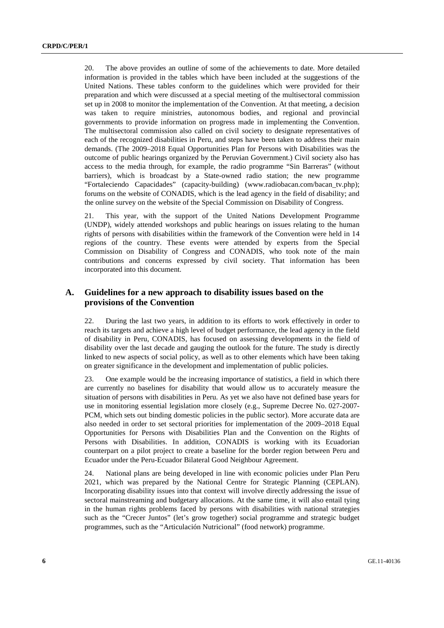20. The above provides an outline of some of the achievements to date. More detailed information is provided in the tables which have been included at the suggestions of the United Nations. These tables conform to the guidelines which were provided for their preparation and which were discussed at a special meeting of the multisectoral commission set up in 2008 to monitor the implementation of the Convention. At that meeting, a decision was taken to require ministries, autonomous bodies, and regional and provincial governments to provide information on progress made in implementing the Convention. The multisectoral commission also called on civil society to designate representatives of each of the recognized disabilities in Peru, and steps have been taken to address their main demands. (The 2009–2018 Equal Opportunities Plan for Persons with Disabilities was the outcome of public hearings organized by the Peruvian Government.) Civil society also has access to the media through, for example, the radio programme "Sin Barreras" (without barriers), which is broadcast by a State-owned radio station; the new programme "Fortaleciendo Capacidades" (capacity-building) (www.radiobacan.com/bacan\_tv.php); forums on the website of CONADIS, which is the lead agency in the field of disability; and the online survey on the website of the Special Commission on Disability of Congress.

21. This year, with the support of the United Nations Development Programme (UNDP), widely attended workshops and public hearings on issues relating to the human rights of persons with disabilities within the framework of the Convention were held in 14 regions of the country. These events were attended by experts from the Special Commission on Disability of Congress and CONADIS, who took note of the main contributions and concerns expressed by civil society. That information has been incorporated into this document.

# **A. Guidelines for a new approach to disability issues based on the provisions of the Convention**

22. During the last two years, in addition to its efforts to work effectively in order to reach its targets and achieve a high level of budget performance, the lead agency in the field of disability in Peru, CONADIS, has focused on assessing developments in the field of disability over the last decade and gauging the outlook for the future. The study is directly linked to new aspects of social policy, as well as to other elements which have been taking on greater significance in the development and implementation of public policies.

23. One example would be the increasing importance of statistics, a field in which there are currently no baselines for disability that would allow us to accurately measure the situation of persons with disabilities in Peru. As yet we also have not defined base years for use in monitoring essential legislation more closely (e.g., Supreme Decree No. 027-2007- PCM, which sets out binding domestic policies in the public sector). More accurate data are also needed in order to set sectoral priorities for implementation of the 2009–2018 Equal Opportunities for Persons with Disabilities Plan and the Convention on the Rights of Persons with Disabilities. In addition, CONADIS is working with its Ecuadorian counterpart on a pilot project to create a baseline for the border region between Peru and Ecuador under the Peru-Ecuador Bilateral Good Neighbour Agreement.

24. National plans are being developed in line with economic policies under Plan Peru 2021, which was prepared by the National Centre for Strategic Planning (CEPLAN). Incorporating disability issues into that context will involve directly addressing the issue of sectoral mainstreaming and budgetary allocations. At the same time, it will also entail tying in the human rights problems faced by persons with disabilities with national strategies such as the "Crecer Juntos" (let's grow together) social programme and strategic budget programmes, such as the "Articulación Nutricional" (food network) programme.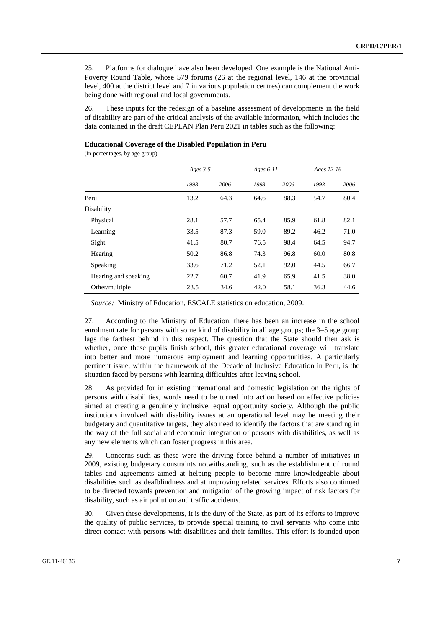25. Platforms for dialogue have also been developed. One example is the National Anti-Poverty Round Table, whose 579 forums (26 at the regional level, 146 at the provincial level, 400 at the district level and 7 in various population centres) can complement the work being done with regional and local governments.

26. These inputs for the redesign of a baseline assessment of developments in the field of disability are part of the critical analysis of the available information, which includes the data contained in the draft CEPLAN Plan Peru 2021 in tables such as the following:

#### **Educational Coverage of the Disabled Population in Peru**

(In percentages, by age group)

|                      | Ages $3-5$ |      | Ages $6-11$ |      | Ages 12-16 |      |
|----------------------|------------|------|-------------|------|------------|------|
|                      | 1993       | 2006 | 1993        | 2006 | 1993       | 2006 |
| Peru                 | 13.2       | 64.3 | 64.6        | 88.3 | 54.7       | 80.4 |
| Disability           |            |      |             |      |            |      |
| Physical             | 28.1       | 57.7 | 65.4        | 85.9 | 61.8       | 82.1 |
| Learning             | 33.5       | 87.3 | 59.0        | 89.2 | 46.2       | 71.0 |
| Sight                | 41.5       | 80.7 | 76.5        | 98.4 | 64.5       | 94.7 |
| Hearing              | 50.2       | 86.8 | 74.3        | 96.8 | 60.0       | 80.8 |
| Speaking             | 33.6       | 71.2 | 52.1        | 92.0 | 44.5       | 66.7 |
| Hearing and speaking | 22.7       | 60.7 | 41.9        | 65.9 | 41.5       | 38.0 |
| Other/multiple       | 23.5       | 34.6 | 42.0        | 58.1 | 36.3       | 44.6 |

*Source:* Ministry of Education, ESCALE statistics on education, 2009.

27. According to the Ministry of Education, there has been an increase in the school enrolment rate for persons with some kind of disability in all age groups; the 3–5 age group lags the farthest behind in this respect. The question that the State should then ask is whether, once these pupils finish school, this greater educational coverage will translate into better and more numerous employment and learning opportunities. A particularly pertinent issue, within the framework of the Decade of Inclusive Education in Peru, is the situation faced by persons with learning difficulties after leaving school.

28. As provided for in existing international and domestic legislation on the rights of persons with disabilities, words need to be turned into action based on effective policies aimed at creating a genuinely inclusive, equal opportunity society. Although the public institutions involved with disability issues at an operational level may be meeting their budgetary and quantitative targets, they also need to identify the factors that are standing in the way of the full social and economic integration of persons with disabilities, as well as any new elements which can foster progress in this area.

29. Concerns such as these were the driving force behind a number of initiatives in 2009, existing budgetary constraints notwithstanding, such as the establishment of round tables and agreements aimed at helping people to become more knowledgeable about disabilities such as deafblindness and at improving related services. Efforts also continued to be directed towards prevention and mitigation of the growing impact of risk factors for disability, such as air pollution and traffic accidents.

30. Given these developments, it is the duty of the State, as part of its efforts to improve the quality of public services, to provide special training to civil servants who come into direct contact with persons with disabilities and their families. This effort is founded upon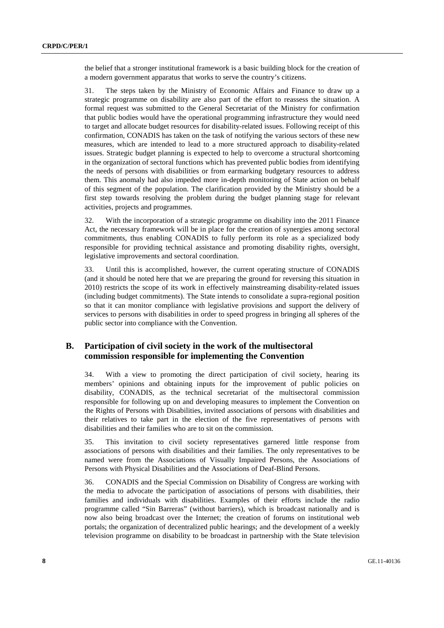the belief that a stronger institutional framework is a basic building block for the creation of a modern government apparatus that works to serve the country's citizens.

31. The steps taken by the Ministry of Economic Affairs and Finance to draw up a strategic programme on disability are also part of the effort to reassess the situation. A formal request was submitted to the General Secretariat of the Ministry for confirmation that public bodies would have the operational programming infrastructure they would need to target and allocate budget resources for disability-related issues. Following receipt of this confirmation, CONADIS has taken on the task of notifying the various sectors of these new measures, which are intended to lead to a more structured approach to disability-related issues. Strategic budget planning is expected to help to overcome a structural shortcoming in the organization of sectoral functions which has prevented public bodies from identifying the needs of persons with disabilities or from earmarking budgetary resources to address them. This anomaly had also impeded more in-depth monitoring of State action on behalf of this segment of the population. The clarification provided by the Ministry should be a first step towards resolving the problem during the budget planning stage for relevant activities, projects and programmes.

32. With the incorporation of a strategic programme on disability into the 2011 Finance Act, the necessary framework will be in place for the creation of synergies among sectoral commitments, thus enabling CONADIS to fully perform its role as a specialized body responsible for providing technical assistance and promoting disability rights, oversight, legislative improvements and sectoral coordination.

33. Until this is accomplished, however, the current operating structure of CONADIS (and it should be noted here that we are preparing the ground for reversing this situation in 2010) restricts the scope of its work in effectively mainstreaming disability-related issues (including budget commitments). The State intends to consolidate a supra-regional position so that it can monitor compliance with legislative provisions and support the delivery of services to persons with disabilities in order to speed progress in bringing all spheres of the public sector into compliance with the Convention.

## **B. Participation of civil society in the work of the multisectoral commission responsible for implementing the Convention**

34. With a view to promoting the direct participation of civil society, hearing its members' opinions and obtaining inputs for the improvement of public policies on disability, CONADIS, as the technical secretariat of the multisectoral commission responsible for following up on and developing measures to implement the Convention on the Rights of Persons with Disabilities, invited associations of persons with disabilities and their relatives to take part in the election of the five representatives of persons with disabilities and their families who are to sit on the commission.

35. This invitation to civil society representatives garnered little response from associations of persons with disabilities and their families. The only representatives to be named were from the Associations of Visually Impaired Persons, the Associations of Persons with Physical Disabilities and the Associations of Deaf-Blind Persons.

36. CONADIS and the Special Commission on Disability of Congress are working with the media to advocate the participation of associations of persons with disabilities, their families and individuals with disabilities. Examples of their efforts include the radio programme called "Sin Barreras" (without barriers), which is broadcast nationally and is now also being broadcast over the Internet; the creation of forums on institutional web portals; the organization of decentralized public hearings; and the development of a weekly television programme on disability to be broadcast in partnership with the State television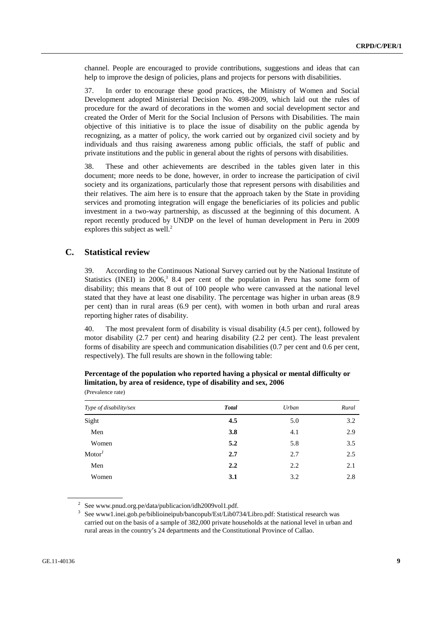channel. People are encouraged to provide contributions, suggestions and ideas that can help to improve the design of policies, plans and projects for persons with disabilities.

37. In order to encourage these good practices, the Ministry of Women and Social Development adopted Ministerial Decision No. 498-2009, which laid out the rules of procedure for the award of decorations in the women and social development sector and created the Order of Merit for the Social Inclusion of Persons with Disabilities. The main objective of this initiative is to place the issue of disability on the public agenda by recognizing, as a matter of policy, the work carried out by organized civil society and by individuals and thus raising awareness among public officials, the staff of public and private institutions and the public in general about the rights of persons with disabilities.

38. These and other achievements are described in the tables given later in this document; more needs to be done, however, in order to increase the participation of civil society and its organizations, particularly those that represent persons with disabilities and their relatives. The aim here is to ensure that the approach taken by the State in providing services and promoting integration will engage the beneficiaries of its policies and public investment in a two-way partnership, as discussed at the beginning of this document. A report recently produced by UNDP on the level of human development in Peru in 2009 explores this subject as well.<sup>2</sup>

### **C. Statistical review**

39. According to the Continuous National Survey carried out by the National Institute of Statistics (INEI) in 2006,<sup>3</sup> 8.4 per cent of the population in Peru has some form of disability; this means that 8 out of 100 people who were canvassed at the national level stated that they have at least one disability. The percentage was higher in urban areas (8.9 per cent) than in rural areas (6.9 per cent), with women in both urban and rural areas reporting higher rates of disability.

40. The most prevalent form of disability is visual disability (4.5 per cent), followed by motor disability (2.7 per cent) and hearing disability (2.2 per cent). The least prevalent forms of disability are speech and communication disabilities (0.7 per cent and 0.6 per cent, respectively). The full results are shown in the following table:

| Type of disability/sex | <b>Total</b> | Urban | Rural |
|------------------------|--------------|-------|-------|
| Sight                  | 4.5          | 5.0   | 3.2   |
| Men                    | 3.8          | 4.1   | 2.9   |
| Women                  | 5.2          | 5.8   | 3.5   |
| Motor <sup>1</sup>     | 2.7          | 2.7   | 2.5   |
| Men                    | 2.2          | 2.2   | 2.1   |
| Women                  | 3.1          | 3.2   | 2.8   |

| Percentage of the population who reported having a physical or mental difficulty or |
|-------------------------------------------------------------------------------------|
| limitation, by area of residence, type of disability and sex, 2006                  |
| (Prevalence rate)                                                                   |

<sup>2</sup> See www.pnud.org.pe/data/publicacion/idh2009vol1.pdf.<br><sup>3</sup> See www.l.insi.gob.pe/biblioinainub/banconub/Est/Lib07

See www1.inei.gob.pe/biblioineipub/bancopub/Est/Lib0734/Libro.pdf: Statistical research was carried out on the basis of a sample of 382,000 private households at the national level in urban and rural areas in the country's 24 departments and the Constitutional Province of Callao.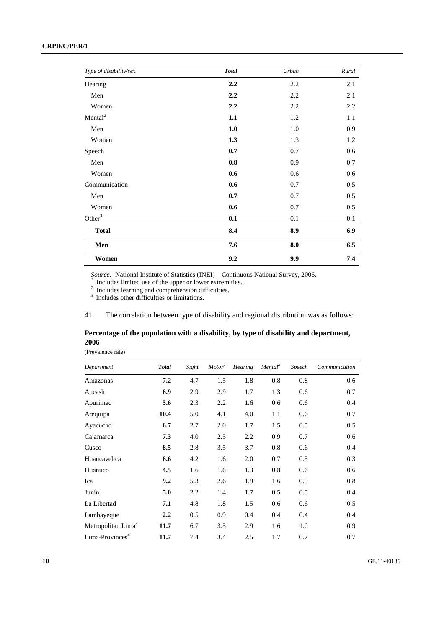### **CRPD/C/PER/1**

| Type of disability/sex | <b>Total</b> | Urban | Rural |
|------------------------|--------------|-------|-------|
| Hearing                | 2.2          | 2.2   | 2.1   |
| Men                    | 2.2          | 2.2   | 2.1   |
| Women                  | 2.2          | 2.2   | 2.2   |
| Mental <sup>2</sup>    | 1.1          | 1.2   | 1.1   |
| Men                    | 1.0          | 1.0   | 0.9   |
| Women                  | 1.3          | 1.3   | 1.2   |
| Speech                 | 0.7          | 0.7   | 0.6   |
| Men                    | $0.8\,$      | 0.9   | 0.7   |
| Women                  | 0.6          | 0.6   | 0.6   |
| Communication          | 0.6          | 0.7   | 0.5   |
| Men                    | 0.7          | 0.7   | 0.5   |
| Women                  | 0.6          | 0.7   | 0.5   |
| Other <sup>3</sup>     | 0.1          | 0.1   | 0.1   |
| <b>Total</b>           | 8.4          | 8.9   | 6.9   |
| Men                    | 7.6          | 8.0   | 6.5   |
| Women                  | 9.2          | 9.9   | 7.4   |

Source: National Institute of Statistics (INEI) – Continuous National Survey, 2006.<br><sup>*1*</sup> Includes limited use of the upper or lower extremities.<br><sup>2</sup> Includes learning and comprehension difficulties.

<sup>3</sup> Includes other difficulties or limitations.

41. The correlation between type of disability and regional distribution was as follows:

# **Percentage of the population with a disability, by type of disability and department, 2006**

(Prevalence rate)

| Department                     | <b>Total</b> | Sight | Motor <sup>1</sup> | <b>Hearing</b> | Mental <sup>2</sup> | Speech | Communication |
|--------------------------------|--------------|-------|--------------------|----------------|---------------------|--------|---------------|
| Amazonas                       | 7.2          | 4.7   | 1.5                | 1.8            | 0.8                 | 0.8    | 0.6           |
| Ancash                         | 6.9          | 2.9   | 2.9                | 1.7            | 1.3                 | 0.6    | 0.7           |
| Apurimac                       | 5.6          | 2.3   | 2.2                | 1.6            | 0.6                 | 0.6    | 0.4           |
| Arequipa                       | 10.4         | 5.0   | 4.1                | 4.0            | 1.1                 | 0.6    | 0.7           |
| Ayacucho                       | 6.7          | 2.7   | 2.0                | 1.7            | 1.5                 | 0.5    | 0.5           |
| Cajamarca                      | 7.3          | 4.0   | 2.5                | 2.2            | 0.9                 | 0.7    | 0.6           |
| Cusco                          | 8.5          | 2.8   | 3.5                | 3.7            | 0.8                 | 0.6    | 0.4           |
| Huancavelica                   | 6.6          | 4.2   | 1.6                | 2.0            | 0.7                 | 0.5    | 0.3           |
| Huánuco                        | 4.5          | 1.6   | 1.6                | 1.3            | 0.8                 | 0.6    | 0.6           |
| Ica                            | 9.2          | 5.3   | 2.6                | 1.9            | 1.6                 | 0.9    | 0.8           |
| Junín                          | 5.0          | 2.2   | 1.4                | 1.7            | 0.5                 | 0.5    | 0.4           |
| La Libertad                    | 7.1          | 4.8   | 1.8                | 1.5            | 0.6                 | 0.6    | 0.5           |
| Lambayeque                     | 2.2          | 0.5   | 0.9                | 0.4            | 0.4                 | 0.4    | 0.4           |
| Metropolitan Lima <sup>3</sup> | 11.7         | 6.7   | 3.5                | 2.9            | 1.6                 | 1.0    | 0.9           |
| $Lima-Provinces4$              | 11.7         | 7.4   | 3.4                | 2.5            | 1.7                 | 0.7    | 0.7           |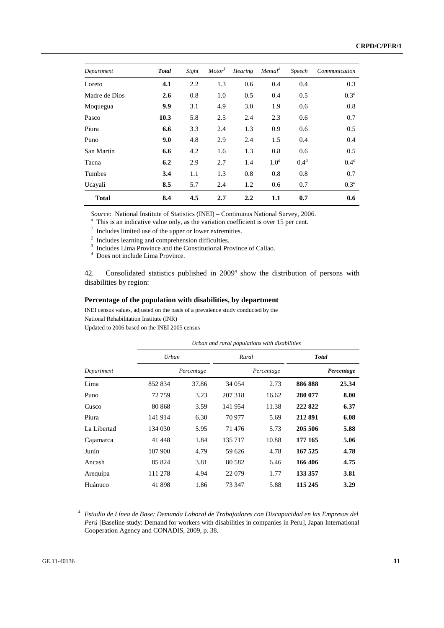| Department    | <b>Total</b> | Sight | Motor <sup>1</sup> | Hearing | Mental <sup>2</sup> | Speech           | Communication    |
|---------------|--------------|-------|--------------------|---------|---------------------|------------------|------------------|
| Loreto        | 4.1          | 2.2   | 1.3                | 0.6     | 0.4                 | 0.4              | 0.3              |
| Madre de Dios | 2.6          | 0.8   | 1.0                | 0.5     | 0.4                 | 0.5              | 0.3 <sup>a</sup> |
| Moquegua      | 9.9          | 3.1   | 4.9                | 3.0     | 1.9                 | 0.6              | 0.8              |
| Pasco         | 10.3         | 5.8   | 2.5                | 2.4     | 2.3                 | 0.6              | 0.7              |
| Piura         | 6.6          | 3.3   | 2.4                | 1.3     | 0.9                 | 0.6              | 0.5              |
| Puno          | 9.0          | 4.8   | 2.9                | 2.4     | 1.5                 | 0.4              | 0.4              |
| San Martín    | 6.6          | 4.2   | 1.6                | 1.3     | 0.8                 | 0.6              | 0.5              |
| Tacna         | 6.2          | 2.9   | 2.7                | 1.4     | 1.0 <sup>a</sup>    | 0.4 <sup>a</sup> | 0.4 <sup>a</sup> |
| Tumbes        | 3.4          | 1.1   | 1.3                | 0.8     | 0.8                 | 0.8              | 0.7              |
| Ucayali       | 8.5          | 5.7   | 2.4                | 1.2     | 0.6                 | 0.7              | 0.3 <sup>a</sup> |
| <b>Total</b>  | 8.4          | 4.5   | 2.7                | 2.2     | 1.1                 | 0.7              | 0.6              |

*Source*: National Institute of Statistics (INEI) – Continuous National Survey, 2006. *<sup>a</sup>*

 $a$  This is an indicative value only, as the variation coefficient is over 15 per cent.

*1* Includes limited use of the upper or lower extremities.

<sup>2</sup> Includes learning and comprehension difficulties.<br><sup>3</sup> Includes Lima Province and the Constitutional Province of Callao.

*4* Does not include Lima Province.

42. Consolidated statistics published in 2009<sup>4</sup> show the distribution of persons with disabilities by region:

#### **Percentage of the population with disabilities, by department**

INEI census values, adjusted on the basis of a prevalence study conducted by the National Rehabilitation Institute (INR)

Updated to 2006 based on the INEI 2005 census

|             | Urban and rural populations with disabilities |            |         |            |              |            |  |  |  |
|-------------|-----------------------------------------------|------------|---------|------------|--------------|------------|--|--|--|
|             | Urban                                         |            | Rural   |            | <b>Total</b> |            |  |  |  |
| Department  |                                               | Percentage |         | Percentage |              | Percentage |  |  |  |
| Lima        | 852 834                                       | 37.86      | 34 054  | 2.73       | 886888       | 25.34      |  |  |  |
| Puno        | 72759                                         | 3.23       | 207 318 | 16.62      | 280 077      | 8.00       |  |  |  |
| Cusco       | 80 868                                        | 3.59       | 141954  | 11.38      | 222822       | 6.37       |  |  |  |
| Piura       | 141 914                                       | 6.30       | 70 977  | 5.69       | 212891       | 6.08       |  |  |  |
| La Libertad | 134 030                                       | 5.95       | 71476   | 5.73       | 205 506      | 5.88       |  |  |  |
| Cajamarca   | 41 4 48                                       | 1.84       | 135 717 | 10.88      | 177 165      | 5.06       |  |  |  |
| Junín       | 107 900                                       | 4.79       | 59 626  | 4.78       | 167 525      | 4.78       |  |  |  |
| Ancash      | 85 824                                        | 3.81       | 80 5 82 | 6.46       | 166406       | 4.75       |  |  |  |
| Arequipa    | 111 278                                       | 4.94       | 22 079  | 1.77       | 133 357      | 3.81       |  |  |  |
| Huánuco     | 41898                                         | 1.86       | 73 347  | 5.88       | 115 245      | 3.29       |  |  |  |

<sup>4</sup> *Estudio de Línea de Base: Demanda Laboral de Trabajadores con Discapacidad en las Empresas del Perú* [Baseline study: Demand for workers with disabilities in companies in Peru], Japan International Cooperation Agency and CONADIS, 2009, p. 38.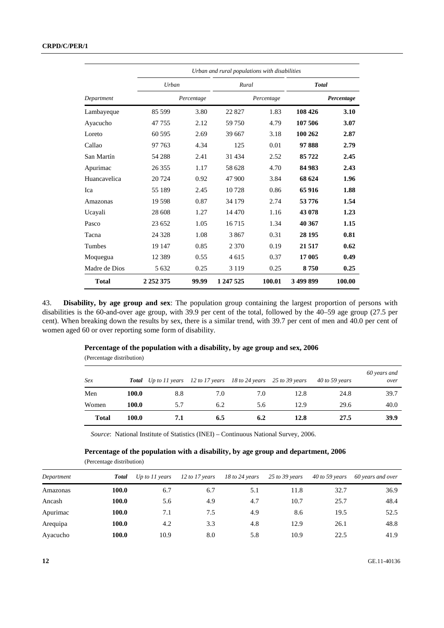|               |               |            | Urban and rural populations with disabilities |            |              |            |
|---------------|---------------|------------|-----------------------------------------------|------------|--------------|------------|
|               | <b>Urban</b>  |            | Rural                                         |            | <b>Total</b> |            |
| Department    |               | Percentage |                                               | Percentage |              | Percentage |
| Lambayeque    | 85 599        | 3.80       | 22827                                         | 1.83       | 108 426      | 3.10       |
| Ayacucho      | 47 755        | 2.12       | 59 750                                        | 4.79       | 107 506      | 3.07       |
| Loreto        | 60 595        | 2.69       | 39 667                                        | 3.18       | 100 262      | 2.87       |
| Callao        | 97 763        | 4.34       | 125                                           | 0.01       | 97888        | 2.79       |
| San Martín    | 54 288        | 2.41       | 31 4 34                                       | 2.52       | 85722        | 2.45       |
| Apurimac      | 26 3 5 5      | 1.17       | 58 628                                        | 4.70       | 84 983       | 2.43       |
| Huancavelica  | 20 724        | 0.92       | 47 900                                        | 3.84       | 68 624       | 1.96       |
| Ica           | 55 189        | 2.45       | 10728                                         | 0.86       | 65916        | 1.88       |
| Amazonas      | 19 5 98       | 0.87       | 34 179                                        | 2.74       | 53776        | 1.54       |
| Ucayali       | 28 608        | 1.27       | 14 470                                        | 1.16       | 43 078       | 1.23       |
| Pasco         | 23 652        | 1.05       | 16715                                         | 1.34       | 40 367       | 1.15       |
| Tacna         | 24 3 28       | 1.08       | 3867                                          | 0.31       | 28 195       | 0.81       |
| Tumbes        | 19 147        | 0.85       | 2 3 7 0                                       | 0.19       | 21517        | 0.62       |
| Moquegua      | 12 3 8 9      | 0.55       | 4 615                                         | 0.37       | 17 005       | 0.49       |
| Madre de Dios | 5 6 3 2       | 0.25       | 3 1 1 9                                       | 0.25       | 8750         | 0.25       |
| <b>Total</b>  | 2 2 5 2 3 7 5 | 99.99      | 1 247 525                                     | 100.01     | 3 499 899    | 100.00     |

43. **Disability, by age group and sex**: The population group containing the largest proportion of persons with disabilities is the 60-and-over age group, with 39.9 per cent of the total, followed by the 40–59 age group (27.5 per cent). When breaking down the results by sex, there is a similar trend, with 39.7 per cent of men and 40.0 per cent of women aged 60 or over reporting some form of disability.

#### **Percentage of the population with a disability, by age group and sex, 2006**

(Percentage distribution)

| Sex          |       | <b>Total</b> Up to 11 years 12 to 17 years 18 to 24 years 25 to 39 years |     |     |      | $40$ to 59 years | 60 years and<br>over |
|--------------|-------|--------------------------------------------------------------------------|-----|-----|------|------------------|----------------------|
| Men          | 100.0 | 8.8                                                                      | 7.0 | 7.0 | 12.8 | 24.8             | 39.7                 |
| Women        | 100.0 | 5.7                                                                      | 6.2 | 5.6 | 12.9 | 29.6             | 40.0                 |
| <b>Total</b> | 100.0 | 7.1                                                                      | 6.5 | 6.2 | 12.8 | 27.5             | 39.9                 |

*Source*: National Institute of Statistics (INEI) – Continuous National Survey, 2006.

#### **Percentage of the population with a disability, by age group and department, 2006**  (Percentage distribution)

| Department | Total | Up to $11$ years | $12$ to $17$ years | $18$ to $24$ years | $25$ to 39 years | 40 to 59 years | 60 years and over |
|------------|-------|------------------|--------------------|--------------------|------------------|----------------|-------------------|
| Amazonas   | 100.0 | 6.7              | 6.7                | 5.1                | 11.8             | 32.7           | 36.9              |
| Ancash     | 100.0 | 5.6              | 4.9                | 4.7                | 10.7             | 25.7           | 48.4              |
| Apurimac   | 100.0 | 7.1              | 7.5                | 4.9                | 8.6              | 19.5           | 52.5              |
| Arequipa   | 100.0 | 4.2              | 3.3                | 4.8                | 12.9             | 26.1           | 48.8              |
| Ayacucho   | 100.0 | 10.9             | 8.0                | 5.8                | 10.9             | 22.5           | 41.9              |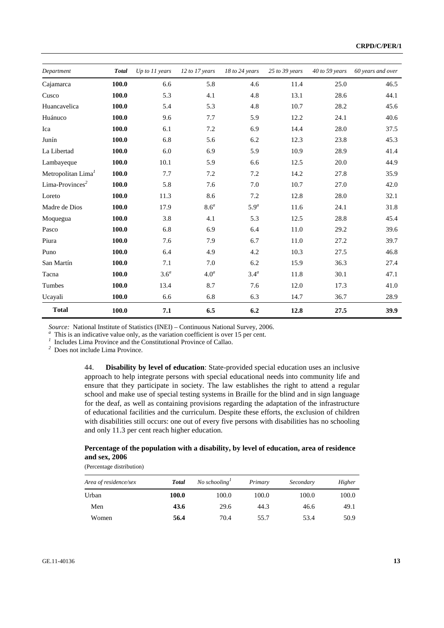| Department                     | <b>Total</b> | Up to 11 years   | 12 to 17 years   | 18 to 24 years   | $25$ to $39$ years | $40$ to 59 years | 60 years and over |
|--------------------------------|--------------|------------------|------------------|------------------|--------------------|------------------|-------------------|
| Cajamarca                      | 100.0        | 6.6              | 5.8              | 4.6              | 11.4               | 25.0             | 46.5              |
| Cusco                          | 100.0        | 5.3              | 4.1              | 4.8              | 13.1               | 28.6             | 44.1              |
| Huancavelica                   | 100.0        | 5.4              | 5.3              | 4.8              | 10.7               | 28.2             | 45.6              |
| Huánuco                        | 100.0        | 9.6              | 7.7              | 5.9              | 12.2               | 24.1             | 40.6              |
| Ica                            | 100.0        | 6.1              | 7.2              | 6.9              | 14.4               | 28.0             | 37.5              |
| Junín                          | 100.0        | 6.8              | 5.6              | 6.2              | 12.3               | 23.8             | 45.3              |
| La Libertad                    | 100.0        | 6.0              | 6.9              | 5.9              | 10.9               | 28.9             | 41.4              |
| Lambayeque                     | 100.0        | 10.1             | 5.9              | 6.6              | 12.5               | 20.0             | 44.9              |
| Metropolitan Lima <sup>1</sup> | 100.0        | 7.7              | 7.2              | 7.2              | 14.2               | 27.8             | 35.9              |
| Lima-Provinces <sup>2</sup>    | 100.0        | 5.8              | 7.6              | 7.0              | 10.7               | 27.0             | 42.0              |
| Loreto                         | 100.0        | 11.3             | 8.6              | 7.2              | 12.8               | 28.0             | 32.1              |
| Madre de Dios                  | 100.0        | 17.9             | 8.6 <sup>a</sup> | 5.9 <sup>a</sup> | 11.6               | 24.1             | 31.8              |
| Moquegua                       | 100.0        | 3.8              | 4.1              | 5.3              | 12.5               | 28.8             | 45.4              |
| Pasco                          | 100.0        | 6.8              | 6.9              | 6.4              | 11.0               | 29.2             | 39.6              |
| Piura                          | 100.0        | 7.6              | 7.9              | 6.7              | 11.0               | 27.2             | 39.7              |
| Puno                           | 100.0        | 6.4              | 4.9              | 4.2              | 10.3               | 27.5             | 46.8              |
| San Martín                     | 100.0        | 7.1              | 7.0              | 6.2              | 15.9               | 36.3             | 27.4              |
| Tacna                          | 100.0        | 3.6 <sup>a</sup> | 4.0 <sup>a</sup> | $3.4^a$          | 11.8               | 30.1             | 47.1              |
| Tumbes                         | 100.0        | 13.4             | 8.7              | 7.6              | 12.0               | 17.3             | 41.0              |
| Ucayali                        | 100.0        | 6.6              | 6.8              | 6.3              | 14.7               | 36.7             | 28.9              |
| <b>Total</b>                   | 100.0        | 7.1              | 6.5              | 6.2              | 12.8               | 27.5             | 39.9              |

*Source:* National Institute of Statistics (INEI) – Continuous National Survey, 2006. *<sup>a</sup>*

 $a$  This is an indicative value only, as the variation coefficient is over 15 per cent.

*1* Includes Lima Province and the Constitutional Province of Callao.

*2* Does not include Lima Province.

44. **Disability by level of education**: State-provided special education uses an inclusive approach to help integrate persons with special educational needs into community life and ensure that they participate in society. The law establishes the right to attend a regular school and make use of special testing systems in Braille for the blind and in sign language for the deaf, as well as containing provisions regarding the adaptation of the infrastructure of educational facilities and the curriculum. Despite these efforts, the exclusion of children with disabilities still occurs: one out of every five persons with disabilities has no schooling and only 11.3 per cent reach higher education.

#### **Percentage of the population with a disability, by level of education, area of residence and sex, 2006**

(Percentage distribution)

| Area of residence/sex | Total | No schooling | Primary | Secondary | Higher |
|-----------------------|-------|--------------|---------|-----------|--------|
| Urban                 | 100.0 | 100.0        | 100.0   | 100.0     | 100.0  |
| Men                   | 43.6  | 29.6         | 44.3    | 46.6      | 49.1   |
| Women                 | 56.4  | 70.4         | 55.7    | 53.4      | 50.9   |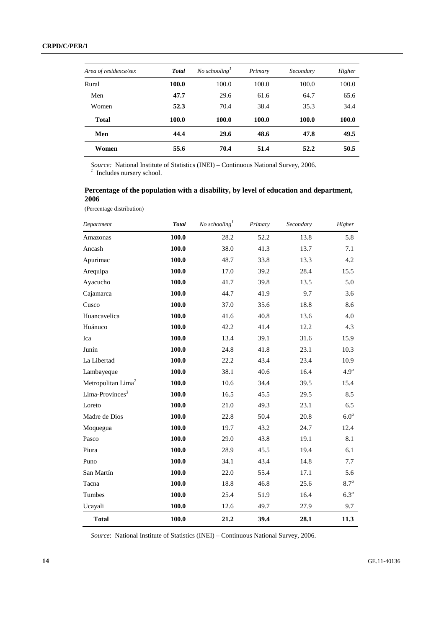| Area of residence/sex | <b>Total</b> | No schooling | Primary | Secondary | Higher |
|-----------------------|--------------|--------------|---------|-----------|--------|
| Rural                 | 100.0        | 100.0        | 100.0   | 100.0     | 100.0  |
| Men                   | 47.7         | 29.6         | 61.6    | 64.7      | 65.6   |
| Women                 | 52.3         | 70.4         | 38.4    | 35.3      | 34.4   |
| Total                 | 100.0        | 100.0        | 100.0   | 100.0     | 100.0  |
| Men                   | 44.4         | 29.6         | 48.6    | 47.8      | 49.5   |
| Women                 | 55.6         | 70.4         | 51.4    | 52.2      | 50.5   |

*Source:* National Institute of Statistics (INEI) – Continuous National Survey, 2006. *<sup>1</sup>* Includes nursery school.

## **Percentage of the population with a disability, by level of education and department, 2006**

(Percentage distribution)

| Department                     | <b>Total</b> | No schooling $\int$ | Primary | Secondary | Higher           |
|--------------------------------|--------------|---------------------|---------|-----------|------------------|
| Amazonas                       | 100.0        | 28.2                | 52.2    | 13.8      | 5.8              |
| Ancash                         | 100.0        | 38.0                | 41.3    | 13.7      | 7.1              |
| Apurimac                       | 100.0        | 48.7                | 33.8    | 13.3      | 4.2              |
| Arequipa                       | 100.0        | 17.0                | 39.2    | 28.4      | 15.5             |
| Ayacucho                       | 100.0        | 41.7                | 39.8    | 13.5      | 5.0              |
| Cajamarca                      | 100.0        | 44.7                | 41.9    | 9.7       | 3.6              |
| Cusco                          | 100.0        | 37.0                | 35.6    | 18.8      | 8.6              |
| Huancavelica                   | 100.0        | 41.6                | 40.8    | 13.6      | 4.0              |
| Huánuco                        | 100.0        | 42.2                | 41.4    | 12.2      | 4.3              |
| Ica                            | 100.0        | 13.4                | 39.1    | 31.6      | 15.9             |
| Junín                          | 100.0        | 24.8                | 41.8    | 23.1      | 10.3             |
| La Libertad                    | 100.0        | 22.2                | 43.4    | 23.4      | 10.9             |
| Lambayeque                     | 100.0        | 38.1                | 40.6    | 16.4      | 4.9 <sup>a</sup> |
| Metropolitan Lima <sup>2</sup> | 100.0        | 10.6                | 34.4    | 39.5      | 15.4             |
| Lima-Provinces <sup>3</sup>    | 100.0        | 16.5                | 45.5    | 29.5      | 8.5              |
| Loreto                         | 100.0        | 21.0                | 49.3    | 23.1      | 6.5              |
| Madre de Dios                  | 100.0        | 22.8                | 50.4    | 20.8      | 6.0 <sup>a</sup> |
| Moquegua                       | 100.0        | 19.7                | 43.2    | 24.7      | 12.4             |
| Pasco                          | 100.0        | 29.0                | 43.8    | 19.1      | 8.1              |
| Piura                          | 100.0        | 28.9                | 45.5    | 19.4      | 6.1              |
| Puno                           | 100.0        | 34.1                | 43.4    | 14.8      | 7.7              |
| San Martín                     | 100.0        | 22.0                | 55.4    | 17.1      | 5.6              |
| Tacna                          | 100.0        | 18.8                | 46.8    | 25.6      | $8.7^{a}$        |
| Tumbes                         | 100.0        | 25.4                | 51.9    | 16.4      | 6.3 <sup>a</sup> |
| Ucayali                        | 100.0        | 12.6                | 49.7    | 27.9      | 9.7              |
| <b>Total</b>                   | 100.0        | 21.2                | 39.4    | 28.1      | 11.3             |

*Source*: National Institute of Statistics (INEI) – Continuous National Survey, 2006.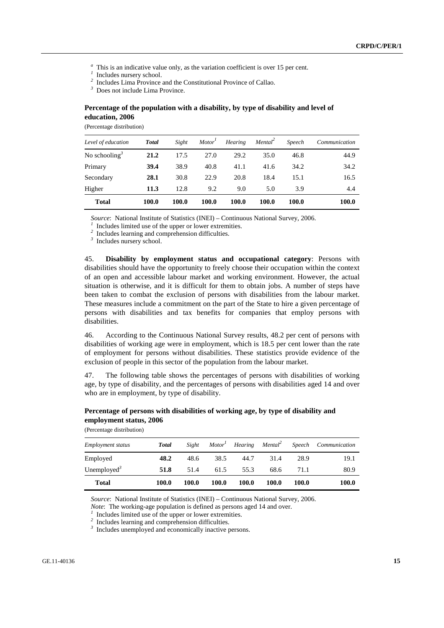- <sup>*a*</sup> This is an indicative value only, as the variation coefficient is over 15 per cent.
- *1* Includes nursery school.
- <sup>2</sup> Includes Lima Province and the Constitutional Province of Callao.

*3* Does not include Lima Province.

#### **Percentage of the population with a disability, by type of disability and level of education, 2006**

(Percentage distribution)

| Level of education        | <b>Total</b> | Sight | Motor <sup>1</sup> | <b>Hearing</b> | Mental <sup>2</sup> | Speech | Communication |
|---------------------------|--------------|-------|--------------------|----------------|---------------------|--------|---------------|
| No schooling <sup>3</sup> | 21.2         | 17.5  | 27.0               | 29.2           | 35.0                | 46.8   | 44.9          |
| Primary                   | 39.4         | 38.9  | 40.8               | 41.1           | 41.6                | 34.2   | 34.2          |
| Secondary                 | 28.1         | 30.8  | 22.9               | 20.8           | 18.4                | 15.1   | 16.5          |
| Higher                    | 11.3         | 12.8  | 9.2                | 9.0            | 5.0                 | 3.9    | 4.4           |
| <b>Total</b>              | 100.0        | 100.0 | 100.0              | 100.0          | 100.0               | 100.0  | 100.0         |

*Source*: National Institute of Statistics (INEI) – Continuous National Survey, 2006.

 $I$  Includes limited use of the upper or lower extremities.

*2* Includes learning and comprehension difficulties.

*3* Includes nursery school.

45. **Disability by employment status and occupational category**: Persons with disabilities should have the opportunity to freely choose their occupation within the context of an open and accessible labour market and working environment. However, the actual situation is otherwise, and it is difficult for them to obtain jobs. A number of steps have been taken to combat the exclusion of persons with disabilities from the labour market. These measures include a commitment on the part of the State to hire a given percentage of persons with disabilities and tax benefits for companies that employ persons with disabilities.

46. According to the Continuous National Survey results, 48.2 per cent of persons with disabilities of working age were in employment, which is 18.5 per cent lower than the rate of employment for persons without disabilities. These statistics provide evidence of the exclusion of people in this sector of the population from the labour market.

47. The following table shows the percentages of persons with disabilities of working age, by type of disability, and the percentages of persons with disabilities aged 14 and over who are in employment, by type of disability.

#### **Percentage of persons with disabilities of working age, by type of disability and employment status, 2006**

(Percentage distribution)

| Employment status       | <b>Total</b> | Sight |       |              |       |       | $Motor1$ Hearing Mental <sup>2</sup> Speech Communication |
|-------------------------|--------------|-------|-------|--------------|-------|-------|-----------------------------------------------------------|
| Employed                | 48.2         | 48.6  | 38.5  | 44.7         | 31.4  | 28.9  | 19.1                                                      |
| Unemployed <sup>3</sup> | 51.8         | 51.4  | 61.5  | 55.3         | 68.6  | 71.1  | 80.9                                                      |
| <b>Total</b>            | 100.0        | 100.0 | 100.0 | <b>100.0</b> | 100.0 | 100.0 | 100.0                                                     |

*Source*: National Institute of Statistics (INEI) – Continuous National Survey, 2006.

*Note*: The working-age population is defined as persons aged 14 and over.

 $\frac{1}{1}$  Includes limited use of the upper or lower extremities.

*2* Includes learning and comprehension difficulties.

*3* Includes unemployed and economically inactive persons.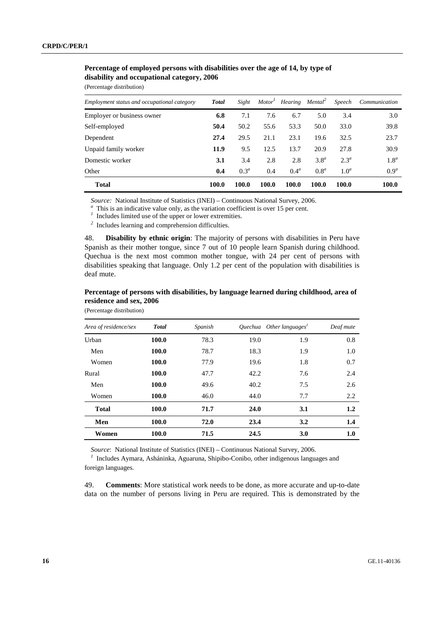# **Percentage of employed persons with disabilities over the age of 14, by type of disability and occupational category, 2006**

(Percentage distribution)

| Employment status and occupational category | <b>Total</b> | Sight   |       | Motor <sup>1</sup> Hearing Mental <sup>2</sup> |                  | Speech           | Communication    |
|---------------------------------------------|--------------|---------|-------|------------------------------------------------|------------------|------------------|------------------|
| Employer or business owner                  | 6.8          | 7.1     | 7.6   | 6.7                                            | 5.0              | 3.4              | 3.0              |
| Self-employed                               | 50.4         | 50.2    | 55.6  | 53.3                                           | 50.0             | 33.0             | 39.8             |
| Dependent                                   | 27.4         | 29.5    | 21.1  | 23.1                                           | 19.6             | 32.5             | 23.7             |
| Unpaid family worker                        | 11.9         | 9.5     | 12.5  | 13.7                                           | 20.9             | 27.8             | 30.9             |
| Domestic worker                             | 3.1          | 3.4     | 2.8   | 2.8                                            | 3.8 <sup>a</sup> | $2.3^a$          | 1.8 <sup>a</sup> |
| Other                                       | 0.4          | $0.3^a$ | 0.4   | 0.4 <sup>a</sup>                               | 0.8 <sup>a</sup> | 1.0 <sup>a</sup> | 0.9 <sup>a</sup> |
| <b>Total</b>                                | 100.0        | 100.0   | 100.0 | 100.0                                          | 100.0            | 100.0            | 100.0            |

*Source:* National Institute of Statistics (INEI) – Continuous National Survey, 2006.

 $\alpha$  This is an indicative value only, as the variation coefficient is over 15 per cent.

*1* Includes limited use of the upper or lower extremities.

*2* Includes learning and comprehension difficulties.

48. **Disability by ethnic origin**: The majority of persons with disabilities in Peru have Spanish as their mother tongue, since 7 out of 10 people learn Spanish during childhood. Quechua is the next most common mother tongue, with 24 per cent of persons with disabilities speaking that language. Only 1.2 per cent of the population with disabilities is deaf mute.

|                         |  | Percentage of persons with disabilities, by language learned during childhood, area of |
|-------------------------|--|----------------------------------------------------------------------------------------|
| residence and sex, 2006 |  |                                                                                        |

| Area of residence/sex | <b>Total</b> | Spanish |      | Ouechua Other languages <sup>1</sup> | Deaf mute |
|-----------------------|--------------|---------|------|--------------------------------------|-----------|
| Urban                 | 100.0        | 78.3    | 19.0 | 1.9                                  | 0.8       |
| Men                   | 100.0        | 78.7    | 18.3 | 1.9                                  | 1.0       |
| Women                 | 100.0        | 77.9    | 19.6 | 1.8                                  | 0.7       |
| Rural                 | 100.0        | 47.7    | 42.2 | 7.6                                  | 2.4       |
| Men                   | 100.0        | 49.6    | 40.2 | 7.5                                  | 2.6       |
| Women                 | 100.0        | 46.0    | 44.0 | 7.7                                  | 2.2       |
| <b>Total</b>          | 100.0        | 71.7    | 24.0 | 3.1                                  | $1.2\,$   |
| Men                   | 100.0        | 72.0    | 23.4 | 3.2                                  | 1.4       |
| Women                 | 100.0        | 71.5    | 24.5 | 3.0                                  | 1.0       |

(Percentage distribution)

*Source*: National Institute of Statistics (INEI) – Continuous National Survey, 2006.

<sup>1</sup> Includes Aymara, Asháninka, Aguaruna, Shipibo-Conibo, other indigenous languages and foreign languages.

49. **Comments**: More statistical work needs to be done, as more accurate and up-to-date data on the number of persons living in Peru are required. This is demonstrated by the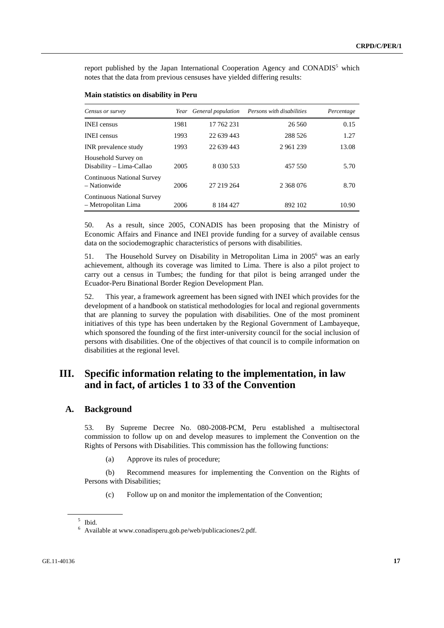report published by the Japan International Cooperation Agency and CONADIS<sup>5</sup> which notes that the data from previous censuses have yielded differing results:

| Census or survey                                         | Year | General population | Persons with disabilities | Percentage |
|----------------------------------------------------------|------|--------------------|---------------------------|------------|
| <b>INEI</b> census                                       | 1981 | 17 762 231         | 26 5 6 0                  | 0.15       |
| <b>INEI</b> census                                       | 1993 | 22 639 443         | 288 526                   | 1.27       |
| INR prevalence study                                     | 1993 | 22 639 443         | 2 961 239                 | 13.08      |
| Household Survey on<br>Disability – Lima-Callao          | 2005 | 8 030 533          | 457 550                   | 5.70       |
| <b>Continuous National Survey</b><br>- Nationwide        | 2006 | 27 219 264         | 2 368 076                 | 8.70       |
| <b>Continuous National Survey</b><br>- Metropolitan Lima | 2006 | 8 184 427          | 892 102                   | 10.90      |

#### **Main statistics on disability in Peru**

50. As a result, since 2005, CONADIS has been proposing that the Ministry of Economic Affairs and Finance and INEI provide funding for a survey of available census data on the sociodemographic characteristics of persons with disabilities.

51. The Household Survey on Disability in Metropolitan Lima in 2005<sup>6</sup> was an early achievement, although its coverage was limited to Lima. There is also a pilot project to carry out a census in Tumbes; the funding for that pilot is being arranged under the Ecuador-Peru Binational Border Region Development Plan.

52. This year, a framework agreement has been signed with INEI which provides for the development of a handbook on statistical methodologies for local and regional governments that are planning to survey the population with disabilities. One of the most prominent initiatives of this type has been undertaken by the Regional Government of Lambayeque, which sponsored the founding of the first inter-university council for the social inclusion of persons with disabilities. One of the objectives of that council is to compile information on disabilities at the regional level.

# **III. Specific information relating to the implementation, in law and in fact, of articles 1 to 33 of the Convention**

#### **A. Background**

53. By Supreme Decree No. 080-2008-PCM, Peru established a multisectoral commission to follow up on and develop measures to implement the Convention on the Rights of Persons with Disabilities. This commission has the following functions:

(a) Approve its rules of procedure;

 (b) Recommend measures for implementing the Convention on the Rights of Persons with Disabilities;

(c) Follow up on and monitor the implementation of the Convention;

<sup>5</sup> Ibid.

<sup>6</sup> Available at www.conadisperu.gob.pe/web/publicaciones/2.pdf.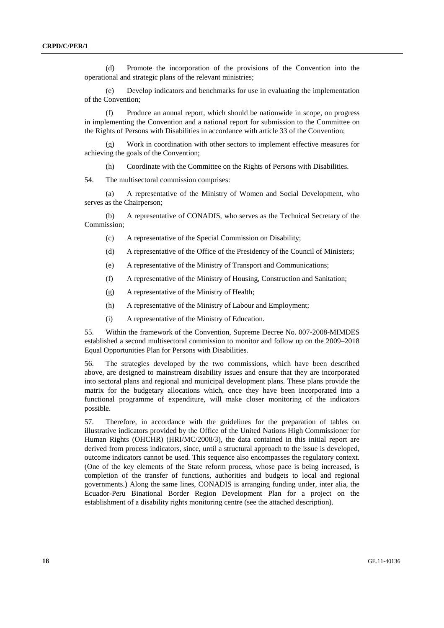(d) Promote the incorporation of the provisions of the Convention into the operational and strategic plans of the relevant ministries;

 (e) Develop indicators and benchmarks for use in evaluating the implementation of the Convention;

 (f) Produce an annual report, which should be nationwide in scope, on progress in implementing the Convention and a national report for submission to the Committee on the Rights of Persons with Disabilities in accordance with article 33 of the Convention;

Work in coordination with other sectors to implement effective measures for achieving the goals of the Convention;

(h) Coordinate with the Committee on the Rights of Persons with Disabilities.

54. The multisectoral commission comprises:

 (a) A representative of the Ministry of Women and Social Development, who serves as the Chairperson;

 (b) A representative of CONADIS, who serves as the Technical Secretary of the Commission;

- (c) A representative of the Special Commission on Disability;
- (d) A representative of the Office of the Presidency of the Council of Ministers;
- (e) A representative of the Ministry of Transport and Communications;
- (f) A representative of the Ministry of Housing, Construction and Sanitation;
- (g) A representative of the Ministry of Health;
- (h) A representative of the Ministry of Labour and Employment;
- (i) A representative of the Ministry of Education.

55. Within the framework of the Convention, Supreme Decree No. 007-2008-MIMDES established a second multisectoral commission to monitor and follow up on the 2009–2018 Equal Opportunities Plan for Persons with Disabilities.

56. The strategies developed by the two commissions, which have been described above, are designed to mainstream disability issues and ensure that they are incorporated into sectoral plans and regional and municipal development plans. These plans provide the matrix for the budgetary allocations which, once they have been incorporated into a functional programme of expenditure, will make closer monitoring of the indicators possible.

57. Therefore, in accordance with the guidelines for the preparation of tables on illustrative indicators provided by the Office of the United Nations High Commissioner for Human Rights (OHCHR) (HRI/MC/2008/3), the data contained in this initial report are derived from process indicators, since, until a structural approach to the issue is developed, outcome indicators cannot be used. This sequence also encompasses the regulatory context. (One of the key elements of the State reform process, whose pace is being increased, is completion of the transfer of functions, authorities and budgets to local and regional governments.) Along the same lines, CONADIS is arranging funding under, inter alia, the Ecuador-Peru Binational Border Region Development Plan for a project on the establishment of a disability rights monitoring centre (see the attached description).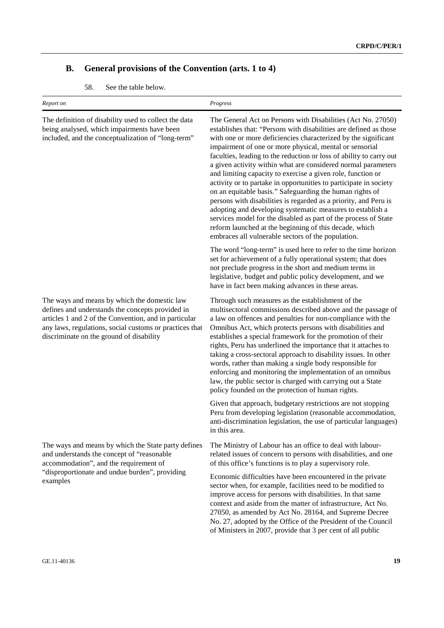# **B. General provisions of the Convention (arts. 1 to 4)**

|  | 58. |  |  |  | See the table below. |
|--|-----|--|--|--|----------------------|
|--|-----|--|--|--|----------------------|

| Report on                                                                                                                                                                                                                                                        | Progress                                                                                                                                                                                                                                                                                                                                                                                                                                                                                                                                                                                                                                                                                                                                                                                                                                                                                                                    |  |  |
|------------------------------------------------------------------------------------------------------------------------------------------------------------------------------------------------------------------------------------------------------------------|-----------------------------------------------------------------------------------------------------------------------------------------------------------------------------------------------------------------------------------------------------------------------------------------------------------------------------------------------------------------------------------------------------------------------------------------------------------------------------------------------------------------------------------------------------------------------------------------------------------------------------------------------------------------------------------------------------------------------------------------------------------------------------------------------------------------------------------------------------------------------------------------------------------------------------|--|--|
| The definition of disability used to collect the data<br>being analysed, which impairments have been<br>included, and the conceptualization of "long-term"                                                                                                       | The General Act on Persons with Disabilities (Act No. 27050)<br>establishes that: "Persons with disabilities are defined as those<br>with one or more deficiencies characterized by the significant<br>impairment of one or more physical, mental or sensorial<br>faculties, leading to the reduction or loss of ability to carry out<br>a given activity within what are considered normal parameters<br>and limiting capacity to exercise a given role, function or<br>activity or to partake in opportunities to participate in society<br>on an equitable basis." Safeguarding the human rights of<br>persons with disabilities is regarded as a priority, and Peru is<br>adopting and developing systematic measures to establish a<br>services model for the disabled as part of the process of State<br>reform launched at the beginning of this decade, which<br>embraces all vulnerable sectors of the population. |  |  |
|                                                                                                                                                                                                                                                                  | The word "long-term" is used here to refer to the time horizon<br>set for achievement of a fully operational system; that does<br>not preclude progress in the short and medium terms in<br>legislative, budget and public policy development, and we<br>have in fact been making advances in these areas.                                                                                                                                                                                                                                                                                                                                                                                                                                                                                                                                                                                                                  |  |  |
| The ways and means by which the domestic law<br>defines and understands the concepts provided in<br>articles 1 and 2 of the Convention, and in particular<br>any laws, regulations, social customs or practices that<br>discriminate on the ground of disability | Through such measures as the establishment of the<br>multisectoral commissions described above and the passage of<br>a law on offences and penalties for non-compliance with the<br>Omnibus Act, which protects persons with disabilities and<br>establishes a special framework for the promotion of their<br>rights, Peru has underlined the importance that it attaches to<br>taking a cross-sectoral approach to disability issues. In other<br>words, rather than making a single body responsible for<br>enforcing and monitoring the implementation of an omnibus<br>law, the public sector is charged with carrying out a State<br>policy founded on the protection of human rights.                                                                                                                                                                                                                                |  |  |
|                                                                                                                                                                                                                                                                  | Given that approach, budgetary restrictions are not stopping<br>Peru from developing legislation (reasonable accommodation,<br>anti-discrimination legislation, the use of particular languages)<br>in this area.                                                                                                                                                                                                                                                                                                                                                                                                                                                                                                                                                                                                                                                                                                           |  |  |
| The ways and means by which the State party defines<br>and understands the concept of "reasonable<br>accommodation", and the requirement of                                                                                                                      | The Ministry of Labour has an office to deal with labour-<br>related issues of concern to persons with disabilities, and one<br>of this office's functions is to play a supervisory role.                                                                                                                                                                                                                                                                                                                                                                                                                                                                                                                                                                                                                                                                                                                                   |  |  |
| "disproportionate and undue burden", providing<br>examples                                                                                                                                                                                                       | Economic difficulties have been encountered in the private<br>sector when, for example, facilities need to be modified to<br>improve access for persons with disabilities. In that same<br>context and aside from the matter of infrastructure, Act No.<br>27050, as amended by Act No. 28164, and Supreme Decree<br>No. 27, adopted by the Office of the President of the Council<br>of Ministers in 2007, provide that 3 per cent of all public                                                                                                                                                                                                                                                                                                                                                                                                                                                                           |  |  |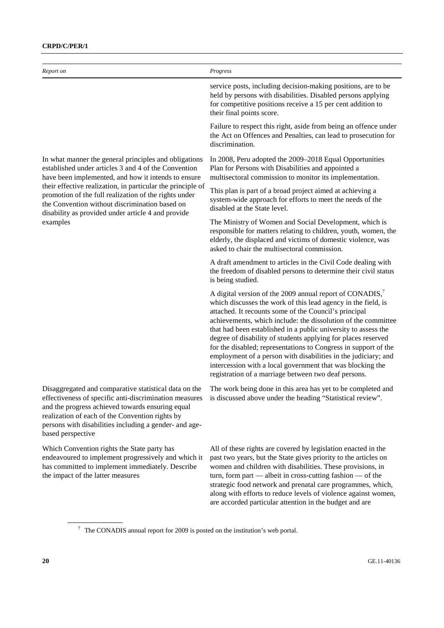| Report on                                                                                                                                                                                                                                   | Progress                                                                                                                                                                                                                                                                                                                                                                                                                                                                                                                                                                                                                                                      |
|---------------------------------------------------------------------------------------------------------------------------------------------------------------------------------------------------------------------------------------------|---------------------------------------------------------------------------------------------------------------------------------------------------------------------------------------------------------------------------------------------------------------------------------------------------------------------------------------------------------------------------------------------------------------------------------------------------------------------------------------------------------------------------------------------------------------------------------------------------------------------------------------------------------------|
|                                                                                                                                                                                                                                             | service posts, including decision-making positions, are to be<br>held by persons with disabilities. Disabled persons applying<br>for competitive positions receive a 15 per cent addition to<br>their final points score.                                                                                                                                                                                                                                                                                                                                                                                                                                     |
|                                                                                                                                                                                                                                             | Failure to respect this right, aside from being an offence under<br>the Act on Offences and Penalties, can lead to prosecution for<br>discrimination.                                                                                                                                                                                                                                                                                                                                                                                                                                                                                                         |
| In what manner the general principles and obligations<br>established under articles 3 and 4 of the Convention<br>have been implemented, and how it intends to ensure                                                                        | In 2008, Peru adopted the 2009–2018 Equal Opportunities<br>Plan for Persons with Disabilities and appointed a<br>multisectoral commission to monitor its implementation.                                                                                                                                                                                                                                                                                                                                                                                                                                                                                      |
| their effective realization, in particular the principle of<br>promotion of the full realization of the rights under<br>the Convention without discrimination based on<br>disability as provided under article 4 and provide<br>examples    | This plan is part of a broad project aimed at achieving a<br>system-wide approach for efforts to meet the needs of the<br>disabled at the State level.                                                                                                                                                                                                                                                                                                                                                                                                                                                                                                        |
|                                                                                                                                                                                                                                             | The Ministry of Women and Social Development, which is<br>responsible for matters relating to children, youth, women, the<br>elderly, the displaced and victims of domestic violence, was<br>asked to chair the multisectoral commission.                                                                                                                                                                                                                                                                                                                                                                                                                     |
|                                                                                                                                                                                                                                             | A draft amendment to articles in the Civil Code dealing with<br>the freedom of disabled persons to determine their civil status<br>is being studied.                                                                                                                                                                                                                                                                                                                                                                                                                                                                                                          |
|                                                                                                                                                                                                                                             | A digital version of the 2009 annual report of CONADIS, <sup>7</sup><br>which discusses the work of this lead agency in the field, is<br>attached. It recounts some of the Council's principal<br>achievements, which include: the dissolution of the committee<br>that had been established in a public university to assess the<br>degree of disability of students applying for places reserved<br>for the disabled; representations to Congress in support of the<br>employment of a person with disabilities in the judiciary; and<br>intercession with a local government that was blocking the<br>registration of a marriage between two deaf persons. |
| Disaggregated and comparative statistical data on the<br>and the progress achieved towards ensuring equal<br>realization of each of the Convention rights by<br>persons with disabilities including a gender- and age-<br>based perspective | The work being done in this area has vet to be completed and<br>effectiveness of specific anti-discrimination measures is discussed above under the heading "Statistical review".                                                                                                                                                                                                                                                                                                                                                                                                                                                                             |
| Which Convention rights the State party has<br>endeavoured to implement progressively and which it<br>has committed to implement immediately. Describe<br>the impact of the latter measures                                                 | All of these rights are covered by legislation enacted in the<br>past two years, but the State gives priority to the articles on<br>women and children with disabilities. These provisions, in<br>turn, form part $-$ albeit in cross-cutting fashion $-$ of the<br>strategic food network and prenatal care programmes, which,                                                                                                                                                                                                                                                                                                                               |

along with efforts to reduce levels of violence against women,

are accorded particular attention in the budget and are

 $7$  The CONADIS annual report for 2009 is posted on the institution's web portal.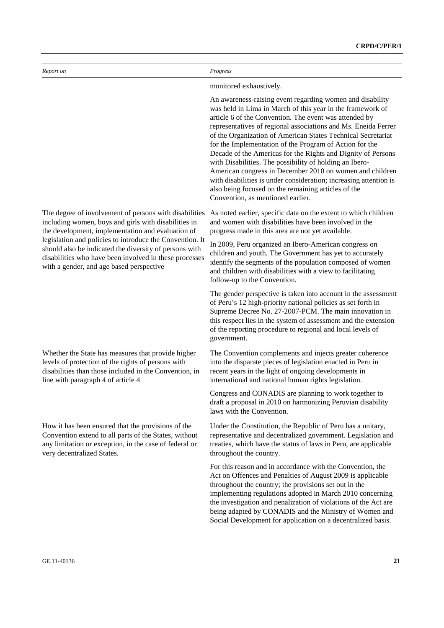| Report on                                                                                                                                                                                                                | Progress                                                                                                                                                                                                                                                                                                                                                                                                                                                                                                                                                                                                                                                                                                                               |
|--------------------------------------------------------------------------------------------------------------------------------------------------------------------------------------------------------------------------|----------------------------------------------------------------------------------------------------------------------------------------------------------------------------------------------------------------------------------------------------------------------------------------------------------------------------------------------------------------------------------------------------------------------------------------------------------------------------------------------------------------------------------------------------------------------------------------------------------------------------------------------------------------------------------------------------------------------------------------|
|                                                                                                                                                                                                                          | monitored exhaustively.                                                                                                                                                                                                                                                                                                                                                                                                                                                                                                                                                                                                                                                                                                                |
|                                                                                                                                                                                                                          | An awareness-raising event regarding women and disability<br>was held in Lima in March of this year in the framework of<br>article 6 of the Convention. The event was attended by<br>representatives of regional associations and Ms. Eneida Ferrer<br>of the Organization of American States Technical Secretariat<br>for the Implementation of the Program of Action for the<br>Decade of the Americas for the Rights and Dignity of Persons<br>with Disabilities. The possibility of holding an Ibero-<br>American congress in December 2010 on women and children<br>with disabilities is under consideration; increasing attention is<br>also being focused on the remaining articles of the<br>Convention, as mentioned earlier. |
| The degree of involvement of persons with disabilities<br>including women, boys and girls with disabilities in<br>the development, implementation and evaluation of                                                      | As noted earlier, specific data on the extent to which children<br>and women with disabilities have been involved in the<br>progress made in this area are not yet available.                                                                                                                                                                                                                                                                                                                                                                                                                                                                                                                                                          |
| legislation and policies to introduce the Convention. It<br>should also be indicated the diversity of persons with<br>disabilities who have been involved in these processes<br>with a gender, and age based perspective | In 2009, Peru organized an Ibero-American congress on<br>children and youth. The Government has yet to accurately<br>identify the segments of the population composed of women<br>and children with disabilities with a view to facilitating<br>follow-up to the Convention.                                                                                                                                                                                                                                                                                                                                                                                                                                                           |
|                                                                                                                                                                                                                          | The gender perspective is taken into account in the assessment<br>of Peru's 12 high-priority national policies as set forth in<br>Supreme Decree No. 27-2007-PCM. The main innovation in<br>this respect lies in the system of assessment and the extension<br>of the reporting procedure to regional and local levels of<br>government.                                                                                                                                                                                                                                                                                                                                                                                               |
| Whether the State has measures that provide higher<br>levels of protection of the rights of persons with<br>disabilities than those included in the Convention, in<br>line with paragraph 4 of article 4                 | The Convention complements and injects greater coherence<br>into the disparate pieces of legislation enacted in Peru in<br>recent years in the light of ongoing developments in<br>international and national human rights legislation.                                                                                                                                                                                                                                                                                                                                                                                                                                                                                                |
|                                                                                                                                                                                                                          | Congress and CONADIS are planning to work together to<br>draft a proposal in 2010 on harmonizing Peruvian disability<br>laws with the Convention.                                                                                                                                                                                                                                                                                                                                                                                                                                                                                                                                                                                      |
| How it has been ensured that the provisions of the<br>Convention extend to all parts of the States, without<br>any limitation or exception, in the case of federal or<br>very decentralized States.                      | Under the Constitution, the Republic of Peru has a unitary,<br>representative and decentralized government. Legislation and<br>treaties, which have the status of laws in Peru, are applicable<br>throughout the country.                                                                                                                                                                                                                                                                                                                                                                                                                                                                                                              |
|                                                                                                                                                                                                                          | For this reason and in accordance with the Convention, the<br>Act on Offences and Penalties of August 2009 is applicable<br>throughout the country; the provisions set out in the<br>implementing regulations adopted in March 2010 concerning<br>the investigation and penalization of violations of the Act are<br>being adapted by CONADIS and the Ministry of Women and                                                                                                                                                                                                                                                                                                                                                            |

Social Development for application on a decentralized basis.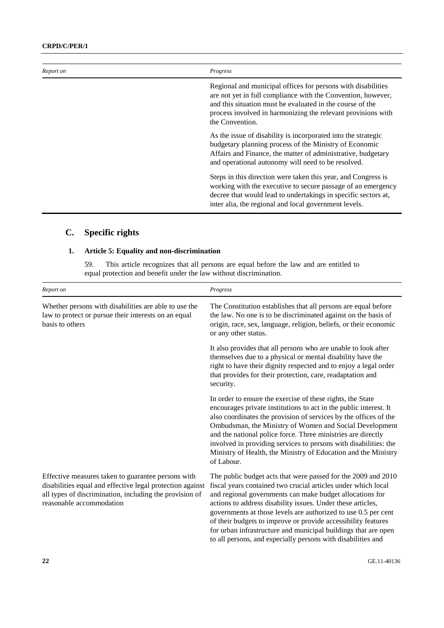| Report on | Progress                                                                                                                                                                                                                                                                     |
|-----------|------------------------------------------------------------------------------------------------------------------------------------------------------------------------------------------------------------------------------------------------------------------------------|
|           | Regional and municipal offices for persons with disabilities<br>are not yet in full compliance with the Convention, however,<br>and this situation must be evaluated in the course of the<br>process involved in harmonizing the relevant provisions with<br>the Convention. |
|           | As the issue of disability is incorporated into the strategic<br>budgetary planning process of the Ministry of Economic<br>Affairs and Finance, the matter of administrative, budgetary<br>and operational autonomy will need to be resolved.                                |
|           | Steps in this direction were taken this year, and Congress is<br>working with the executive to secure passage of an emergency<br>decree that would lead to undertakings in specific sectors at,<br>inter alia, the regional and local government levels.                     |

# **C. Specific rights**

### **1. Article 5: Equality and non-discrimination**

59. This article recognizes that all persons are equal before the law and are entitled to equal protection and benefit under the law without discrimination.

| Report on                                                                                                                                                                                              | Progress                                                                                                                                                                                                                                                                                                                                                                                                                                                                                                                       |
|--------------------------------------------------------------------------------------------------------------------------------------------------------------------------------------------------------|--------------------------------------------------------------------------------------------------------------------------------------------------------------------------------------------------------------------------------------------------------------------------------------------------------------------------------------------------------------------------------------------------------------------------------------------------------------------------------------------------------------------------------|
| Whether persons with disabilities are able to use the<br>law to protect or pursue their interests on an equal<br>basis to others                                                                       | The Constitution establishes that all persons are equal before<br>the law. No one is to be discriminated against on the basis of<br>origin, race, sex, language, religion, beliefs, or their economic<br>or any other status.                                                                                                                                                                                                                                                                                                  |
|                                                                                                                                                                                                        | It also provides that all persons who are unable to look after<br>themselves due to a physical or mental disability have the<br>right to have their dignity respected and to enjoy a legal order<br>that provides for their protection, care, readaptation and<br>security.                                                                                                                                                                                                                                                    |
|                                                                                                                                                                                                        | In order to ensure the exercise of these rights, the State<br>encourages private institutions to act in the public interest. It<br>also coordinates the provision of services by the offices of the<br>Ombudsman, the Ministry of Women and Social Development<br>and the national police force. Three ministries are directly<br>involved in providing services to persons with disabilities: the<br>Ministry of Health, the Ministry of Education and the Ministry<br>of Labour.                                             |
| Effective measures taken to guarantee persons with<br>disabilities equal and effective legal protection against<br>all types of discrimination, including the provision of<br>reasonable accommodation | The public budget acts that were passed for the 2009 and 2010<br>fiscal years contained two crucial articles under which local<br>and regional governments can make budget allocations for<br>actions to address disability issues. Under these articles,<br>governments at those levels are authorized to use 0.5 per cent<br>of their budgets to improve or provide accessibility features<br>for urban infrastructure and municipal buildings that are open<br>to all persons, and especially persons with disabilities and |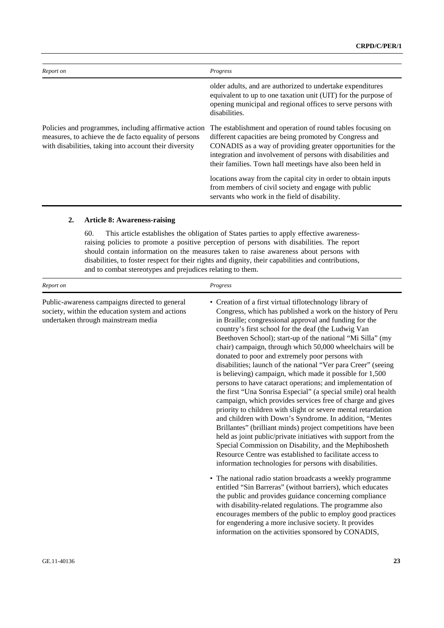| Report on                                                                                                                                                                | Progress                                                                                                                                                                                                                                                                                                           |
|--------------------------------------------------------------------------------------------------------------------------------------------------------------------------|--------------------------------------------------------------------------------------------------------------------------------------------------------------------------------------------------------------------------------------------------------------------------------------------------------------------|
|                                                                                                                                                                          | older adults, and are authorized to undertake expenditures<br>equivalent to up to one taxation unit (UIT) for the purpose of<br>opening municipal and regional offices to serve persons with<br>disabilities.                                                                                                      |
| Policies and programmes, including affirmative action<br>measures, to achieve the de facto equality of persons<br>with disabilities, taking into account their diversity | The establishment and operation of round tables focusing on<br>different capacities are being promoted by Congress and<br>CONADIS as a way of providing greater opportunities for the<br>integration and involvement of persons with disabilities and<br>their families. Town hall meetings have also been held in |
|                                                                                                                                                                          | locations away from the capital city in order to obtain inputs<br>from members of civil society and engage with public<br>servants who work in the field of disability.                                                                                                                                            |

#### **2. Article 8: Awareness-raising**

60. This article establishes the obligation of States parties to apply effective awarenessraising policies to promote a positive perception of persons with disabilities. The report should contain information on the measures taken to raise awareness about persons with disabilities, to foster respect for their rights and dignity, their capabilities and contributions, and to combat stereotypes and prejudices relating to them.

| Report on                                                                                                                                 | Progress                                                                                                                                                                                                                                                                                                                                                                                                                                                                                                                                                                                                                                                                                                                                                                                                                                                                                                                                                                                                                                                                                                                                                                                                                                                                                                                                                                                                                                                                                                                                                                                                                      |
|-------------------------------------------------------------------------------------------------------------------------------------------|-------------------------------------------------------------------------------------------------------------------------------------------------------------------------------------------------------------------------------------------------------------------------------------------------------------------------------------------------------------------------------------------------------------------------------------------------------------------------------------------------------------------------------------------------------------------------------------------------------------------------------------------------------------------------------------------------------------------------------------------------------------------------------------------------------------------------------------------------------------------------------------------------------------------------------------------------------------------------------------------------------------------------------------------------------------------------------------------------------------------------------------------------------------------------------------------------------------------------------------------------------------------------------------------------------------------------------------------------------------------------------------------------------------------------------------------------------------------------------------------------------------------------------------------------------------------------------------------------------------------------------|
| Public-awareness campaigns directed to general<br>society, within the education system and actions<br>undertaken through mainstream media | • Creation of a first virtual tiflotechnology library of<br>Congress, which has published a work on the history of Peru<br>in Braille; congressional approval and funding for the<br>country's first school for the deaf (the Ludwig Van<br>Beethoven School); start-up of the national "Mi Silla" (my<br>chair) campaign, through which 50,000 wheelchairs will be<br>donated to poor and extremely poor persons with<br>disabilities; launch of the national "Ver para Creer" (seeing<br>is believing) campaign, which made it possible for 1,500<br>persons to have cataract operations; and implementation of<br>the first "Una Sonrisa Especial" (a special smile) oral health<br>campaign, which provides services free of charge and gives<br>priority to children with slight or severe mental retardation<br>and children with Down's Syndrome. In addition, "Mentes<br>Brillantes" (brilliant minds) project competitions have been<br>held as joint public/private initiatives with support from the<br>Special Commission on Disability, and the Mephibosheth<br>Resource Centre was established to facilitate access to<br>information technologies for persons with disabilities.<br>• The national radio station broadcasts a weekly programme<br>entitled "Sin Barreras" (without barriers), which educates<br>the public and provides guidance concerning compliance<br>with disability-related regulations. The programme also<br>encourages members of the public to employ good practices<br>for engendering a more inclusive society. It provides<br>information on the activities sponsored by CONADIS, |
|                                                                                                                                           |                                                                                                                                                                                                                                                                                                                                                                                                                                                                                                                                                                                                                                                                                                                                                                                                                                                                                                                                                                                                                                                                                                                                                                                                                                                                                                                                                                                                                                                                                                                                                                                                                               |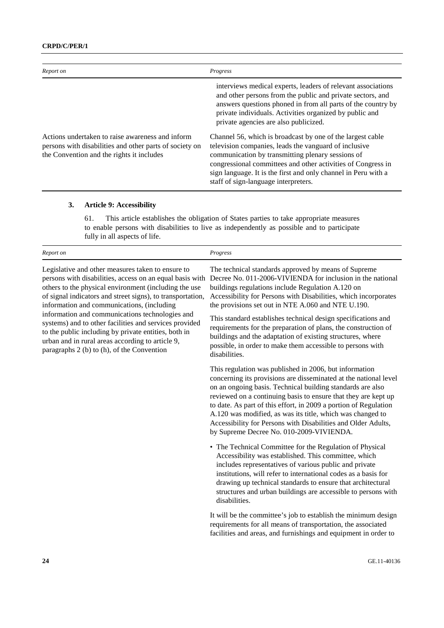| Report on                                                                                                                                                | Progress                                                                                                                                                                                                                                                                                                                                           |
|----------------------------------------------------------------------------------------------------------------------------------------------------------|----------------------------------------------------------------------------------------------------------------------------------------------------------------------------------------------------------------------------------------------------------------------------------------------------------------------------------------------------|
|                                                                                                                                                          | interviews medical experts, leaders of relevant associations<br>and other persons from the public and private sectors, and<br>answers questions phoned in from all parts of the country by<br>private individuals. Activities organized by public and<br>private agencies are also publicized.                                                     |
| Actions undertaken to raise awareness and inform<br>persons with disabilities and other parts of society on<br>the Convention and the rights it includes | Channel 56, which is broadcast by one of the largest cable<br>television companies, leads the vanguard of inclusive<br>communication by transmitting plenary sessions of<br>congressional committees and other activities of Congress in<br>sign language. It is the first and only channel in Peru with a<br>staff of sign-language interpreters. |

# **3. Article 9: Accessibility**

61. This article establishes the obligation of States parties to take appropriate measures to enable persons with disabilities to live as independently as possible and to participate fully in all aspects of life.

| Report on                                                                                                                                                                                                                                                                                                                                                                                                                                                                                                                                                 | Progress                                                                                                                                                                                                                                                                                                                                                                                                                                                                                                                                                                         |
|-----------------------------------------------------------------------------------------------------------------------------------------------------------------------------------------------------------------------------------------------------------------------------------------------------------------------------------------------------------------------------------------------------------------------------------------------------------------------------------------------------------------------------------------------------------|----------------------------------------------------------------------------------------------------------------------------------------------------------------------------------------------------------------------------------------------------------------------------------------------------------------------------------------------------------------------------------------------------------------------------------------------------------------------------------------------------------------------------------------------------------------------------------|
| Legislative and other measures taken to ensure to<br>persons with disabilities, access on an equal basis with<br>others to the physical environment (including the use<br>of signal indicators and street signs), to transportation,<br>information and communications, (including<br>information and communications technologies and<br>systems) and to other facilities and services provided<br>to the public including by private entities, both in<br>urban and in rural areas according to article 9,<br>paragraphs 2 (b) to (h), of the Convention | The technical standards approved by means of Supreme<br>Decree No. 011-2006-VIVIENDA for inclusion in the national<br>buildings regulations include Regulation A.120 on<br>Accessibility for Persons with Disabilities, which incorporates<br>the provisions set out in NTE A.060 and NTE U.190.<br>This standard establishes technical design specifications and<br>requirements for the preparation of plans, the construction of<br>buildings and the adaptation of existing structures, where<br>possible, in order to make them accessible to persons with<br>disabilities. |
|                                                                                                                                                                                                                                                                                                                                                                                                                                                                                                                                                           | This regulation was published in 2006, but information<br>concerning its provisions are disseminated at the national level<br>on an ongoing basis. Technical building standards are also<br>reviewed on a continuing basis to ensure that they are kept up<br>to date. As part of this effort, in 2009 a portion of Regulation<br>A.120 was modified, as was its title, which was changed to<br>Accessibility for Persons with Disabilities and Older Adults,<br>by Supreme Decree No. 010-2009-VIVIENDA.                                                                        |
|                                                                                                                                                                                                                                                                                                                                                                                                                                                                                                                                                           | • The Technical Committee for the Regulation of Physical<br>Accessibility was established. This committee, which<br>includes representatives of various public and private<br>institutions, will refer to international codes as a basis for<br>drawing up technical standards to ensure that architectural<br>structures and urban buildings are accessible to persons with<br>disabilities.                                                                                                                                                                                    |
|                                                                                                                                                                                                                                                                                                                                                                                                                                                                                                                                                           | It will be the committee's job to establish the minimum design<br>requirements for all means of transportation, the associated<br>facilities and areas, and furnishings and equipment in order to                                                                                                                                                                                                                                                                                                                                                                                |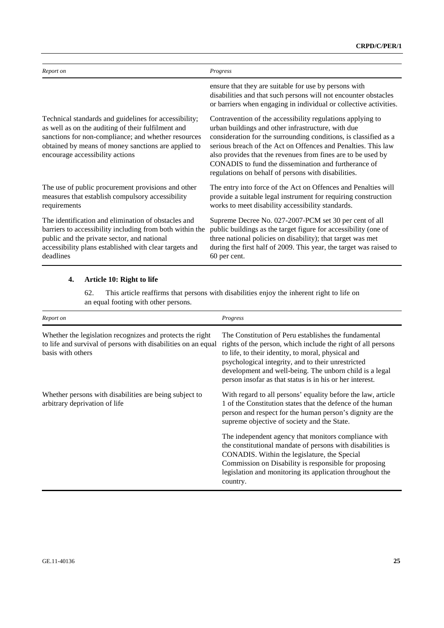| Report on                                                                                                                                                                                                                                                    | Progress                                                                                                                                                                                                                                                                                                                                                                                                                             |
|--------------------------------------------------------------------------------------------------------------------------------------------------------------------------------------------------------------------------------------------------------------|--------------------------------------------------------------------------------------------------------------------------------------------------------------------------------------------------------------------------------------------------------------------------------------------------------------------------------------------------------------------------------------------------------------------------------------|
|                                                                                                                                                                                                                                                              | ensure that they are suitable for use by persons with<br>disabilities and that such persons will not encounter obstacles<br>or barriers when engaging in individual or collective activities.                                                                                                                                                                                                                                        |
| Technical standards and guidelines for accessibility;<br>as well as on the auditing of their fulfilment and<br>sanctions for non-compliance; and whether resources<br>obtained by means of money sanctions are applied to<br>encourage accessibility actions | Contravention of the accessibility regulations applying to<br>urban buildings and other infrastructure, with due<br>consideration for the surrounding conditions, is classified as a<br>serious breach of the Act on Offences and Penalties. This law<br>also provides that the revenues from fines are to be used by<br>CONADIS to fund the dissemination and furtherance of<br>regulations on behalf of persons with disabilities. |
| The use of public procurement provisions and other<br>measures that establish compulsory accessibility<br>requirements                                                                                                                                       | The entry into force of the Act on Offences and Penalties will<br>provide a suitable legal instrument for requiring construction<br>works to meet disability accessibility standards.                                                                                                                                                                                                                                                |
| The identification and elimination of obstacles and<br>barriers to accessibility including from both within the<br>public and the private sector, and national<br>accessibility plans established with clear targets and<br>deadlines                        | Supreme Decree No. 027-2007-PCM set 30 per cent of all<br>public buildings as the target figure for accessibility (one of<br>three national policies on disability); that target was met<br>during the first half of 2009. This year, the target was raised to<br>60 per cent.                                                                                                                                                       |

# **4. Article 10: Right to life**

62. This article reaffirms that persons with disabilities enjoy the inherent right to life on an equal footing with other persons.

| Report on                                                                                                                                       | Progress                                                                                                                                                                                                                                                                                                                                                |
|-------------------------------------------------------------------------------------------------------------------------------------------------|---------------------------------------------------------------------------------------------------------------------------------------------------------------------------------------------------------------------------------------------------------------------------------------------------------------------------------------------------------|
| Whether the legislation recognizes and protects the right<br>to life and survival of persons with disabilities on an equal<br>basis with others | The Constitution of Peru establishes the fundamental<br>rights of the person, which include the right of all persons<br>to life, to their identity, to moral, physical and<br>psychological integrity, and to their unrestricted<br>development and well-being. The unborn child is a legal<br>person insofar as that status is in his or her interest. |
| Whether persons with disabilities are being subject to<br>arbitrary deprivation of life                                                         | With regard to all persons' equality before the law, article<br>1 of the Constitution states that the defence of the human<br>person and respect for the human person's dignity are the<br>supreme objective of society and the State.                                                                                                                  |
|                                                                                                                                                 | The independent agency that monitors compliance with<br>the constitutional mandate of persons with disabilities is<br>CONADIS. Within the legislature, the Special<br>Commission on Disability is responsible for proposing<br>legislation and monitoring its application throughout the<br>country.                                                    |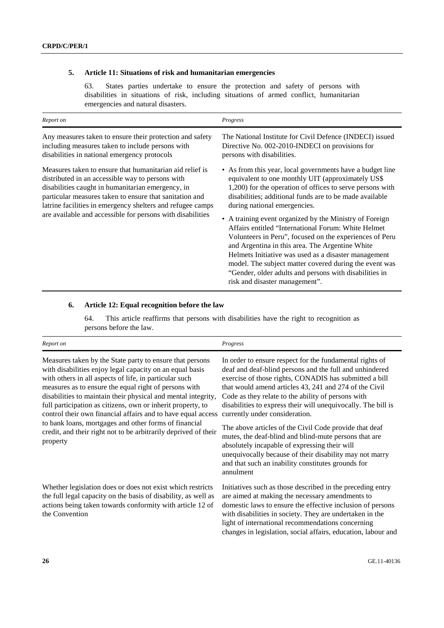### **5. Article 11: Situations of risk and humanitarian emergencies**

63. States parties undertake to ensure the protection and safety of persons with disabilities in situations of risk, including situations of armed conflict, humanitarian emergencies and natural disasters.

| Report on                                                                                                                                                                                                                                                                                                                                                | Progress                                                                                                                                                                                                                                                                                                                                                                                                                                                                                                                                                                                                                                                                                                              |
|----------------------------------------------------------------------------------------------------------------------------------------------------------------------------------------------------------------------------------------------------------------------------------------------------------------------------------------------------------|-----------------------------------------------------------------------------------------------------------------------------------------------------------------------------------------------------------------------------------------------------------------------------------------------------------------------------------------------------------------------------------------------------------------------------------------------------------------------------------------------------------------------------------------------------------------------------------------------------------------------------------------------------------------------------------------------------------------------|
| Any measures taken to ensure their protection and safety<br>including measures taken to include persons with<br>disabilities in national emergency protocols                                                                                                                                                                                             | The National Institute for Civil Defence (INDECI) issued<br>Directive No. 002-2010-INDECI on provisions for<br>persons with disabilities.                                                                                                                                                                                                                                                                                                                                                                                                                                                                                                                                                                             |
| Measures taken to ensure that humanitarian aid relief is<br>distributed in an accessible way to persons with<br>disabilities caught in humanitarian emergency, in<br>particular measures taken to ensure that sanitation and<br>latrine facilities in emergency shelters and refugee camps<br>are available and accessible for persons with disabilities | • As from this year, local governments have a budget line<br>equivalent to one monthly UIT (approximately US\$)<br>1,200) for the operation of offices to serve persons with<br>disabilities; additional funds are to be made available<br>during national emergencies.<br>• A training event organized by the Ministry of Foreign<br>Affairs entitled "International Forum: White Helmet<br>Volunteers in Peru", focused on the experiences of Peru<br>and Argentina in this area. The Argentine White<br>Helmets Initiative was used as a disaster management<br>model. The subject matter covered during the event was<br>"Gender, older adults and persons with disabilities in<br>risk and disaster management". |

#### **6. Article 12: Equal recognition before the law**

64. This article reaffirms that persons with disabilities have the right to recognition as persons before the law.

| Report on                                                                                                                                                                                                                                                                                                                                                                                                                                                                                                                                                                       | Progress                                                                                                                                                                                                                                                                                                                                                                                                                                                                                                                                                                                                                                                                                           |
|---------------------------------------------------------------------------------------------------------------------------------------------------------------------------------------------------------------------------------------------------------------------------------------------------------------------------------------------------------------------------------------------------------------------------------------------------------------------------------------------------------------------------------------------------------------------------------|----------------------------------------------------------------------------------------------------------------------------------------------------------------------------------------------------------------------------------------------------------------------------------------------------------------------------------------------------------------------------------------------------------------------------------------------------------------------------------------------------------------------------------------------------------------------------------------------------------------------------------------------------------------------------------------------------|
| Measures taken by the State party to ensure that persons<br>with disabilities enjoy legal capacity on an equal basis<br>with others in all aspects of life, in particular such<br>measures as to ensure the equal right of persons with<br>disabilities to maintain their physical and mental integrity,<br>full participation as citizens, own or inherit property, to<br>control their own financial affairs and to have equal access<br>to bank loans, mortgages and other forms of financial<br>credit, and their right not to be arbitrarily deprived of their<br>property | In order to ensure respect for the fundamental rights of<br>deaf and deaf-blind persons and the full and unhindered<br>exercise of those rights, CONADIS has submitted a bill<br>that would amend articles 43, 241 and 274 of the Civil<br>Code as they relate to the ability of persons with<br>disabilities to express their will unequivocally. The bill is<br>currently under consideration.<br>The above articles of the Civil Code provide that deaf<br>mutes, the deaf-blind and blind-mute persons that are<br>absolutely incapable of expressing their will<br>unequivocally because of their disability may not marry<br>and that such an inability constitutes grounds for<br>annulment |
| Whether legislation does or does not exist which restricts<br>the full legal capacity on the basis of disability, as well as<br>actions being taken towards conformity with article 12 of<br>the Convention                                                                                                                                                                                                                                                                                                                                                                     | Initiatives such as those described in the preceding entry<br>are aimed at making the necessary amendments to<br>domestic laws to ensure the effective inclusion of persons<br>with disabilities in society. They are undertaken in the<br>light of international recommendations concerning<br>changes in legislation, social affairs, education, labour and                                                                                                                                                                                                                                                                                                                                      |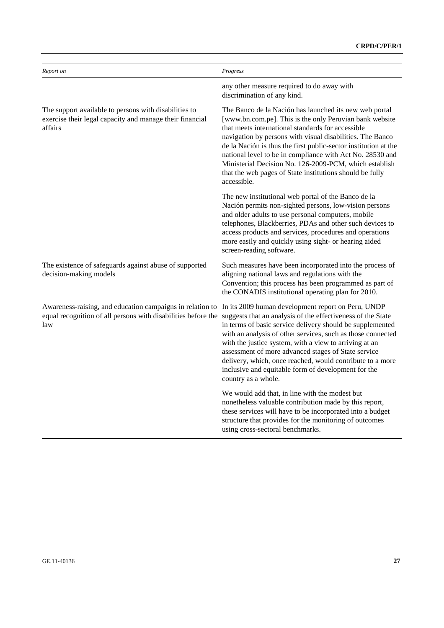| Report on                                                                                                                                                                                     | Progress                                                                                                                                                                                                                                                                                                                                                                                                                                                                                                 |
|-----------------------------------------------------------------------------------------------------------------------------------------------------------------------------------------------|----------------------------------------------------------------------------------------------------------------------------------------------------------------------------------------------------------------------------------------------------------------------------------------------------------------------------------------------------------------------------------------------------------------------------------------------------------------------------------------------------------|
|                                                                                                                                                                                               | any other measure required to do away with<br>discrimination of any kind.                                                                                                                                                                                                                                                                                                                                                                                                                                |
| The support available to persons with disabilities to<br>exercise their legal capacity and manage their financial<br>affairs                                                                  | The Banco de la Nación has launched its new web portal<br>[www.bn.com.pe]. This is the only Peruvian bank website<br>that meets international standards for accessible<br>navigation by persons with visual disabilities. The Banco<br>de la Nación is thus the first public-sector institution at the<br>national level to be in compliance with Act No. 28530 and<br>Ministerial Decision No. 126-2009-PCM, which establish<br>that the web pages of State institutions should be fully<br>accessible. |
|                                                                                                                                                                                               | The new institutional web portal of the Banco de la<br>Nación permits non-sighted persons, low-vision persons<br>and older adults to use personal computers, mobile<br>telephones, Blackberries, PDAs and other such devices to<br>access products and services, procedures and operations<br>more easily and quickly using sight- or hearing aided<br>screen-reading software.                                                                                                                          |
| The existence of safeguards against abuse of supported<br>decision-making models                                                                                                              | Such measures have been incorporated into the process of<br>aligning national laws and regulations with the<br>Convention; this process has been programmed as part of<br>the CONADIS institutional operating plan for 2010.                                                                                                                                                                                                                                                                             |
| Awareness-raising, and education campaigns in relation to<br>equal recognition of all persons with disabilities before the suggests that an analysis of the effectiveness of the State<br>law | In its 2009 human development report on Peru, UNDP<br>in terms of basic service delivery should be supplemented<br>with an analysis of other services, such as those connected<br>with the justice system, with a view to arriving at an<br>assessment of more advanced stages of State service<br>delivery, which, once reached, would contribute to a more<br>inclusive and equitable form of development for the<br>country as a whole.                                                               |
|                                                                                                                                                                                               | We would add that, in line with the modest but<br>nonetheless valuable contribution made by this report,<br>these services will have to be incorporated into a budget<br>structure that provides for the monitoring of outcomes<br>using cross-sectoral benchmarks.                                                                                                                                                                                                                                      |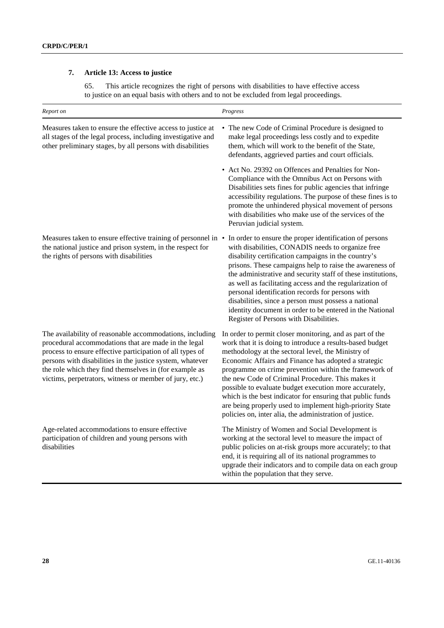# **7. Article 13: Access to justice**

65. This article recognizes the right of persons with disabilities to have effective access to justice on an equal basis with others and to not be excluded from legal proceedings.

| Report on                                                                                                                                                                                                                                                                                                                                                       | Progress                                                                                                                                                                                                                                                                                                                                                                                                                                                                                                                                                                                         |
|-----------------------------------------------------------------------------------------------------------------------------------------------------------------------------------------------------------------------------------------------------------------------------------------------------------------------------------------------------------------|--------------------------------------------------------------------------------------------------------------------------------------------------------------------------------------------------------------------------------------------------------------------------------------------------------------------------------------------------------------------------------------------------------------------------------------------------------------------------------------------------------------------------------------------------------------------------------------------------|
| Measures taken to ensure the effective access to justice at<br>all stages of the legal process, including investigative and<br>other preliminary stages, by all persons with disabilities                                                                                                                                                                       | • The new Code of Criminal Procedure is designed to<br>make legal proceedings less costly and to expedite<br>them, which will work to the benefit of the State,<br>defendants, aggrieved parties and court officials.                                                                                                                                                                                                                                                                                                                                                                            |
|                                                                                                                                                                                                                                                                                                                                                                 | • Act No. 29392 on Offences and Penalties for Non-<br>Compliance with the Omnibus Act on Persons with<br>Disabilities sets fines for public agencies that infringe<br>accessibility regulations. The purpose of these fines is to<br>promote the unhindered physical movement of persons<br>with disabilities who make use of the services of the<br>Peruvian judicial system.                                                                                                                                                                                                                   |
| Measures taken to ensure effective training of personnel in •<br>the national justice and prison system, in the respect for<br>the rights of persons with disabilities                                                                                                                                                                                          | In order to ensure the proper identification of persons<br>with disabilities, CONADIS needs to organize free<br>disability certification campaigns in the country's<br>prisons. These campaigns help to raise the awareness of<br>the administrative and security staff of these institutions,<br>as well as facilitating access and the regularization of<br>personal identification records for persons with<br>disabilities, since a person must possess a national<br>identity document in order to be entered in the National<br>Register of Persons with Disabilities.                     |
| The availability of reasonable accommodations, including<br>procedural accommodations that are made in the legal<br>process to ensure effective participation of all types of<br>persons with disabilities in the justice system, whatever<br>the role which they find themselves in (for example as<br>victims, perpetrators, witness or member of jury, etc.) | In order to permit closer monitoring, and as part of the<br>work that it is doing to introduce a results-based budget<br>methodology at the sectoral level, the Ministry of<br>Economic Affairs and Finance has adopted a strategic<br>programme on crime prevention within the framework of<br>the new Code of Criminal Procedure. This makes it<br>possible to evaluate budget execution more accurately,<br>which is the best indicator for ensuring that public funds<br>are being properly used to implement high-priority State<br>policies on, inter alia, the administration of justice. |
| Age-related accommodations to ensure effective<br>participation of children and young persons with<br>disabilities                                                                                                                                                                                                                                              | The Ministry of Women and Social Development is<br>working at the sectoral level to measure the impact of<br>public policies on at-risk groups more accurately; to that<br>end, it is requiring all of its national programmes to<br>upgrade their indicators and to compile data on each group<br>within the population that they serve.                                                                                                                                                                                                                                                        |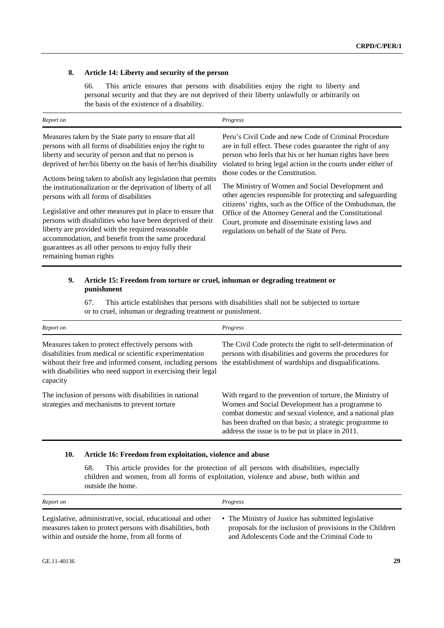#### **8. Article 14: Liberty and security of the person**

66. This article ensures that persons with disabilities enjoy the right to liberty and personal security and that they are not deprived of their liberty unlawfully or arbitrarily on the basis of the existence of a disability.

| Report on                                                                                                                                                                                                                                                                                                                                                                                                                                                                                                                                                                                                                                                                                                                                      | Progress                                                                                                                                                                                                                                                                                                                                                                                                                                                                                                                                                                                                                      |
|------------------------------------------------------------------------------------------------------------------------------------------------------------------------------------------------------------------------------------------------------------------------------------------------------------------------------------------------------------------------------------------------------------------------------------------------------------------------------------------------------------------------------------------------------------------------------------------------------------------------------------------------------------------------------------------------------------------------------------------------|-------------------------------------------------------------------------------------------------------------------------------------------------------------------------------------------------------------------------------------------------------------------------------------------------------------------------------------------------------------------------------------------------------------------------------------------------------------------------------------------------------------------------------------------------------------------------------------------------------------------------------|
| Measures taken by the State party to ensure that all<br>persons with all forms of disabilities enjoy the right to<br>liberty and security of person and that no person is<br>deprived of her/his liberty on the basis of her/his disability<br>Actions being taken to abolish any legislation that permits<br>the institutionalization or the deprivation of liberty of all<br>persons with all forms of disabilities<br>Legislative and other measures put in place to ensure that<br>persons with disabilities who have been deprived of their<br>liberty are provided with the required reasonable<br>accommodation, and benefit from the same procedural<br>guarantees as all other persons to enjoy fully their<br>remaining human rights | Peru's Civil Code and new Code of Criminal Procedure<br>are in full effect. These codes guarantee the right of any<br>person who feels that his or her human rights have been<br>violated to bring legal action in the courts under either of<br>those codes or the Constitution.<br>The Ministry of Women and Social Development and<br>other agencies responsible for protecting and safeguarding<br>citizens' rights, such as the Office of the Ombudsman, the<br>Office of the Attorney General and the Constitutional<br>Court, promote and disseminate existing laws and<br>regulations on behalf of the State of Peru. |

#### **9. Article 15: Freedom from torture or cruel, inhuman or degrading treatment or punishment**

67. This article establishes that persons with disabilities shall not be subjected to torture or to cruel, inhuman or degrading treatment or punishment.

| Report on                                                                                                                                                                                                                                               | Progress                                                                                                                                                                                                                                                                                 |
|---------------------------------------------------------------------------------------------------------------------------------------------------------------------------------------------------------------------------------------------------------|------------------------------------------------------------------------------------------------------------------------------------------------------------------------------------------------------------------------------------------------------------------------------------------|
| Measures taken to protect effectively persons with<br>disabilities from medical or scientific experimentation<br>without their free and informed consent, including persons<br>with disabilities who need support in exercising their legal<br>capacity | The Civil Code protects the right to self-determination of<br>persons with disabilities and governs the procedures for<br>the establishment of wardships and disqualifications.                                                                                                          |
| The inclusion of persons with disabilities in national<br>strategies and mechanisms to prevent torture                                                                                                                                                  | With regard to the prevention of torture, the Ministry of<br>Women and Social Development has a programme to<br>combat domestic and sexual violence, and a national plan<br>has been drafted on that basis; a strategic programme to<br>address the issue is to be put in place in 2011. |

#### **10. Article 16: Freedom from exploitation, violence and abuse**

68. This article provides for the protection of all persons with disabilities, especially children and women, from all forms of exploitation, violence and abuse, both within and outside the home.

| Report on                                                  | Progress                                                  |
|------------------------------------------------------------|-----------------------------------------------------------|
| Legislative, administrative, social, educational and other | • The Ministry of Justice has submitted legislative       |
| measures taken to protect persons with disabilities, both  | proposals for the inclusion of provisions in the Children |
| within and outside the home, from all forms of             | and Adolescents Code and the Criminal Code to             |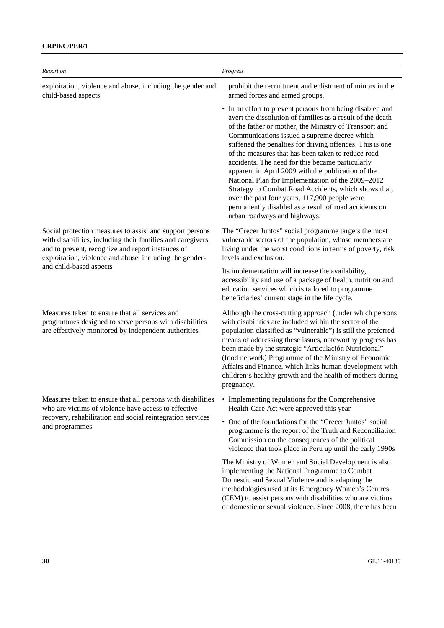### **CRPD/C/PER/1**

| Report on                                                                                                                                                                                                                                                          | Progress                                                                                                                                                                                                                                                                                                                                                                                                                                                                                                                                                                                                                                                                                                              |
|--------------------------------------------------------------------------------------------------------------------------------------------------------------------------------------------------------------------------------------------------------------------|-----------------------------------------------------------------------------------------------------------------------------------------------------------------------------------------------------------------------------------------------------------------------------------------------------------------------------------------------------------------------------------------------------------------------------------------------------------------------------------------------------------------------------------------------------------------------------------------------------------------------------------------------------------------------------------------------------------------------|
| exploitation, violence and abuse, including the gender and<br>child-based aspects                                                                                                                                                                                  | prohibit the recruitment and enlistment of minors in the<br>armed forces and armed groups.                                                                                                                                                                                                                                                                                                                                                                                                                                                                                                                                                                                                                            |
|                                                                                                                                                                                                                                                                    | • In an effort to prevent persons from being disabled and<br>avert the dissolution of families as a result of the death<br>of the father or mother, the Ministry of Transport and<br>Communications issued a supreme decree which<br>stiffened the penalties for driving offences. This is one<br>of the measures that has been taken to reduce road<br>accidents. The need for this became particularly<br>apparent in April 2009 with the publication of the<br>National Plan for Implementation of the 2009-2012<br>Strategy to Combat Road Accidents, which shows that,<br>over the past four years, 117,900 people were<br>permanently disabled as a result of road accidents on<br>urban roadways and highways. |
| Social protection measures to assist and support persons<br>with disabilities, including their families and caregivers,<br>and to prevent, recognize and report instances of<br>exploitation, violence and abuse, including the gender-<br>and child-based aspects | The "Crecer Juntos" social programme targets the most<br>vulnerable sectors of the population, whose members are<br>living under the worst conditions in terms of poverty, risk<br>levels and exclusion.                                                                                                                                                                                                                                                                                                                                                                                                                                                                                                              |
|                                                                                                                                                                                                                                                                    | Its implementation will increase the availability,<br>accessibility and use of a package of health, nutrition and<br>education services which is tailored to programme<br>beneficiaries' current stage in the life cycle.                                                                                                                                                                                                                                                                                                                                                                                                                                                                                             |
| Measures taken to ensure that all services and<br>programmes designed to serve persons with disabilities<br>are effectively monitored by independent authorities                                                                                                   | Although the cross-cutting approach (under which persons<br>with disabilities are included within the sector of the<br>population classified as "vulnerable") is still the preferred<br>means of addressing these issues, noteworthy progress has<br>been made by the strategic "Articulación Nutricional"<br>(food network) Programme of the Ministry of Economic<br>Affairs and Finance, which links human development with<br>children's healthy growth and the health of mothers during<br>pregnancy.                                                                                                                                                                                                             |
| Measures taken to ensure that all persons with disabilities<br>who are victims of violence have access to effective                                                                                                                                                | • Implementing regulations for the Comprehensive<br>Health-Care Act were approved this year                                                                                                                                                                                                                                                                                                                                                                                                                                                                                                                                                                                                                           |
| recovery, rehabilitation and social reintegration services<br>and programmes                                                                                                                                                                                       | • One of the foundations for the "Crecer Juntos" social<br>programme is the report of the Truth and Reconciliation<br>Commission on the consequences of the political<br>violence that took place in Peru up until the early 1990s                                                                                                                                                                                                                                                                                                                                                                                                                                                                                    |
|                                                                                                                                                                                                                                                                    | The Ministry of Women and Social Development is also<br>implementing the National Programme to Combat<br>Domestic and Sexual Violence and is adapting the<br>methodologies used at its Emergency Women's Centres<br>(CEM) to assist persons with disabilities who are victims<br>of domestic or sexual violence. Since 2008, there has been                                                                                                                                                                                                                                                                                                                                                                           |
|                                                                                                                                                                                                                                                                    |                                                                                                                                                                                                                                                                                                                                                                                                                                                                                                                                                                                                                                                                                                                       |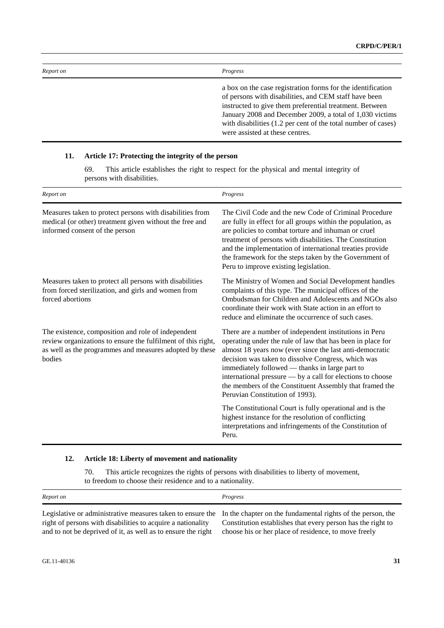| Report on | Progress                                                                                                                                                                                                                                                                                                                                        |
|-----------|-------------------------------------------------------------------------------------------------------------------------------------------------------------------------------------------------------------------------------------------------------------------------------------------------------------------------------------------------|
|           | a box on the case registration forms for the identification<br>of persons with disabilities, and CEM staff have been<br>instructed to give them preferential treatment. Between<br>January 2008 and December 2009, a total of 1,030 victims<br>with disabilities (1.2 per cent of the total number of cases)<br>were assisted at these centres. |

### **11. Article 17: Protecting the integrity of the person**

69. This article establishes the right to respect for the physical and mental integrity of persons with disabilities.

| Report on                                                                                                                                                                               | Progress                                                                                                                                                                                                                                                                                                                                                                                                                                             |
|-----------------------------------------------------------------------------------------------------------------------------------------------------------------------------------------|------------------------------------------------------------------------------------------------------------------------------------------------------------------------------------------------------------------------------------------------------------------------------------------------------------------------------------------------------------------------------------------------------------------------------------------------------|
| Measures taken to protect persons with disabilities from<br>medical (or other) treatment given without the free and<br>informed consent of the person                                   | The Civil Code and the new Code of Criminal Procedure<br>are fully in effect for all groups within the population, as<br>are policies to combat torture and inhuman or cruel<br>treatment of persons with disabilities. The Constitution<br>and the implementation of international treaties provide<br>the framework for the steps taken by the Government of<br>Peru to improve existing legislation.                                              |
| Measures taken to protect all persons with disabilities<br>from forced sterilization, and girls and women from<br>forced abortions                                                      | The Ministry of Women and Social Development handles<br>complaints of this type. The municipal offices of the<br>Ombudsman for Children and Adolescents and NGOs also<br>coordinate their work with State action in an effort to<br>reduce and eliminate the occurrence of such cases.                                                                                                                                                               |
| The existence, composition and role of independent<br>review organizations to ensure the fulfilment of this right,<br>as well as the programmes and measures adopted by these<br>bodies | There are a number of independent institutions in Peru<br>operating under the rule of law that has been in place for<br>almost 18 years now (ever since the last anti-democratic<br>decision was taken to dissolve Congress, which was<br>immediately followed - thanks in large part to<br>international pressure — by a call for elections to choose<br>the members of the Constituent Assembly that framed the<br>Peruvian Constitution of 1993). |
|                                                                                                                                                                                         | The Constitutional Court is fully operational and is the<br>highest instance for the resolution of conflicting<br>interpretations and infringements of the Constitution of<br>Peru.                                                                                                                                                                                                                                                                  |

### **12. Article 18: Liberty of movement and nationality**

70. This article recognizes the rights of persons with disabilities to liberty of movement, to freedom to choose their residence and to a nationality.

| Report on                                                                                                                                                                             | Progress                                                    |
|---------------------------------------------------------------------------------------------------------------------------------------------------------------------------------------|-------------------------------------------------------------|
| Legislative or administrative measures taken to ensure the In the chapter on the fundamental rights of the person, the<br>right of persons with disabilities to acquire a nationality | Constitution establishes that every person has the right to |
| and to not be deprived of it, as well as to ensure the right                                                                                                                          | choose his or her place of residence, to move freely        |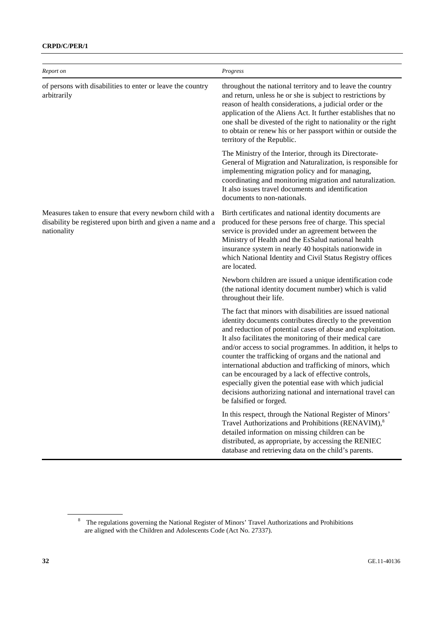### **CRPD/C/PER/1**

| Report on                                                                                                                             | Progress                                                                                                                                                                                                                                                                                                                                                                                                                                                                                                                                                                                                                                            |
|---------------------------------------------------------------------------------------------------------------------------------------|-----------------------------------------------------------------------------------------------------------------------------------------------------------------------------------------------------------------------------------------------------------------------------------------------------------------------------------------------------------------------------------------------------------------------------------------------------------------------------------------------------------------------------------------------------------------------------------------------------------------------------------------------------|
| of persons with disabilities to enter or leave the country<br>arbitrarily                                                             | throughout the national territory and to leave the country<br>and return, unless he or she is subject to restrictions by<br>reason of health considerations, a judicial order or the<br>application of the Aliens Act. It further establishes that no<br>one shall be divested of the right to nationality or the right<br>to obtain or renew his or her passport within or outside the<br>territory of the Republic.                                                                                                                                                                                                                               |
|                                                                                                                                       | The Ministry of the Interior, through its Directorate-<br>General of Migration and Naturalization, is responsible for<br>implementing migration policy and for managing,<br>coordinating and monitoring migration and naturalization.<br>It also issues travel documents and identification<br>documents to non-nationals.                                                                                                                                                                                                                                                                                                                          |
| Measures taken to ensure that every newborn child with a<br>disability be registered upon birth and given a name and a<br>nationality | Birth certificates and national identity documents are<br>produced for these persons free of charge. This special<br>service is provided under an agreement between the<br>Ministry of Health and the EsSalud national health<br>insurance system in nearly 40 hospitals nationwide in<br>which National Identity and Civil Status Registry offices<br>are located.                                                                                                                                                                                                                                                                                 |
|                                                                                                                                       | Newborn children are issued a unique identification code<br>(the national identity document number) which is valid<br>throughout their life.                                                                                                                                                                                                                                                                                                                                                                                                                                                                                                        |
|                                                                                                                                       | The fact that minors with disabilities are issued national<br>identity documents contributes directly to the prevention<br>and reduction of potential cases of abuse and exploitation.<br>It also facilitates the monitoring of their medical care<br>and/or access to social programmes. In addition, it helps to<br>counter the trafficking of organs and the national and<br>international abduction and trafficking of minors, which<br>can be encouraged by a lack of effective controls,<br>especially given the potential ease with which judicial<br>decisions authorizing national and international travel can<br>be falsified or forged. |
|                                                                                                                                       | In this respect, through the National Register of Minors'<br>Travel Authorizations and Prohibitions (RENAVIM), <sup>8</sup><br>detailed information on missing children can be<br>distributed, as appropriate, by accessing the RENIEC<br>database and retrieving data on the child's parents.                                                                                                                                                                                                                                                                                                                                                      |

<sup>&</sup>lt;sup>8</sup> The regulations governing the National Register of Minors' Travel Authorizations and Prohibitions are aligned with the Children and Adolescents Code (Act No. 27337).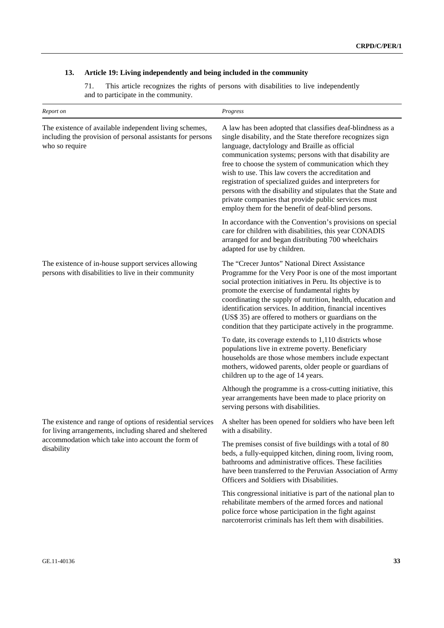# **13. Article 19: Living independently and being included in the community**

71. This article recognizes the rights of persons with disabilities to live independently and to participate in the community.

| Report on                                                                                                                              | Progress                                                                                                                                                                                                                                                                                                                                                                                                                                                                                                                                                                                     |
|----------------------------------------------------------------------------------------------------------------------------------------|----------------------------------------------------------------------------------------------------------------------------------------------------------------------------------------------------------------------------------------------------------------------------------------------------------------------------------------------------------------------------------------------------------------------------------------------------------------------------------------------------------------------------------------------------------------------------------------------|
| The existence of available independent living schemes,<br>including the provision of personal assistants for persons<br>who so require | A law has been adopted that classifies deaf-blindness as a<br>single disability, and the State therefore recognizes sign<br>language, dactylology and Braille as official<br>communication systems; persons with that disability are<br>free to choose the system of communication which they<br>wish to use. This law covers the accreditation and<br>registration of specialized guides and interpreters for<br>persons with the disability and stipulates that the State and<br>private companies that provide public services must<br>employ them for the benefit of deaf-blind persons. |
|                                                                                                                                        | In accordance with the Convention's provisions on special<br>care for children with disabilities, this year CONADIS<br>arranged for and began distributing 700 wheelchairs<br>adapted for use by children.                                                                                                                                                                                                                                                                                                                                                                                   |
| The existence of in-house support services allowing<br>persons with disabilities to live in their community                            | The "Crecer Juntos" National Direct Assistance<br>Programme for the Very Poor is one of the most important<br>social protection initiatives in Peru. Its objective is to<br>promote the exercise of fundamental rights by<br>coordinating the supply of nutrition, health, education and<br>identification services. In addition, financial incentives<br>(US\$ 35) are offered to mothers or guardians on the<br>condition that they participate actively in the programme.                                                                                                                 |
|                                                                                                                                        | To date, its coverage extends to 1,110 districts whose<br>populations live in extreme poverty. Beneficiary<br>households are those whose members include expectant<br>mothers, widowed parents, older people or guardians of<br>children up to the age of 14 years.                                                                                                                                                                                                                                                                                                                          |
|                                                                                                                                        | Although the programme is a cross-cutting initiative, this<br>year arrangements have been made to place priority on<br>serving persons with disabilities.                                                                                                                                                                                                                                                                                                                                                                                                                                    |
| The existence and range of options of residential services<br>for living arrangements, including shared and sheltered                  | A shelter has been opened for soldiers who have been left<br>with a disability.                                                                                                                                                                                                                                                                                                                                                                                                                                                                                                              |
| accommodation which take into account the form of<br>disability                                                                        | The premises consist of five buildings with a total of 80<br>beds, a fully-equipped kitchen, dining room, living room,<br>bathrooms and administrative offices. These facilities<br>have been transferred to the Peruvian Association of Army<br>Officers and Soldiers with Disabilities.                                                                                                                                                                                                                                                                                                    |
|                                                                                                                                        | This congressional initiative is part of the national plan to<br>rehabilitate members of the armed forces and national<br>police force whose participation in the fight against<br>narcoterrorist criminals has left them with disabilities.                                                                                                                                                                                                                                                                                                                                                 |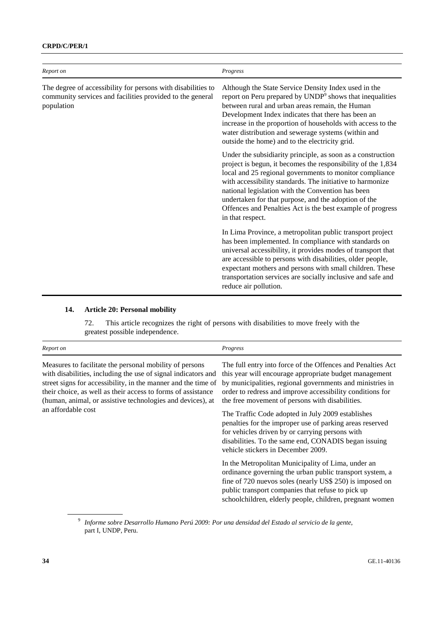### **CRPD/C/PER/1**

| Report on                                                                                                                               | Progress                                                                                                                                                                                                                                                                                                                                                                                                                                           |
|-----------------------------------------------------------------------------------------------------------------------------------------|----------------------------------------------------------------------------------------------------------------------------------------------------------------------------------------------------------------------------------------------------------------------------------------------------------------------------------------------------------------------------------------------------------------------------------------------------|
| The degree of accessibility for persons with disabilities to<br>community services and facilities provided to the general<br>population | Although the State Service Density Index used in the<br>report on Peru prepared by UNDP <sup>9</sup> shows that inequalities<br>between rural and urban areas remain, the Human<br>Development Index indicates that there has been an<br>increase in the proportion of households with access to the<br>water distribution and sewerage systems (within and<br>outside the home) and to the electricity grid.                                      |
|                                                                                                                                         | Under the subsidiarity principle, as soon as a construction<br>project is begun, it becomes the responsibility of the 1,834<br>local and 25 regional governments to monitor compliance<br>with accessibility standards. The initiative to harmonize<br>national legislation with the Convention has been<br>undertaken for that purpose, and the adoption of the<br>Offences and Penalties Act is the best example of progress<br>in that respect. |
|                                                                                                                                         | In Lima Province, a metropolitan public transport project<br>has been implemented. In compliance with standards on<br>universal accessibility, it provides modes of transport that<br>are accessible to persons with disabilities, older people,<br>expectant mothers and persons with small children. These<br>transportation services are socially inclusive and safe and<br>reduce air pollution.                                               |

# **14. Article 20: Personal mobility**

72. This article recognizes the right of persons with disabilities to move freely with the greatest possible independence.

| Report on                                                                                                                                                                                                                                                                                                                                     | Progress                                                                                                                                                                                                                                                                                           |
|-----------------------------------------------------------------------------------------------------------------------------------------------------------------------------------------------------------------------------------------------------------------------------------------------------------------------------------------------|----------------------------------------------------------------------------------------------------------------------------------------------------------------------------------------------------------------------------------------------------------------------------------------------------|
| Measures to facilitate the personal mobility of persons<br>with disabilities, including the use of signal indicators and<br>street signs for accessibility, in the manner and the time of<br>their choice, as well as their access to forms of assistance<br>(human, animal, or assistive technologies and devices), at<br>an affordable cost | The full entry into force of the Offences and Penalties Act<br>this year will encourage appropriate budget management<br>by municipalities, regional governments and ministries in<br>order to redress and improve accessibility conditions for<br>the free movement of persons with disabilities. |
|                                                                                                                                                                                                                                                                                                                                               | The Traffic Code adopted in July 2009 establishes<br>penalties for the improper use of parking areas reserved<br>for vehicles driven by or carrying persons with<br>disabilities. To the same end, CONADIS began issuing<br>vehicle stickers in December 2009.                                     |
|                                                                                                                                                                                                                                                                                                                                               | In the Metropolitan Municipality of Lima, under an<br>ordinance governing the urban public transport system, a<br>fine of 720 nuevos soles (nearly US\$ 250) is imposed on<br>public transport companies that refuse to pick up<br>schoolchildren, elderly people, children, pregnant women        |

<sup>9</sup> *Informe sobre Desarrollo Humano Perú 2009: Por una densidad del Estado al servicio de la gente*, part I, UNDP, Peru.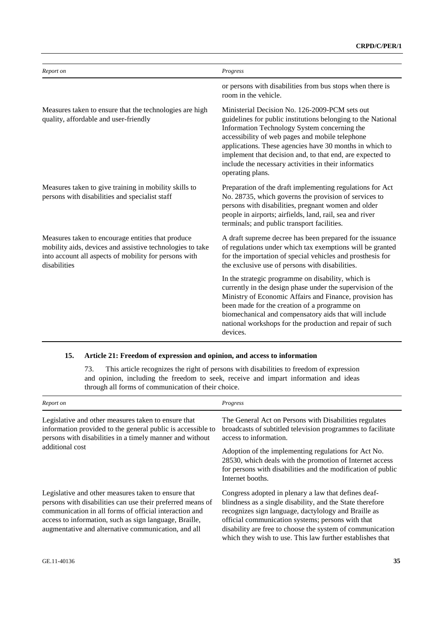| Report on                                                                                                                                                                               | Progress                                                                                                                                                                                                                                                                                                                                                                                                               |
|-----------------------------------------------------------------------------------------------------------------------------------------------------------------------------------------|------------------------------------------------------------------------------------------------------------------------------------------------------------------------------------------------------------------------------------------------------------------------------------------------------------------------------------------------------------------------------------------------------------------------|
|                                                                                                                                                                                         | or persons with disabilities from bus stops when there is<br>room in the vehicle.                                                                                                                                                                                                                                                                                                                                      |
| Measures taken to ensure that the technologies are high<br>quality, affordable and user-friendly                                                                                        | Ministerial Decision No. 126-2009-PCM sets out<br>guidelines for public institutions belonging to the National<br>Information Technology System concerning the<br>accessibility of web pages and mobile telephone<br>applications. These agencies have 30 months in which to<br>implement that decision and, to that end, are expected to<br>include the necessary activities in their informatics<br>operating plans. |
| Measures taken to give training in mobility skills to<br>persons with disabilities and specialist staff                                                                                 | Preparation of the draft implementing regulations for Act<br>No. 28735, which governs the provision of services to<br>persons with disabilities, pregnant women and older<br>people in airports; airfields, land, rail, sea and river<br>terminals; and public transport facilities.                                                                                                                                   |
| Measures taken to encourage entities that produce<br>mobility aids, devices and assistive technologies to take<br>into account all aspects of mobility for persons with<br>disabilities | A draft supreme decree has been prepared for the issuance<br>of regulations under which tax exemptions will be granted<br>for the importation of special vehicles and prosthesis for<br>the exclusive use of persons with disabilities.                                                                                                                                                                                |
|                                                                                                                                                                                         | In the strategic programme on disability, which is<br>currently in the design phase under the supervision of the<br>Ministry of Economic Affairs and Finance, provision has<br>been made for the creation of a programme on<br>biomechanical and compensatory aids that will include<br>national workshops for the production and repair of such<br>devices.                                                           |

### **15. Article 21: Freedom of expression and opinion, and access to information**

73. This article recognizes the right of persons with disabilities to freedom of expression and opinion, including the freedom to seek, receive and impart information and ideas through all forms of communication of their choice.

| Report on                                                                                                                                                                                                                                                                                    | Progress                                                                                                                                                                                                                                                                                                                                                 |
|----------------------------------------------------------------------------------------------------------------------------------------------------------------------------------------------------------------------------------------------------------------------------------------------|----------------------------------------------------------------------------------------------------------------------------------------------------------------------------------------------------------------------------------------------------------------------------------------------------------------------------------------------------------|
| Legislative and other measures taken to ensure that<br>information provided to the general public is accessible to<br>persons with disabilities in a timely manner and without<br>additional cost                                                                                            | The General Act on Persons with Disabilities regulates<br>broadcasts of subtitled television programmes to facilitate<br>access to information.                                                                                                                                                                                                          |
|                                                                                                                                                                                                                                                                                              | Adoption of the implementing regulations for Act No.<br>28530, which deals with the promotion of Internet access<br>for persons with disabilities and the modification of public<br>Internet booths.                                                                                                                                                     |
| Legislative and other measures taken to ensure that<br>persons with disabilities can use their preferred means of<br>communication in all forms of official interaction and<br>access to information, such as sign language, Braille,<br>augmentative and alternative communication, and all | Congress adopted in plenary a law that defines deaf-<br>blindness as a single disability, and the State therefore<br>recognizes sign language, dactylology and Braille as<br>official communication systems; persons with that<br>disability are free to choose the system of communication<br>which they wish to use. This law further establishes that |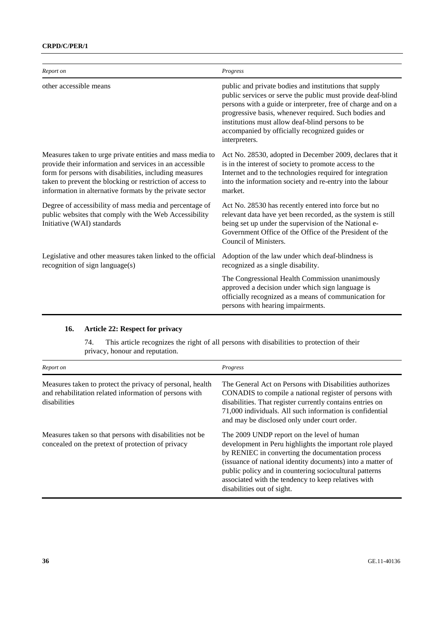| Report on                                                                                                                                                                                                                                                                                               | Progress                                                                                                                                                                                                                                                                                                                                                              |
|---------------------------------------------------------------------------------------------------------------------------------------------------------------------------------------------------------------------------------------------------------------------------------------------------------|-----------------------------------------------------------------------------------------------------------------------------------------------------------------------------------------------------------------------------------------------------------------------------------------------------------------------------------------------------------------------|
| other accessible means                                                                                                                                                                                                                                                                                  | public and private bodies and institutions that supply<br>public services or serve the public must provide deaf-blind<br>persons with a guide or interpreter, free of charge and on a<br>progressive basis, whenever required. Such bodies and<br>institutions must allow deaf-blind persons to be<br>accompanied by officially recognized guides or<br>interpreters. |
| Measures taken to urge private entities and mass media to<br>provide their information and services in an accessible<br>form for persons with disabilities, including measures<br>taken to prevent the blocking or restriction of access to<br>information in alternative formats by the private sector | Act No. 28530, adopted in December 2009, declares that it<br>is in the interest of society to promote access to the<br>Internet and to the technologies required for integration<br>into the information society and re-entry into the labour<br>market.                                                                                                              |
| Degree of accessibility of mass media and percentage of<br>public websites that comply with the Web Accessibility<br>Initiative (WAI) standards                                                                                                                                                         | Act No. 28530 has recently entered into force but no<br>relevant data have yet been recorded, as the system is still<br>being set up under the supervision of the National e-<br>Government Office of the Office of the President of the<br>Council of Ministers.                                                                                                     |
| Legislative and other measures taken linked to the official<br>recognition of sign language(s)                                                                                                                                                                                                          | Adoption of the law under which deaf-blindness is<br>recognized as a single disability.                                                                                                                                                                                                                                                                               |
|                                                                                                                                                                                                                                                                                                         | The Congressional Health Commission unanimously<br>approved a decision under which sign language is<br>officially recognized as a means of communication for<br>persons with hearing impairments.                                                                                                                                                                     |

# **16. Article 22: Respect for privacy**

74. This article recognizes the right of all persons with disabilities to protection of their privacy, honour and reputation.

| Report on                                                                                                                           | Progress                                                                                                                                                                                                                                                                                                                                                                 |
|-------------------------------------------------------------------------------------------------------------------------------------|--------------------------------------------------------------------------------------------------------------------------------------------------------------------------------------------------------------------------------------------------------------------------------------------------------------------------------------------------------------------------|
| Measures taken to protect the privacy of personal, health<br>and rehabilitation related information of persons with<br>disabilities | The General Act on Persons with Disabilities authorizes<br>CONADIS to compile a national register of persons with<br>disabilities. That register currently contains entries on<br>71,000 individuals. All such information is confidential<br>and may be disclosed only under court order.                                                                               |
| Measures taken so that persons with disabilities not be<br>concealed on the pretext of protection of privacy                        | The 2009 UNDP report on the level of human<br>development in Peru highlights the important role played<br>by RENIEC in converting the documentation process<br>(issuance of national identity documents) into a matter of<br>public policy and in countering sociocultural patterns<br>associated with the tendency to keep relatives with<br>disabilities out of sight. |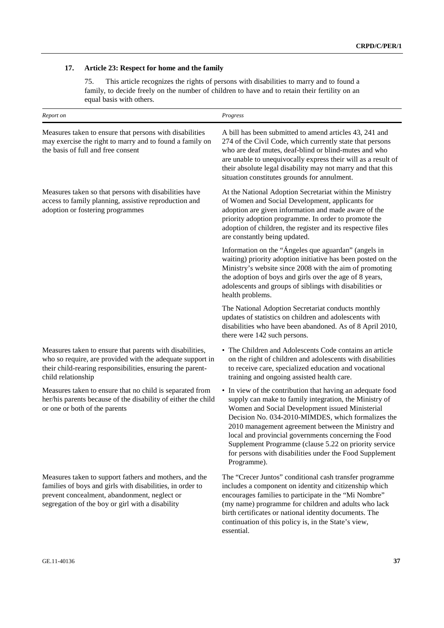### **17. Article 23: Respect for home and the family**

75. This article recognizes the rights of persons with disabilities to marry and to found a family, to decide freely on the number of children to have and to retain their fertility on an equal basis with others.

| Report on                                                                                                                                                                                                               | Progress                                                                                                                                                                                                                                                                                                                                                                                                                                                                       |
|-------------------------------------------------------------------------------------------------------------------------------------------------------------------------------------------------------------------------|--------------------------------------------------------------------------------------------------------------------------------------------------------------------------------------------------------------------------------------------------------------------------------------------------------------------------------------------------------------------------------------------------------------------------------------------------------------------------------|
| Measures taken to ensure that persons with disabilities<br>may exercise the right to marry and to found a family on<br>the basis of full and free consent                                                               | A bill has been submitted to amend articles 43, 241 and<br>274 of the Civil Code, which currently state that persons<br>who are deaf mutes, deaf-blind or blind-mutes and who<br>are unable to unequivocally express their will as a result of<br>their absolute legal disability may not marry and that this<br>situation constitutes grounds for annulment.                                                                                                                  |
| Measures taken so that persons with disabilities have<br>access to family planning, assistive reproduction and<br>adoption or fostering programmes                                                                      | At the National Adoption Secretariat within the Ministry<br>of Women and Social Development, applicants for<br>adoption are given information and made aware of the<br>priority adoption programme. In order to promote the<br>adoption of children, the register and its respective files<br>are constantly being updated.                                                                                                                                                    |
|                                                                                                                                                                                                                         | Information on the "Ángeles que aguardan" (angels in<br>waiting) priority adoption initiative has been posted on the<br>Ministry's website since 2008 with the aim of promoting<br>the adoption of boys and girls over the age of 8 years,<br>adolescents and groups of siblings with disabilities or<br>health problems.                                                                                                                                                      |
|                                                                                                                                                                                                                         | The National Adoption Secretariat conducts monthly<br>updates of statistics on children and adolescents with<br>disabilities who have been abandoned. As of 8 April 2010,<br>there were 142 such persons.                                                                                                                                                                                                                                                                      |
| Measures taken to ensure that parents with disabilities,<br>who so require, are provided with the adequate support in<br>their child-rearing responsibilities, ensuring the parent-<br>child relationship               | • The Children and Adolescents Code contains an article<br>on the right of children and adolescents with disabilities<br>to receive care, specialized education and vocational<br>training and ongoing assisted health care.                                                                                                                                                                                                                                                   |
| Measures taken to ensure that no child is separated from<br>her/his parents because of the disability of either the child<br>or one or both of the parents                                                              | • In view of the contribution that having an adequate food<br>supply can make to family integration, the Ministry of<br>Women and Social Development issued Ministerial<br>Decision No. 034-2010-MIMDES, which formalizes the<br>2010 management agreement between the Ministry and<br>local and provincial governments concerning the Food<br>Supplement Programme (clause 5.22 on priority service<br>for persons with disabilities under the Food Supplement<br>Programme). |
| Measures taken to support fathers and mothers, and the<br>families of boys and girls with disabilities, in order to<br>prevent concealment, abandonment, neglect or<br>segregation of the boy or girl with a disability | The "Crecer Juntos" conditional cash transfer programme<br>includes a component on identity and citizenship which<br>encourages families to participate in the "Mi Nombre"<br>(my name) programme for children and adults who lack<br>birth certificates or national identity documents. The                                                                                                                                                                                   |

essential.

continuation of this policy is, in the State's view,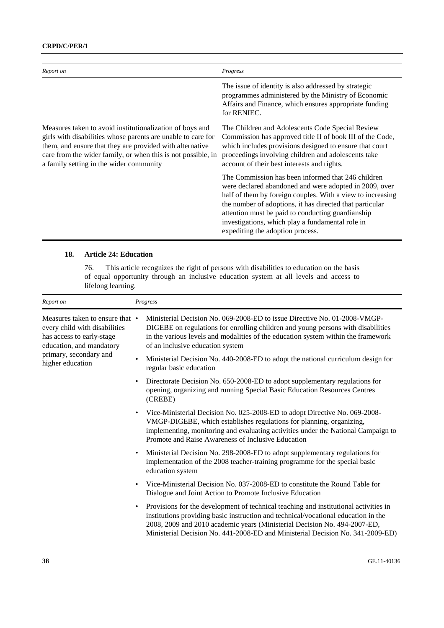| Report on                                                                                                                                                                                                                                                                                       | Progress                                                                                                                                                                                                                                                                                                                                                                            |
|-------------------------------------------------------------------------------------------------------------------------------------------------------------------------------------------------------------------------------------------------------------------------------------------------|-------------------------------------------------------------------------------------------------------------------------------------------------------------------------------------------------------------------------------------------------------------------------------------------------------------------------------------------------------------------------------------|
|                                                                                                                                                                                                                                                                                                 | The issue of identity is also addressed by strategic<br>programmes administered by the Ministry of Economic<br>Affairs and Finance, which ensures appropriate funding<br>for RENIEC.                                                                                                                                                                                                |
| Measures taken to avoid institutionalization of boys and<br>girls with disabilities whose parents are unable to care for<br>them, and ensure that they are provided with alternative<br>care from the wider family, or when this is not possible, in<br>a family setting in the wider community | The Children and Adolescents Code Special Review<br>Commission has approved title II of book III of the Code,<br>which includes provisions designed to ensure that court<br>proceedings involving children and adolescents take<br>account of their best interests and rights.                                                                                                      |
|                                                                                                                                                                                                                                                                                                 | The Commission has been informed that 246 children<br>were declared abandoned and were adopted in 2009, over<br>half of them by foreign couples. With a view to increasing<br>the number of adoptions, it has directed that particular<br>attention must be paid to conducting guardianship<br>investigations, which play a fundamental role in<br>expediting the adoption process. |

### **18. Article 24: Education**

76. This article recognizes the right of persons with disabilities to education on the basis of equal opportunity through an inclusive education system at all levels and access to lifelong learning.

| Report on                                                                                                                                                               | Progress                                                                                                                                                                                                                                                                                                                                               |
|-------------------------------------------------------------------------------------------------------------------------------------------------------------------------|--------------------------------------------------------------------------------------------------------------------------------------------------------------------------------------------------------------------------------------------------------------------------------------------------------------------------------------------------------|
| Measures taken to ensure that •<br>every child with disabilities<br>has access to early-stage<br>education, and mandatory<br>primary, secondary and<br>higher education | Ministerial Decision No. 069-2008-ED to issue Directive No. 01-2008-VMGP-<br>DIGEBE on regulations for enrolling children and young persons with disabilities<br>in the various levels and modalities of the education system within the framework<br>of an inclusive education system                                                                 |
|                                                                                                                                                                         | Ministerial Decision No. 440-2008-ED to adopt the national curriculum design for<br>regular basic education                                                                                                                                                                                                                                            |
|                                                                                                                                                                         | Directorate Decision No. 650-2008-ED to adopt supplementary regulations for<br>opening, organizing and running Special Basic Education Resources Centres<br>(CREBE)                                                                                                                                                                                    |
|                                                                                                                                                                         | Vice-Ministerial Decision No. 025-2008-ED to adopt Directive No. 069-2008-<br>$\bullet$<br>VMGP-DIGEBE, which establishes regulations for planning, organizing,<br>implementing, monitoring and evaluating activities under the National Campaign to<br>Promote and Raise Awareness of Inclusive Education                                             |
|                                                                                                                                                                         | Ministerial Decision No. 298-2008-ED to adopt supplementary regulations for<br>$\bullet$<br>implementation of the 2008 teacher-training programme for the special basic<br>education system                                                                                                                                                            |
|                                                                                                                                                                         | Vice-Ministerial Decision No. 037-2008-ED to constitute the Round Table for<br>$\bullet$<br>Dialogue and Joint Action to Promote Inclusive Education                                                                                                                                                                                                   |
|                                                                                                                                                                         | Provisions for the development of technical teaching and institutional activities in<br>$\bullet$<br>institutions providing basic instruction and technical/vocational education in the<br>2008, 2009 and 2010 academic years (Ministerial Decision No. 494-2007-ED,<br>Ministerial Decision No. 441-2008-ED and Ministerial Decision No. 341-2009-ED) |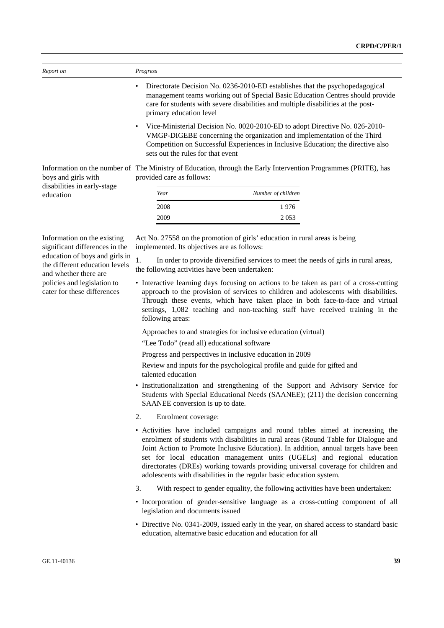| Report on                                | Progress                                                                                                                                                                                                                                                                        |                                                                                                                                                                                                                                                     |  |
|------------------------------------------|---------------------------------------------------------------------------------------------------------------------------------------------------------------------------------------------------------------------------------------------------------------------------------|-----------------------------------------------------------------------------------------------------------------------------------------------------------------------------------------------------------------------------------------------------|--|
|                                          | primary education level                                                                                                                                                                                                                                                         | Directorate Decision No. 0236-2010-ED establishes that the psychopedagogical<br>management teams working out of Special Basic Education Centres should provide<br>care for students with severe disabilities and multiple disabilities at the post- |  |
|                                          | Vice-Ministerial Decision No. 0020-2010-ED to adopt Directive No. 026-2010-<br>VMGP-DIGEBE concerning the organization and implementation of the Third<br>Competition on Successful Experiences in Inclusive Education; the directive also<br>sets out the rules for that event |                                                                                                                                                                                                                                                     |  |
| boys and girls with                      | provided care as follows:                                                                                                                                                                                                                                                       | Information on the number of The Ministry of Education, through the Early Intervention Programmes (PRITE), has                                                                                                                                      |  |
| disabilities in early-stage<br>education | Year                                                                                                                                                                                                                                                                            | Number of children                                                                                                                                                                                                                                  |  |
|                                          | 2008                                                                                                                                                                                                                                                                            | 1976                                                                                                                                                                                                                                                |  |
|                                          | 2009                                                                                                                                                                                                                                                                            | 2 0 5 3                                                                                                                                                                                                                                             |  |

Information on the existing significant differences in the education of boys and girls in the different education levels and whether there are policies and legislation to cater for these differences

Act No. 27558 on the promotion of girls' education in rural areas is being implemented. Its objectives are as follows:

1. In order to provide diversified services to meet the needs of girls in rural areas, the following activities have been undertaken:

• Interactive learning days focusing on actions to be taken as part of a cross-cutting approach to the provision of services to children and adolescents with disabilities. Through these events, which have taken place in both face-to-face and virtual settings, 1,082 teaching and non-teaching staff have received training in the following areas:

Approaches to and strategies for inclusive education (virtual)

"Lee Todo" (read all) educational software

Progress and perspectives in inclusive education in 2009

Review and inputs for the psychological profile and guide for gifted and talented education

- Institutionalization and strengthening of the Support and Advisory Service for Students with Special Educational Needs (SAANEE); (211) the decision concerning SAANEE conversion is up to date.
- 2. Enrolment coverage:
- Activities have included campaigns and round tables aimed at increasing the enrolment of students with disabilities in rural areas (Round Table for Dialogue and Joint Action to Promote Inclusive Education). In addition, annual targets have been set for local education management units (UGELs) and regional education directorates (DREs) working towards providing universal coverage for children and adolescents with disabilities in the regular basic education system.
- 3. With respect to gender equality, the following activities have been undertaken:
- Incorporation of gender-sensitive language as a cross-cutting component of all legislation and documents issued
- Directive No. 0341-2009, issued early in the year, on shared access to standard basic education, alternative basic education and education for all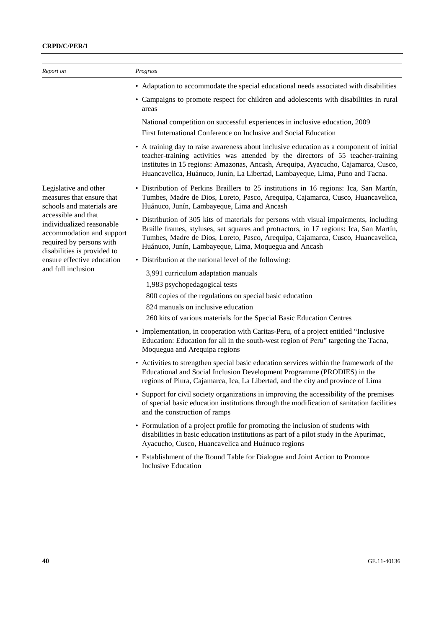| Report on                                                                                                                                                                                    | Progress                                                                                                                                                                                                                                                                                                                                         |
|----------------------------------------------------------------------------------------------------------------------------------------------------------------------------------------------|--------------------------------------------------------------------------------------------------------------------------------------------------------------------------------------------------------------------------------------------------------------------------------------------------------------------------------------------------|
|                                                                                                                                                                                              | • Adaptation to accommodate the special educational needs associated with disabilities                                                                                                                                                                                                                                                           |
|                                                                                                                                                                                              | • Campaigns to promote respect for children and adolescents with disabilities in rural<br>areas                                                                                                                                                                                                                                                  |
|                                                                                                                                                                                              | National competition on successful experiences in inclusive education, 2009<br>First International Conference on Inclusive and Social Education                                                                                                                                                                                                  |
|                                                                                                                                                                                              | • A training day to raise awareness about inclusive education as a component of initial<br>teacher-training activities was attended by the directors of 55 teacher-training<br>institutes in 15 regions: Amazonas, Ancash, Arequipa, Ayacucho, Cajamarca, Cusco,<br>Huancavelica, Huánuco, Junín, La Libertad, Lambayeque, Lima, Puno and Tacna. |
| Legislative and other<br>measures that ensure that<br>schools and materials are<br>accessible and that<br>individualized reasonable<br>accommodation and support<br>required by persons with | • Distribution of Perkins Braillers to 25 institutions in 16 regions: Ica, San Martín,<br>Tumbes, Madre de Dios, Loreto, Pasco, Arequipa, Cajamarca, Cusco, Huancavelica,<br>Huánuco, Junín, Lambayeque, Lima and Ancash                                                                                                                         |
|                                                                                                                                                                                              | • Distribution of 305 kits of materials for persons with visual impairments, including<br>Braille frames, styluses, set squares and protractors, in 17 regions: Ica, San Martín,<br>Tumbes, Madre de Dios, Loreto, Pasco, Arequipa, Cajamarca, Cusco, Huancavelica,<br>Huánuco, Junín, Lambayeque, Lima, Moquegua and Ancash                     |
| disabilities is provided to<br>ensure effective education                                                                                                                                    | • Distribution at the national level of the following:                                                                                                                                                                                                                                                                                           |
| and full inclusion                                                                                                                                                                           | 3,991 curriculum adaptation manuals                                                                                                                                                                                                                                                                                                              |
|                                                                                                                                                                                              | 1,983 psychopedagogical tests                                                                                                                                                                                                                                                                                                                    |
|                                                                                                                                                                                              | 800 copies of the regulations on special basic education                                                                                                                                                                                                                                                                                         |
|                                                                                                                                                                                              | 824 manuals on inclusive education                                                                                                                                                                                                                                                                                                               |
|                                                                                                                                                                                              | 260 kits of various materials for the Special Basic Education Centres                                                                                                                                                                                                                                                                            |
|                                                                                                                                                                                              | • Implementation, in cooperation with Caritas-Peru, of a project entitled "Inclusive<br>Education: Education for all in the south-west region of Peru" targeting the Tacna,<br>Moquegua and Arequipa regions                                                                                                                                     |
|                                                                                                                                                                                              | • Activities to strengthen special basic education services within the framework of the<br>Educational and Social Inclusion Development Programme (PRODIES) in the<br>regions of Piura, Cajamarca, Ica, La Libertad, and the city and province of Lima                                                                                           |
|                                                                                                                                                                                              | Support for civil society organizations in improving the accessibility of the premises<br>of special basic education institutions through the modification of sanitation facilities<br>and the construction of ramps                                                                                                                             |
|                                                                                                                                                                                              | • Formulation of a project profile for promoting the inclusion of students with<br>disabilities in basic education institutions as part of a pilot study in the Apurímac,<br>Ayacucho, Cusco, Huancavelica and Huánuco regions                                                                                                                   |
|                                                                                                                                                                                              | • Establishment of the Round Table for Dialogue and Joint Action to Promote<br><b>Inclusive Education</b>                                                                                                                                                                                                                                        |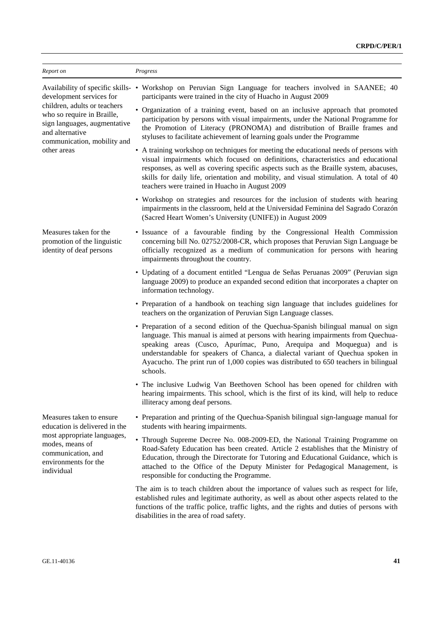| Report on                                                                                                                                                                               | Progress                                                                                                                                                                                                                                                                                                                                                                                                                             |
|-----------------------------------------------------------------------------------------------------------------------------------------------------------------------------------------|--------------------------------------------------------------------------------------------------------------------------------------------------------------------------------------------------------------------------------------------------------------------------------------------------------------------------------------------------------------------------------------------------------------------------------------|
| development services for<br>children, adults or teachers<br>who so require in Braille,<br>sign languages, augmentative<br>and alternative<br>communication, mobility and<br>other areas | Availability of specific skills- • Workshop on Peruvian Sign Language for teachers involved in SAANEE; 40<br>participants were trained in the city of Huacho in August 2009                                                                                                                                                                                                                                                          |
|                                                                                                                                                                                         | • Organization of a training event, based on an inclusive approach that promoted<br>participation by persons with visual impairments, under the National Programme for<br>the Promotion of Literacy (PRONOMA) and distribution of Braille frames and<br>styluses to facilitate achievement of learning goals under the Programme                                                                                                     |
|                                                                                                                                                                                         | • A training workshop on techniques for meeting the educational needs of persons with<br>visual impairments which focused on definitions, characteristics and educational<br>responses, as well as covering specific aspects such as the Braille system, abacuses,<br>skills for daily life, orientation and mobility, and visual stimulation. A total of 40<br>teachers were trained in Huacho in August 2009                       |
|                                                                                                                                                                                         | • Workshop on strategies and resources for the inclusion of students with hearing<br>impairments in the classroom, held at the Universidad Feminina del Sagrado Corazón<br>(Sacred Heart Women's University (UNIFE)) in August 2009                                                                                                                                                                                                  |
| Measures taken for the<br>promotion of the linguistic<br>identity of deaf persons                                                                                                       | • Issuance of a favourable finding by the Congressional Health Commission<br>concerning bill No. 02752/2008-CR, which proposes that Peruvian Sign Language be<br>officially recognized as a medium of communication for persons with hearing<br>impairments throughout the country.                                                                                                                                                  |
|                                                                                                                                                                                         | • Updating of a document entitled "Lengua de Señas Peruanas 2009" (Peruvian sign<br>language 2009) to produce an expanded second edition that incorporates a chapter on<br>information technology.                                                                                                                                                                                                                                   |
|                                                                                                                                                                                         | • Preparation of a handbook on teaching sign language that includes guidelines for<br>teachers on the organization of Peruvian Sign Language classes.                                                                                                                                                                                                                                                                                |
|                                                                                                                                                                                         | • Preparation of a second edition of the Quechua-Spanish bilingual manual on sign<br>language. This manual is aimed at persons with hearing impairments from Quechua-<br>speaking areas (Cusco, Apurímac, Puno, Arequipa and Moquegua) and is<br>understandable for speakers of Chanca, a dialectal variant of Quechua spoken in<br>Ayacucho. The print run of 1,000 copies was distributed to 650 teachers in bilingual<br>schools. |
|                                                                                                                                                                                         | • The inclusive Ludwig Van Beethoven School has been opened for children with<br>hearing impairments. This school, which is the first of its kind, will help to reduce<br>illiteracy among deaf persons.                                                                                                                                                                                                                             |
| Measures taken to ensure<br>education is delivered in the                                                                                                                               | • Preparation and printing of the Quechua-Spanish bilingual sign-language manual for<br>students with hearing impairments.                                                                                                                                                                                                                                                                                                           |
| most appropriate languages,<br>modes, means of<br>communication, and<br>environments for the<br>individual                                                                              | • Through Supreme Decree No. 008-2009-ED, the National Training Programme on<br>Road-Safety Education has been created. Article 2 establishes that the Ministry of<br>Education, through the Directorate for Tutoring and Educational Guidance, which is<br>attached to the Office of the Deputy Minister for Pedagogical Management, is<br>responsible for conducting the Programme.                                                |
|                                                                                                                                                                                         | The aim is to teach children about the importance of values such as respect for life,<br>established rules and legitimate authority, as well as about other aspects related to the<br>functions of the traffic police, traffic lights, and the rights and duties of persons with<br>disabilities in the area of road safety.                                                                                                         |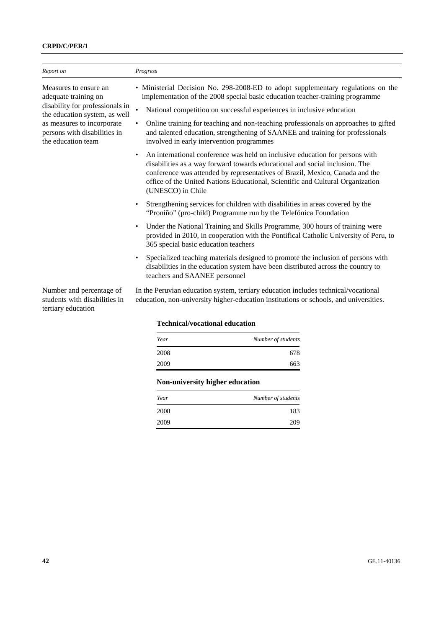### **CRPD/C/PER/1**

| Report on                                                                                                                                                                                             | Progress                                                                                                                                                                                                                                                                                                                                                                                                                                                                                                                                                                                                                                                                                                                                                                                                                                                                                                                                                                                                                                                                                                                                                                                                                                                                                                                                                                                                                       |
|-------------------------------------------------------------------------------------------------------------------------------------------------------------------------------------------------------|--------------------------------------------------------------------------------------------------------------------------------------------------------------------------------------------------------------------------------------------------------------------------------------------------------------------------------------------------------------------------------------------------------------------------------------------------------------------------------------------------------------------------------------------------------------------------------------------------------------------------------------------------------------------------------------------------------------------------------------------------------------------------------------------------------------------------------------------------------------------------------------------------------------------------------------------------------------------------------------------------------------------------------------------------------------------------------------------------------------------------------------------------------------------------------------------------------------------------------------------------------------------------------------------------------------------------------------------------------------------------------------------------------------------------------|
| Measures to ensure an<br>adequate training on<br>disability for professionals in<br>the education system, as well<br>as measures to incorporate<br>persons with disabilities in<br>the education team | • Ministerial Decision No. 298-2008-ED to adopt supplementary regulations on the<br>implementation of the 2008 special basic education teacher-training programme<br>National competition on successful experiences in inclusive education<br>Online training for teaching and non-teaching professionals on approaches to gifted<br>$\bullet$<br>and talented education, strengthening of SAANEE and training for professionals<br>involved in early intervention programmes<br>An international conference was held on inclusive education for persons with<br>disabilities as a way forward towards educational and social inclusion. The<br>conference was attended by representatives of Brazil, Mexico, Canada and the<br>office of the United Nations Educational, Scientific and Cultural Organization<br>(UNESCO) in Chile<br>Strengthening services for children with disabilities in areas covered by the<br>"Proniño" (pro-child) Programme run by the Telefónica Foundation<br>Under the National Training and Skills Programme, 300 hours of training were<br>$\bullet$<br>provided in 2010, in cooperation with the Pontifical Catholic University of Peru, to<br>365 special basic education teachers<br>Specialized teaching materials designed to promote the inclusion of persons with<br>disabilities in the education system have been distributed across the country to<br>teachers and SAANEE personnel |
| Number and percentage of<br>students with disabilities in<br>tertiary education                                                                                                                       | In the Peruvian education system, tertiary education includes technical/vocational<br>education, non-university higher-education institutions or schools, and universities.                                                                                                                                                                                                                                                                                                                                                                                                                                                                                                                                                                                                                                                                                                                                                                                                                                                                                                                                                                                                                                                                                                                                                                                                                                                    |
|                                                                                                                                                                                                       | <b>Technical/vocational education</b>                                                                                                                                                                                                                                                                                                                                                                                                                                                                                                                                                                                                                                                                                                                                                                                                                                                                                                                                                                                                                                                                                                                                                                                                                                                                                                                                                                                          |

| Technicus vocuuonui cuucuuon |                    |
|------------------------------|--------------------|
| Year                         | Number of students |

| 2008 | 678 |
|------|-----|
| 2009 | 663 |
|      |     |

# **Non-university higher education**

| Year | Number of students |
|------|--------------------|
| 2008 | 183                |
| 2009 | 209                |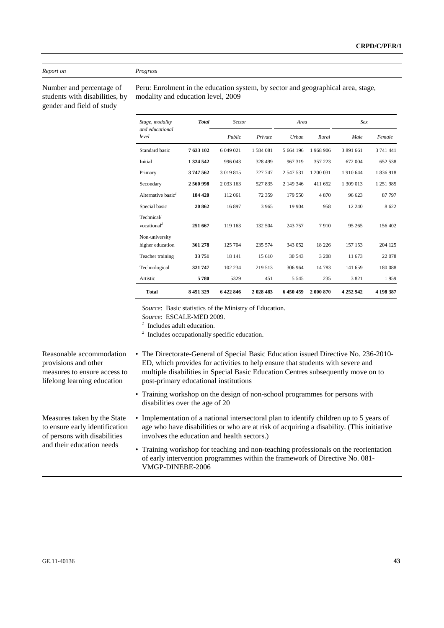#### *Report on Progress*

Number and percentage of students with disabilities, by gender and field of study

Peru: Enrolment in the education system, by sector and geographical area, stage, modality and education level, 2009

| Stage, modality                       | <b>Total</b> | Sector      |           | Area      |           | Sex       |           |
|---------------------------------------|--------------|-------------|-----------|-----------|-----------|-----------|-----------|
| and educational<br>level              |              | Public      | Private   | Urban     | Rural     | Male      | Female    |
| Standard basic                        | 7633102      | 6 049 021   | 1584 081  | 5 664 196 | 1968906   | 3 891 661 | 3 741 441 |
| Initial                               | 1 324 542    | 996 043     | 328 499   | 967 319   | 357 223   | 672 004   | 652 538   |
| Primary                               | 3747562      | 3 019 815   | 727 747   | 2 547 531 | 1 200 031 | 1910644   | 1836918   |
| Secondary                             | 2560998      | 2 0 3 1 6 3 | 527835    | 2 149 346 | 411 652   | 1 309 013 | 1 251 985 |
| Alternative basic <sup>1</sup>        | 184 420      | 112 061     | 72 359    | 179 550   | 4870      | 96 623    | 87 797    |
| Special basic                         | 20862        | 16897       | 3 9 6 5   | 19 904    | 958       | 12 240    | 8 6 22    |
| Technical/<br>vocational <sup>2</sup> | 251 667      | 119 163     | 132 504   | 243 757   | 7910      | 95 265    | 156 402   |
| Non-university                        |              |             |           |           |           |           |           |
| higher education                      | 361 278      | 125 704     | 235 574   | 343 052   | 18 2 2 6  | 157 153   | 204 125   |
| Teacher training                      | 33751        | 18 14 1     | 15 610    | 30 543    | 3 2 0 8   | 11 673    | 22 078    |
| Technological                         | 321 747      | 102 234     | 219 513   | 306 964   | 14783     | 141 659   | 180 088   |
| Artistic                              | 5780         | 5329        | 451       | 5 5 4 5   | 235       | 3821      | 1959      |
| <b>Total</b>                          | 8 451 329    | 6422846     | 2 028 483 | 6450459   | 2 000 870 | 4 252 942 | 4 198 387 |

*Source*: Basic statistics of the Ministry of Education.

*Source*: ESCALE-MED 2009.

*1* Includes adult education.

- *2* Includes occupationally specific education.
- Reasonable accommodation provisions and other measures to ensure access to
- The Directorate-General of Special Basic Education issued Directive No. 236-2010- ED, which provides for activities to help ensure that students with severe and multiple disabilities in Special Basic Education Centres subsequently move on to post-primary educational institutions
- Training workshop on the design of non-school programmes for persons with disabilities over the age of 20
- Implementation of a national intersectoral plan to identify children up to 5 years of age who have disabilities or who are at risk of acquiring a disability. (This initiative involves the education and health sectors.)
	- Training workshop for teaching and non-teaching professionals on the reorientation of early intervention programmes within the framework of Directive No. 081- VMGP-DINEBE-2006

lifelong learning education

Measures taken by the State to ensure early identification of persons with disabilities and their education needs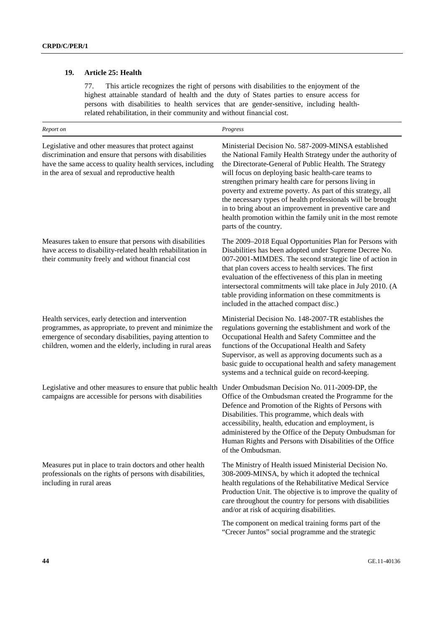# **19. Article 25: Health**

77. This article recognizes the right of persons with disabilities to the enjoyment of the highest attainable standard of health and the duty of States parties to ensure access for persons with disabilities to health services that are gender-sensitive, including healthrelated rehabilitation, in their community and without financial cost.

| Report on                                                                                                                                                                                                                             | Progress                                                                                                                                                                                                                                                                                                                                                                                                                                                                                                                                                                 |
|---------------------------------------------------------------------------------------------------------------------------------------------------------------------------------------------------------------------------------------|--------------------------------------------------------------------------------------------------------------------------------------------------------------------------------------------------------------------------------------------------------------------------------------------------------------------------------------------------------------------------------------------------------------------------------------------------------------------------------------------------------------------------------------------------------------------------|
| Legislative and other measures that protect against<br>discrimination and ensure that persons with disabilities<br>have the same access to quality health services, including<br>in the area of sexual and reproductive health        | Ministerial Decision No. 587-2009-MINSA established<br>the National Family Health Strategy under the authority of<br>the Directorate-General of Public Health. The Strategy<br>will focus on deploying basic health-care teams to<br>strengthen primary health care for persons living in<br>poverty and extreme poverty. As part of this strategy, all<br>the necessary types of health professionals will be brought<br>in to bring about an improvement in preventive care and<br>health promotion within the family unit in the most remote<br>parts of the country. |
| Measures taken to ensure that persons with disabilities<br>have access to disability-related health rehabilitation in<br>their community freely and without financial cost                                                            | The 2009–2018 Equal Opportunities Plan for Persons with<br>Disabilities has been adopted under Supreme Decree No.<br>007-2001-MIMDES. The second strategic line of action in<br>that plan covers access to health services. The first<br>evaluation of the effectiveness of this plan in meeting<br>intersectoral commitments will take place in July 2010. (A<br>table providing information on these commitments is<br>included in the attached compact disc.)                                                                                                         |
| Health services, early detection and intervention<br>programmes, as appropriate, to prevent and minimize the<br>emergence of secondary disabilities, paying attention to<br>children, women and the elderly, including in rural areas | Ministerial Decision No. 148-2007-TR establishes the<br>regulations governing the establishment and work of the<br>Occupational Health and Safety Committee and the<br>functions of the Occupational Health and Safety<br>Supervisor, as well as approving documents such as a<br>basic guide to occupational health and safety management<br>systems and a technical guide on record-keeping.                                                                                                                                                                           |
| Legislative and other measures to ensure that public health<br>campaigns are accessible for persons with disabilities                                                                                                                 | Under Ombudsman Decision No. 011-2009-DP, the<br>Office of the Ombudsman created the Programme for the<br>Defence and Promotion of the Rights of Persons with<br>Disabilities. This programme, which deals with<br>accessibility, health, education and employment, is<br>administered by the Office of the Deputy Ombudsman for<br>Human Rights and Persons with Disabilities of the Office<br>of the Ombudsman.                                                                                                                                                        |
| Measures put in place to train doctors and other health<br>professionals on the rights of persons with disabilities,<br>including in rural areas                                                                                      | The Ministry of Health issued Ministerial Decision No.<br>308-2009-MINSA, by which it adopted the technical<br>health regulations of the Rehabilitative Medical Service<br>Production Unit. The objective is to improve the quality of<br>care throughout the country for persons with disabilities<br>and/or at risk of acquiring disabilities.                                                                                                                                                                                                                         |
|                                                                                                                                                                                                                                       | The component on medical training forms part of the<br>"Crecer Juntos" social programme and the strategic                                                                                                                                                                                                                                                                                                                                                                                                                                                                |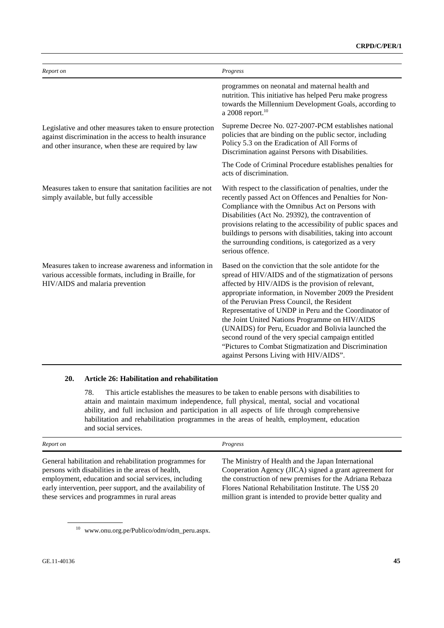| Report on                                                                                                                                                                    | Progress                                                                                                                                                                                                                                                                                                                                                                                                                                                                                                                                                                                                     |
|------------------------------------------------------------------------------------------------------------------------------------------------------------------------------|--------------------------------------------------------------------------------------------------------------------------------------------------------------------------------------------------------------------------------------------------------------------------------------------------------------------------------------------------------------------------------------------------------------------------------------------------------------------------------------------------------------------------------------------------------------------------------------------------------------|
|                                                                                                                                                                              | programmes on neonatal and maternal health and<br>nutrition. This initiative has helped Peru make progress<br>towards the Millennium Development Goals, according to<br>a 2008 report. <sup>10</sup>                                                                                                                                                                                                                                                                                                                                                                                                         |
| Legislative and other measures taken to ensure protection<br>against discrimination in the access to health insurance<br>and other insurance, when these are required by law | Supreme Decree No. 027-2007-PCM establishes national<br>policies that are binding on the public sector, including<br>Policy 5.3 on the Eradication of All Forms of<br>Discrimination against Persons with Disabilities.                                                                                                                                                                                                                                                                                                                                                                                      |
|                                                                                                                                                                              | The Code of Criminal Procedure establishes penalties for<br>acts of discrimination.                                                                                                                                                                                                                                                                                                                                                                                                                                                                                                                          |
| Measures taken to ensure that sanitation facilities are not<br>simply available, but fully accessible                                                                        | With respect to the classification of penalties, under the<br>recently passed Act on Offences and Penalties for Non-<br>Compliance with the Omnibus Act on Persons with<br>Disabilities (Act No. 29392), the contravention of<br>provisions relating to the accessibility of public spaces and<br>buildings to persons with disabilities, taking into account<br>the surrounding conditions, is categorized as a very<br>serious offence.                                                                                                                                                                    |
| Measures taken to increase awareness and information in<br>various accessible formats, including in Braille, for<br>HIV/AIDS and malaria prevention                          | Based on the conviction that the sole antidote for the<br>spread of HIV/AIDS and of the stigmatization of persons<br>affected by HIV/AIDS is the provision of relevant,<br>appropriate information, in November 2009 the President<br>of the Peruvian Press Council, the Resident<br>Representative of UNDP in Peru and the Coordinator of<br>the Joint United Nations Programme on HIV/AIDS<br>(UNAIDS) for Peru, Ecuador and Bolivia launched the<br>second round of the very special campaign entitled<br>"Pictures to Combat Stigmatization and Discrimination<br>against Persons Living with HIV/AIDS". |

#### **20. Article 26: Habilitation and rehabilitation**

78. This article establishes the measures to be taken to enable persons with disabilities to attain and maintain maximum independence, full physical, mental, social and vocational ability, and full inclusion and participation in all aspects of life through comprehensive habilitation and rehabilitation programmes in the areas of health, employment, education and social services.

| Report on                                                 | Progress                                                |
|-----------------------------------------------------------|---------------------------------------------------------|
| General habilitation and rehabilitation programmes for    | The Ministry of Health and the Japan International      |
| persons with disabilities in the areas of health,         | Cooperation Agency (JICA) signed a grant agreement for  |
| employment, education and social services, including      | the construction of new premises for the Adriana Rebaza |
| early intervention, peer support, and the availability of | Flores National Rehabilitation Institute. The US\$ 20   |
| these services and programmes in rural areas              | million grant is intended to provide better quality and |

<sup>10</sup> www.onu.org.pe/Publico/odm/odm\_peru.aspx.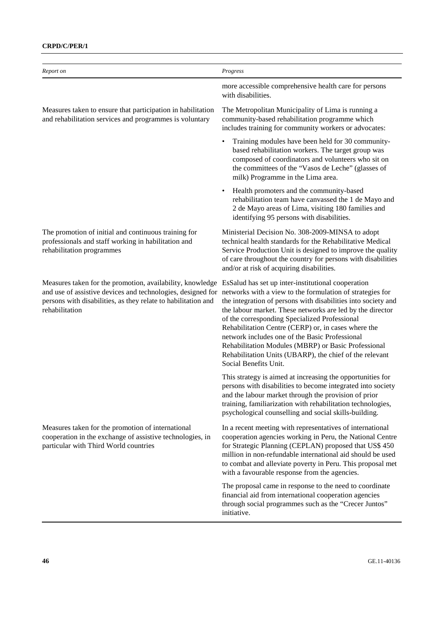### **CRPD/C/PER/1**

| Report on                                                                                                                                                                                                   | Progress                                                                                                                                                                                                                                                                                                                                                                                                                                                                                                                                           |
|-------------------------------------------------------------------------------------------------------------------------------------------------------------------------------------------------------------|----------------------------------------------------------------------------------------------------------------------------------------------------------------------------------------------------------------------------------------------------------------------------------------------------------------------------------------------------------------------------------------------------------------------------------------------------------------------------------------------------------------------------------------------------|
|                                                                                                                                                                                                             | more accessible comprehensive health care for persons<br>with disabilities.                                                                                                                                                                                                                                                                                                                                                                                                                                                                        |
| Measures taken to ensure that participation in habilitation<br>and rehabilitation services and programmes is voluntary                                                                                      | The Metropolitan Municipality of Lima is running a<br>community-based rehabilitation programme which<br>includes training for community workers or advocates:                                                                                                                                                                                                                                                                                                                                                                                      |
|                                                                                                                                                                                                             | Training modules have been held for 30 community-<br>$\bullet$<br>based rehabilitation workers. The target group was<br>composed of coordinators and volunteers who sit on<br>the committees of the "Vasos de Leche" (glasses of<br>milk) Programme in the Lima area.                                                                                                                                                                                                                                                                              |
|                                                                                                                                                                                                             | Health promoters and the community-based<br>$\bullet$<br>rehabilitation team have canvassed the 1 de Mayo and<br>2 de Mayo areas of Lima, visiting 180 families and<br>identifying 95 persons with disabilities.                                                                                                                                                                                                                                                                                                                                   |
| The promotion of initial and continuous training for<br>professionals and staff working in habilitation and<br>rehabilitation programmes                                                                    | Ministerial Decision No. 308-2009-MINSA to adopt<br>technical health standards for the Rehabilitative Medical<br>Service Production Unit is designed to improve the quality<br>of care throughout the country for persons with disabilities<br>and/or at risk of acquiring disabilities.                                                                                                                                                                                                                                                           |
| Measures taken for the promotion, availability, knowledge<br>and use of assistive devices and technologies, designed for<br>persons with disabilities, as they relate to habilitation and<br>rehabilitation | EsSalud has set up inter-institutional cooperation<br>networks with a view to the formulation of strategies for<br>the integration of persons with disabilities into society and<br>the labour market. These networks are led by the director<br>of the corresponding Specialized Professional<br>Rehabilitation Centre (CERP) or, in cases where the<br>network includes one of the Basic Professional<br>Rehabilitation Modules (MBRP) or Basic Professional<br>Rehabilitation Units (UBARP), the chief of the relevant<br>Social Benefits Unit. |
|                                                                                                                                                                                                             | This strategy is aimed at increasing the opportunities for<br>persons with disabilities to become integrated into society<br>and the labour market through the provision of prior<br>training, familiarization with rehabilitation technologies,<br>psychological counselling and social skills-building.                                                                                                                                                                                                                                          |
| Measures taken for the promotion of international<br>cooperation in the exchange of assistive technologies, in<br>particular with Third World countries                                                     | In a recent meeting with representatives of international<br>cooperation agencies working in Peru, the National Centre<br>for Strategic Planning (CEPLAN) proposed that US\$ 450<br>million in non-refundable international aid should be used<br>to combat and alleviate poverty in Peru. This proposal met<br>with a favourable response from the agencies.                                                                                                                                                                                      |
|                                                                                                                                                                                                             | The proposal came in response to the need to coordinate<br>financial aid from international cooperation agencies<br>through social programmes such as the "Crecer Juntos"<br>initiative.                                                                                                                                                                                                                                                                                                                                                           |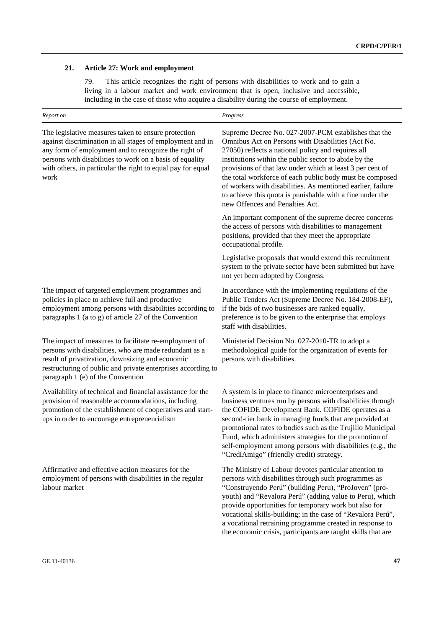### **21. Article 27: Work and employment**

79. This article recognizes the right of persons with disabilities to work and to gain a living in a labour market and work environment that is open, inclusive and accessible, including in the case of those who acquire a disability during the course of employment.

| Report on                                                                                                                                                                                                                                                                                                   | Progress                                                                                                                                                                                                                                                                                                                                                                                                                                                                                                         |  |
|-------------------------------------------------------------------------------------------------------------------------------------------------------------------------------------------------------------------------------------------------------------------------------------------------------------|------------------------------------------------------------------------------------------------------------------------------------------------------------------------------------------------------------------------------------------------------------------------------------------------------------------------------------------------------------------------------------------------------------------------------------------------------------------------------------------------------------------|--|
| The legislative measures taken to ensure protection<br>against discrimination in all stages of employment and in<br>any form of employment and to recognize the right of<br>persons with disabilities to work on a basis of equality<br>with others, in particular the right to equal pay for equal<br>work | Supreme Decree No. 027-2007-PCM establishes that the<br>Omnibus Act on Persons with Disabilities (Act No.<br>27050) reflects a national policy and requires all<br>institutions within the public sector to abide by the<br>provisions of that law under which at least 3 per cent of<br>the total workforce of each public body must be composed<br>of workers with disabilities. As mentioned earlier, failure<br>to achieve this quota is punishable with a fine under the<br>new Offences and Penalties Act. |  |
|                                                                                                                                                                                                                                                                                                             | An important component of the supreme decree concerns<br>the access of persons with disabilities to management<br>positions, provided that they meet the appropriate<br>occupational profile.                                                                                                                                                                                                                                                                                                                    |  |
|                                                                                                                                                                                                                                                                                                             | Legislative proposals that would extend this recruitment<br>system to the private sector have been submitted but have<br>not yet been adopted by Congress.                                                                                                                                                                                                                                                                                                                                                       |  |
| The impact of targeted employment programmes and<br>policies in place to achieve full and productive<br>employment among persons with disabilities according to<br>paragraphs 1 (a to g) of article 27 of the Convention                                                                                    | In accordance with the implementing regulations of the<br>Public Tenders Act (Supreme Decree No. 184-2008-EF),<br>if the bids of two businesses are ranked equally,<br>preference is to be given to the enterprise that employs<br>staff with disabilities.                                                                                                                                                                                                                                                      |  |
| The impact of measures to facilitate re-employment of<br>persons with disabilities, who are made redundant as a<br>result of privatization, downsizing and economic<br>restructuring of public and private enterprises according to<br>paragraph 1 (e) of the Convention                                    | Ministerial Decision No. 027-2010-TR to adopt a<br>methodological guide for the organization of events for<br>persons with disabilities.                                                                                                                                                                                                                                                                                                                                                                         |  |
| Availability of technical and financial assistance for the<br>provision of reasonable accommodations, including<br>promotion of the establishment of cooperatives and start-<br>ups in order to encourage entrepreneurialism                                                                                | A system is in place to finance microenterprises and<br>business ventures run by persons with disabilities through<br>the COFIDE Development Bank. COFIDE operates as a<br>second-tier bank in managing funds that are provided at<br>promotional rates to bodies such as the Trujillo Municipal<br>Fund, which administers strategies for the promotion of<br>self-employment among persons with disabilities (e.g., the<br>"CrediAmigo" (friendly credit) strategy.                                            |  |
| Affirmative and effective action measures for the<br>employment of persons with disabilities in the regular<br>labour market                                                                                                                                                                                | The Ministry of Labour devotes particular attention to<br>persons with disabilities through such programmes as<br>"Construyendo Perú" (building Peru), "ProJoven" (pro-<br>youth) and "Revalora Perú" (adding value to Peru), which<br>provide opportunities for temporary work but also for<br>vocational skills-building; in the case of "Revalora Perú",<br>a vocational retraining programme created in response to<br>the economic crisis, participants are taught skills that are                          |  |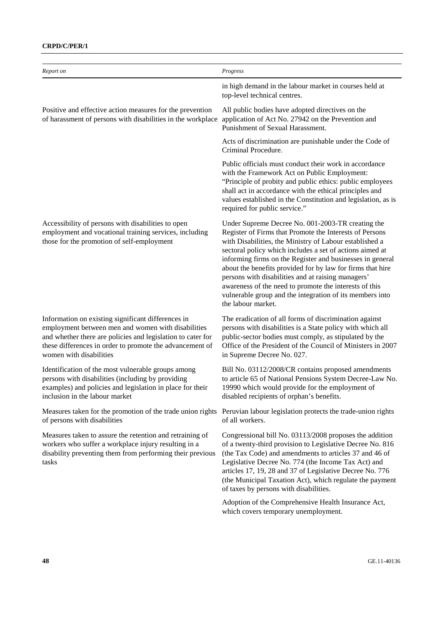### **CRPD/C/PER/1**

| Report on                                                                                                                                                                                                                                                      | Progress                                                                                                                                                                                                                                                                                                                                                                                                                                                                                                                                                         |
|----------------------------------------------------------------------------------------------------------------------------------------------------------------------------------------------------------------------------------------------------------------|------------------------------------------------------------------------------------------------------------------------------------------------------------------------------------------------------------------------------------------------------------------------------------------------------------------------------------------------------------------------------------------------------------------------------------------------------------------------------------------------------------------------------------------------------------------|
|                                                                                                                                                                                                                                                                | in high demand in the labour market in courses held at<br>top-level technical centres.                                                                                                                                                                                                                                                                                                                                                                                                                                                                           |
| Positive and effective action measures for the prevention<br>of harassment of persons with disabilities in the workplace                                                                                                                                       | All public bodies have adopted directives on the<br>application of Act No. 27942 on the Prevention and<br>Punishment of Sexual Harassment.                                                                                                                                                                                                                                                                                                                                                                                                                       |
|                                                                                                                                                                                                                                                                | Acts of discrimination are punishable under the Code of<br>Criminal Procedure.                                                                                                                                                                                                                                                                                                                                                                                                                                                                                   |
|                                                                                                                                                                                                                                                                | Public officials must conduct their work in accordance<br>with the Framework Act on Public Employment:<br>"Principle of probity and public ethics: public employees<br>shall act in accordance with the ethical principles and<br>values established in the Constitution and legislation, as is<br>required for public service."                                                                                                                                                                                                                                 |
| Accessibility of persons with disabilities to open<br>employment and vocational training services, including<br>those for the promotion of self-employment                                                                                                     | Under Supreme Decree No. 001-2003-TR creating the<br>Register of Firms that Promote the Interests of Persons<br>with Disabilities, the Ministry of Labour established a<br>sectoral policy which includes a set of actions aimed at<br>informing firms on the Register and businesses in general<br>about the benefits provided for by law for firms that hire<br>persons with disabilities and at raising managers'<br>awareness of the need to promote the interests of this<br>vulnerable group and the integration of its members into<br>the labour market. |
| Information on existing significant differences in<br>employment between men and women with disabilities<br>and whether there are policies and legislation to cater for<br>these differences in order to promote the advancement of<br>women with disabilities | The eradication of all forms of discrimination against<br>persons with disabilities is a State policy with which all<br>public-sector bodies must comply, as stipulated by the<br>Office of the President of the Council of Ministers in 2007<br>in Supreme Decree No. 027.                                                                                                                                                                                                                                                                                      |
| Identification of the most vulnerable groups among<br>persons with disabilities (including by providing<br>examples) and policies and legislation in place for their<br>inclusion in the labour market                                                         | Bill No. 03112/2008/CR contains proposed amendments<br>to article 65 of National Pensions System Decree-Law No.<br>19990 which would provide for the employment of<br>disabled recipients of orphan's benefits.                                                                                                                                                                                                                                                                                                                                                  |
| Measures taken for the promotion of the trade union rights Peruvian labour legislation protects the trade-union rights<br>of persons with disabilities                                                                                                         | of all workers.                                                                                                                                                                                                                                                                                                                                                                                                                                                                                                                                                  |
| Measures taken to assure the retention and retraining of<br>workers who suffer a workplace injury resulting in a<br>disability preventing them from performing their previous<br>tasks                                                                         | Congressional bill No. 03113/2008 proposes the addition<br>of a twenty-third provision to Legislative Decree No. 816<br>(the Tax Code) and amendments to articles 37 and 46 of<br>Legislative Decree No. 774 (the Income Tax Act) and<br>articles 17, 19, 28 and 37 of Legislative Decree No. 776<br>(the Municipal Taxation Act), which regulate the payment<br>of taxes by persons with disabilities.                                                                                                                                                          |
|                                                                                                                                                                                                                                                                | Adoption of the Comprehensive Health Insurance Act,<br>which covers temporary unemployment.                                                                                                                                                                                                                                                                                                                                                                                                                                                                      |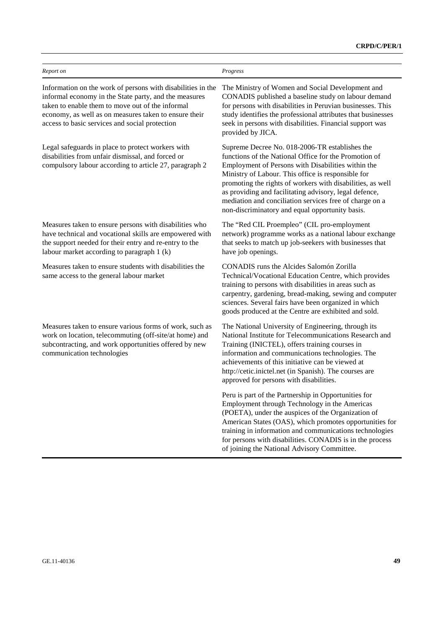| Report on                                                                                                                                                                                                                                                                           | Progress                                                                                                                                                                                                                                                                                                                                                                                                                                                  |
|-------------------------------------------------------------------------------------------------------------------------------------------------------------------------------------------------------------------------------------------------------------------------------------|-----------------------------------------------------------------------------------------------------------------------------------------------------------------------------------------------------------------------------------------------------------------------------------------------------------------------------------------------------------------------------------------------------------------------------------------------------------|
| Information on the work of persons with disabilities in the<br>informal economy in the State party, and the measures<br>taken to enable them to move out of the informal<br>economy, as well as on measures taken to ensure their<br>access to basic services and social protection | The Ministry of Women and Social Development and<br>CONADIS published a baseline study on labour demand<br>for persons with disabilities in Peruvian businesses. This<br>study identifies the professional attributes that businesses<br>seek in persons with disabilities. Financial support was<br>provided by JICA.                                                                                                                                    |
| Legal safeguards in place to protect workers with<br>disabilities from unfair dismissal, and forced or<br>compulsory labour according to article 27, paragraph 2                                                                                                                    | Supreme Decree No. 018-2006-TR establishes the<br>functions of the National Office for the Promotion of<br>Employment of Persons with Disabilities within the<br>Ministry of Labour. This office is responsible for<br>promoting the rights of workers with disabilities, as well<br>as providing and facilitating advisory, legal defence,<br>mediation and conciliation services free of charge on a<br>non-discriminatory and equal opportunity basis. |
| Measures taken to ensure persons with disabilities who<br>have technical and vocational skills are empowered with<br>the support needed for their entry and re-entry to the<br>labour market according to paragraph 1 (k)                                                           | The "Red CIL Proempleo" (CIL pro-employment<br>network) programme works as a national labour exchange<br>that seeks to match up job-seekers with businesses that<br>have job openings.                                                                                                                                                                                                                                                                    |
| Measures taken to ensure students with disabilities the<br>same access to the general labour market                                                                                                                                                                                 | CONADIS runs the Alcides Salomón Zorilla<br>Technical/Vocational Education Centre, which provides<br>training to persons with disabilities in areas such as<br>carpentry, gardening, bread-making, sewing and computer<br>sciences. Several fairs have been organized in which<br>goods produced at the Centre are exhibited and sold.                                                                                                                    |
| Measures taken to ensure various forms of work, such as<br>work on location, telecommuting (off-site/at home) and<br>subcontracting, and work opportunities offered by new<br>communication technologies                                                                            | The National University of Engineering, through its<br>National Institute for Telecommunications Research and<br>Training (INICTEL), offers training courses in<br>information and communications technologies. The<br>achievements of this initiative can be viewed at<br>http://cetic.inictel.net (in Spanish). The courses are<br>approved for persons with disabilities.                                                                              |
|                                                                                                                                                                                                                                                                                     | Peru is part of the Partnership in Opportunities for<br>Employment through Technology in the Americas<br>(POETA), under the auspices of the Organization of<br>American States (OAS), which promotes opportunities for<br>training in information and communications technologies<br>for persons with disabilities. CONADIS is in the process<br>of joining the National Advisory Committee.                                                              |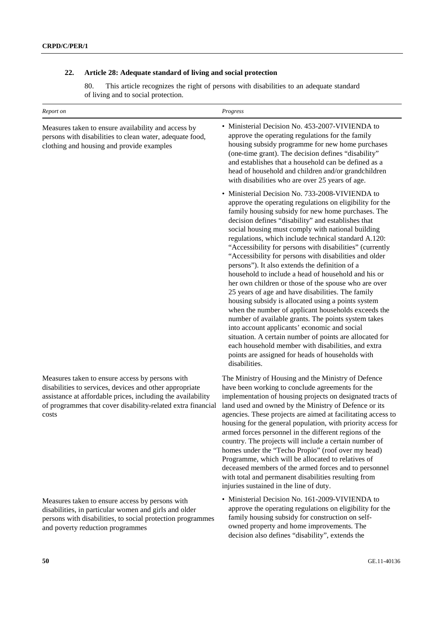# **22. Article 28: Adequate standard of living and social protection**

80. This article recognizes the right of persons with disabilities to an adequate standard of living and to social protection.

| Report on                                                                                                                                                                                                                                         | Progress                                                                                                                                                                                                                                                                                                                                                                                                                                                                                                                                                                                                                                                                                                                                                                                                                                                                                                                                                                                                                                                                                   |  |  |
|---------------------------------------------------------------------------------------------------------------------------------------------------------------------------------------------------------------------------------------------------|--------------------------------------------------------------------------------------------------------------------------------------------------------------------------------------------------------------------------------------------------------------------------------------------------------------------------------------------------------------------------------------------------------------------------------------------------------------------------------------------------------------------------------------------------------------------------------------------------------------------------------------------------------------------------------------------------------------------------------------------------------------------------------------------------------------------------------------------------------------------------------------------------------------------------------------------------------------------------------------------------------------------------------------------------------------------------------------------|--|--|
| Measures taken to ensure availability and access by<br>persons with disabilities to clean water, adequate food,<br>clothing and housing and provide examples                                                                                      | • Ministerial Decision No. 453-2007-VIVIENDA to<br>approve the operating regulations for the family<br>housing subsidy programme for new home purchases<br>(one-time grant). The decision defines "disability"<br>and establishes that a household can be defined as a<br>head of household and children and/or grandchildren<br>with disabilities who are over 25 years of age.                                                                                                                                                                                                                                                                                                                                                                                                                                                                                                                                                                                                                                                                                                           |  |  |
|                                                                                                                                                                                                                                                   | • Ministerial Decision No. 733-2008-VIVIENDA to<br>approve the operating regulations on eligibility for the<br>family housing subsidy for new home purchases. The<br>decision defines "disability" and establishes that<br>social housing must comply with national building<br>regulations, which include technical standard A.120:<br>"Accessibility for persons with disabilities" (currently<br>"Accessibility for persons with disabilities and older<br>persons"). It also extends the definition of a<br>household to include a head of household and his or<br>her own children or those of the spouse who are over<br>25 years of age and have disabilities. The family<br>housing subsidy is allocated using a points system<br>when the number of applicant households exceeds the<br>number of available grants. The points system takes<br>into account applicants' economic and social<br>situation. A certain number of points are allocated for<br>each household member with disabilities, and extra<br>points are assigned for heads of households with<br>disabilities. |  |  |
| Measures taken to ensure access by persons with<br>disabilities to services, devices and other appropriate<br>assistance at affordable prices, including the availability<br>of programmes that cover disability-related extra financial<br>costs | The Ministry of Housing and the Ministry of Defence<br>have been working to conclude agreements for the<br>implementation of housing projects on designated tracts of<br>land used and owned by the Ministry of Defence or its<br>agencies. These projects are aimed at facilitating access to<br>housing for the general population, with priority access for<br>armed forces personnel in the different regions of the<br>country. The projects will include a certain number of<br>homes under the "Techo Propio" (roof over my head)<br>Programme, which will be allocated to relatives of<br>deceased members of the armed forces and to personnel<br>with total and permanent disabilities resulting from<br>injuries sustained in the line of duty.                                                                                                                                                                                                                                                                                                                                 |  |  |
| Measures taken to ensure access by persons with<br>disabilities, in particular women and girls and older<br>persons with disabilities, to social protection programmes<br>and poverty reduction programmes                                        | • Ministerial Decision No. 161-2009-VIVIENDA to<br>approve the operating regulations on eligibility for the<br>family housing subsidy for construction on self-<br>owned property and home improvements. The<br>decision also defines "disability", extends the                                                                                                                                                                                                                                                                                                                                                                                                                                                                                                                                                                                                                                                                                                                                                                                                                            |  |  |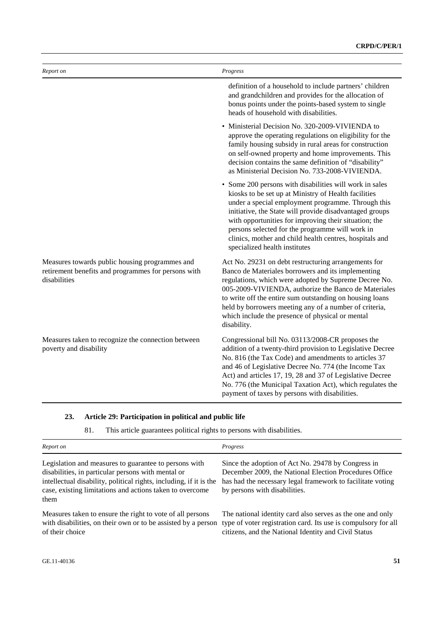| Report on                                                                                                             | Progress                                                                                                                                                                                                                                                                                                                                                                                                                                 |
|-----------------------------------------------------------------------------------------------------------------------|------------------------------------------------------------------------------------------------------------------------------------------------------------------------------------------------------------------------------------------------------------------------------------------------------------------------------------------------------------------------------------------------------------------------------------------|
|                                                                                                                       | definition of a household to include partners' children<br>and grandchildren and provides for the allocation of<br>bonus points under the points-based system to single<br>heads of household with disabilities.                                                                                                                                                                                                                         |
|                                                                                                                       | Ministerial Decision No. 320-2009-VIVIENDA to<br>approve the operating regulations on eligibility for the<br>family housing subsidy in rural areas for construction<br>on self-owned property and home improvements. This<br>decision contains the same definition of "disability"<br>as Ministerial Decision No. 733-2008-VIVIENDA.                                                                                                     |
|                                                                                                                       | • Some 200 persons with disabilities will work in sales<br>kiosks to be set up at Ministry of Health facilities<br>under a special employment programme. Through this<br>initiative, the State will provide disadvantaged groups<br>with opportunities for improving their situation; the<br>persons selected for the programme will work in<br>clinics, mother and child health centres, hospitals and<br>specialized health institutes |
| Measures towards public housing programmes and<br>retirement benefits and programmes for persons with<br>disabilities | Act No. 29231 on debt restructuring arrangements for<br>Banco de Materiales borrowers and its implementing<br>regulations, which were adopted by Supreme Decree No.<br>005-2009-VIVIENDA, authorize the Banco de Materiales<br>to write off the entire sum outstanding on housing loans<br>held by borrowers meeting any of a number of criteria,<br>which include the presence of physical or mental<br>disability.                     |
| Measures taken to recognize the connection between<br>poverty and disability                                          | Congressional bill No. 03113/2008-CR proposes the<br>addition of a twenty-third provision to Legislative Decree<br>No. 816 (the Tax Code) and amendments to articles 37<br>and 46 of Legislative Decree No. 774 (the Income Tax<br>Act) and articles 17, 19, 28 and 37 of Legislative Decree<br>No. 776 (the Municipal Taxation Act), which regulates the<br>payment of taxes by persons with disabilities.                              |

# **23. Article 29: Participation in political and public life**

81. This article guarantees political rights to persons with disabilities.

| Report on                                                                                                                                                                                                                                             | Progress                                                                                                                                                                                                    |
|-------------------------------------------------------------------------------------------------------------------------------------------------------------------------------------------------------------------------------------------------------|-------------------------------------------------------------------------------------------------------------------------------------------------------------------------------------------------------------|
| Legislation and measures to guarantee to persons with<br>disabilities, in particular persons with mental or<br>intellectual disability, political rights, including, if it is the<br>case, existing limitations and actions taken to overcome<br>them | Since the adoption of Act No. 29478 by Congress in<br>December 2009, the National Election Procedures Office<br>has had the necessary legal framework to facilitate voting<br>by persons with disabilities. |
| Measures taken to ensure the right to vote of all persons<br>with disabilities, on their own or to be assisted by a person<br>of their choice                                                                                                         | The national identity card also serves as the one and only<br>type of voter registration card. Its use is compulsory for all<br>citizens, and the National Identity and Civil Status                        |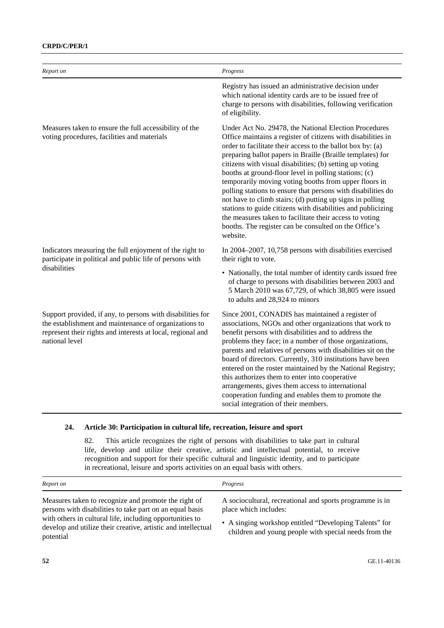| Report on                                                                                                                                                                                            | Progress                                                                                                                                                                                                                                                                                                                                                                                                                                                                                                                                                                                                                                                                                                                                                     |
|------------------------------------------------------------------------------------------------------------------------------------------------------------------------------------------------------|--------------------------------------------------------------------------------------------------------------------------------------------------------------------------------------------------------------------------------------------------------------------------------------------------------------------------------------------------------------------------------------------------------------------------------------------------------------------------------------------------------------------------------------------------------------------------------------------------------------------------------------------------------------------------------------------------------------------------------------------------------------|
|                                                                                                                                                                                                      | Registry has issued an administrative decision under<br>which national identity cards are to be issued free of<br>charge to persons with disabilities, following verification<br>of eligibility.                                                                                                                                                                                                                                                                                                                                                                                                                                                                                                                                                             |
| Measures taken to ensure the full accessibility of the<br>voting procedures, facilities and materials                                                                                                | Under Act No. 29478, the National Election Procedures<br>Office maintains a register of citizens with disabilities in<br>order to facilitate their access to the ballot box by: (a)<br>preparing ballot papers in Braille (Braille templates) for<br>citizens with visual disabilities; (b) setting up voting<br>booths at ground-floor level in polling stations; (c)<br>temporarily moving voting booths from upper floors in<br>polling stations to ensure that persons with disabilities do<br>not have to climb stairs; (d) putting up signs in polling<br>stations to guide citizens with disabilities and publicizing<br>the measures taken to facilitate their access to voting<br>booths. The register can be consulted on the Office's<br>website. |
| Indicators measuring the full enjoyment of the right to<br>participate in political and public life of persons with<br>disabilities                                                                  | In 2004–2007, 10,758 persons with disabilities exercised<br>their right to vote.                                                                                                                                                                                                                                                                                                                                                                                                                                                                                                                                                                                                                                                                             |
|                                                                                                                                                                                                      | • Nationally, the total number of identity cards issued free<br>of charge to persons with disabilities between 2003 and<br>5 March 2010 was 67,729, of which 38,805 were issued<br>to adults and 28,924 to minors                                                                                                                                                                                                                                                                                                                                                                                                                                                                                                                                            |
| Support provided, if any, to persons with disabilities for<br>the establishment and maintenance of organizations to<br>represent their rights and interests at local, regional and<br>national level | Since 2001, CONADIS has maintained a register of<br>associations, NGOs and other organizations that work to<br>benefit persons with disabilities and to address the<br>problems they face; in a number of those organizations,<br>parents and relatives of persons with disabilities sit on the<br>board of directors. Currently, 310 institutions have been<br>entered on the roster maintained by the National Registry;<br>this authorizes them to enter into cooperative<br>arrangements, gives them access to international<br>cooperation funding and enables them to promote the<br>social integration of their members.                                                                                                                              |

#### **24. Article 30: Participation in cultural life, recreation, leisure and sport**

82. This article recognizes the right of persons with disabilities to take part in cultural life, develop and utilize their creative, artistic and intellectual potential, to receive recognition and support for their specific cultural and linguistic identity, and to participate in recreational, leisure and sports activities on an equal basis with others.

| Report on                                                                                                                                                                                                                                                  | Progress                                                                                                                                                                                             |
|------------------------------------------------------------------------------------------------------------------------------------------------------------------------------------------------------------------------------------------------------------|------------------------------------------------------------------------------------------------------------------------------------------------------------------------------------------------------|
| Measures taken to recognize and promote the right of<br>persons with disabilities to take part on an equal basis<br>with others in cultural life, including opportunities to<br>develop and utilize their creative, artistic and intellectual<br>potential | A sociocultural, recreational and sports programme is in<br>place which includes:<br>• A singing workshop entitled "Developing Talents" for<br>children and young people with special needs from the |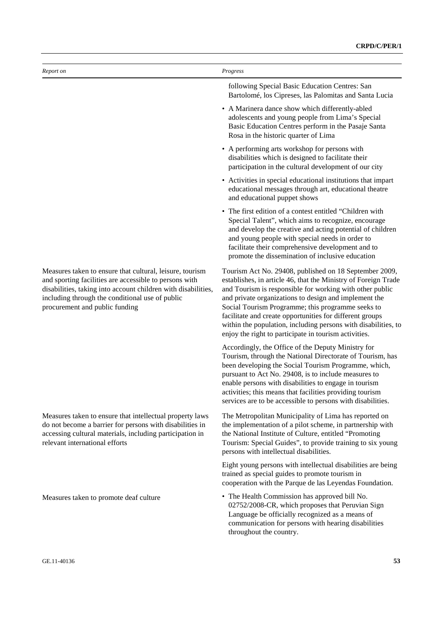| Report on                                                                                                                                                                                                                                                                | Progress                                                                                                                                                                                                                                                                                                                                                                                                                                                                                  |
|--------------------------------------------------------------------------------------------------------------------------------------------------------------------------------------------------------------------------------------------------------------------------|-------------------------------------------------------------------------------------------------------------------------------------------------------------------------------------------------------------------------------------------------------------------------------------------------------------------------------------------------------------------------------------------------------------------------------------------------------------------------------------------|
|                                                                                                                                                                                                                                                                          | following Special Basic Education Centres: San<br>Bartolomé, los Cipreses, las Palomitas and Santa Lucia                                                                                                                                                                                                                                                                                                                                                                                  |
|                                                                                                                                                                                                                                                                          | • A Marinera dance show which differently-abled<br>adolescents and young people from Lima's Special<br>Basic Education Centres perform in the Pasaje Santa<br>Rosa in the historic quarter of Lima                                                                                                                                                                                                                                                                                        |
|                                                                                                                                                                                                                                                                          | • A performing arts workshop for persons with<br>disabilities which is designed to facilitate their<br>participation in the cultural development of our city                                                                                                                                                                                                                                                                                                                              |
|                                                                                                                                                                                                                                                                          | • Activities in special educational institutions that impart<br>educational messages through art, educational theatre<br>and educational puppet shows                                                                                                                                                                                                                                                                                                                                     |
|                                                                                                                                                                                                                                                                          | • The first edition of a contest entitled "Children with<br>Special Talent", which aims to recognize, encourage<br>and develop the creative and acting potential of children<br>and young people with special needs in order to<br>facilitate their comprehensive development and to<br>promote the dissemination of inclusive education                                                                                                                                                  |
| Measures taken to ensure that cultural, leisure, tourism<br>and sporting facilities are accessible to persons with<br>disabilities, taking into account children with disabilities,<br>including through the conditional use of public<br>procurement and public funding | Tourism Act No. 29408, published on 18 September 2009,<br>establishes, in article 46, that the Ministry of Foreign Trade<br>and Tourism is responsible for working with other public<br>and private organizations to design and implement the<br>Social Tourism Programme; this programme seeks to<br>facilitate and create opportunities for different groups<br>within the population, including persons with disabilities, to<br>enjoy the right to participate in tourism activities. |
|                                                                                                                                                                                                                                                                          | Accordingly, the Office of the Deputy Ministry for<br>Tourism, through the National Directorate of Tourism, has<br>been developing the Social Tourism Programme, which,<br>pursuant to Act No. 29408, is to include measures to<br>enable persons with disabilities to engage in tourism<br>activities; this means that facilities providing tourism<br>services are to be accessible to persons with disabilities.                                                                       |
| Measures taken to ensure that intellectual property laws<br>do not become a barrier for persons with disabilities in<br>accessing cultural materials, including participation in<br>relevant international efforts                                                       | The Metropolitan Municipality of Lima has reported on<br>the implementation of a pilot scheme, in partnership with<br>the National Institute of Culture, entitled "Promoting<br>Tourism: Special Guides", to provide training to six young<br>persons with intellectual disabilities.                                                                                                                                                                                                     |
|                                                                                                                                                                                                                                                                          | Eight young persons with intellectual disabilities are being<br>trained as special guides to promote tourism in<br>cooperation with the Parque de las Leyendas Foundation.                                                                                                                                                                                                                                                                                                                |
| Measures taken to promote deaf culture                                                                                                                                                                                                                                   | • The Health Commission has approved bill No.<br>02752/2008-CR, which proposes that Peruvian Sign<br>Language be officially recognized as a means of<br>communication for persons with hearing disabilities                                                                                                                                                                                                                                                                               |

throughout the country.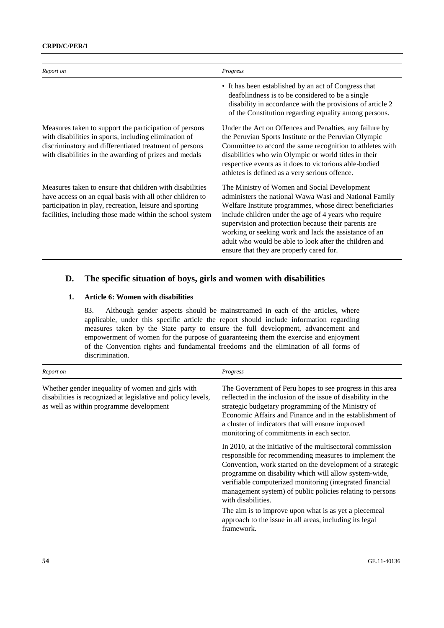| Report on                                                                                                                                                                                                                                    | Progress                                                                                                                                                                                                                                                                                                                                                                                                                                           |
|----------------------------------------------------------------------------------------------------------------------------------------------------------------------------------------------------------------------------------------------|----------------------------------------------------------------------------------------------------------------------------------------------------------------------------------------------------------------------------------------------------------------------------------------------------------------------------------------------------------------------------------------------------------------------------------------------------|
|                                                                                                                                                                                                                                              | • It has been established by an act of Congress that<br>deafblindness is to be considered to be a single<br>disability in accordance with the provisions of article 2<br>of the Constitution regarding equality among persons.                                                                                                                                                                                                                     |
| Measures taken to support the participation of persons<br>with disabilities in sports, including elimination of<br>discriminatory and differentiated treatment of persons<br>with disabilities in the awarding of prizes and medals          | Under the Act on Offences and Penalties, any failure by<br>the Peruvian Sports Institute or the Peruvian Olympic<br>Committee to accord the same recognition to athletes with<br>disabilities who win Olympic or world titles in their<br>respective events as it does to victorious able-bodied<br>athletes is defined as a very serious offence.                                                                                                 |
| Measures taken to ensure that children with disabilities<br>have access on an equal basis with all other children to<br>participation in play, recreation, leisure and sporting<br>facilities, including those made within the school system | The Ministry of Women and Social Development<br>administers the national Wawa Wasi and National Family<br>Welfare Institute programmes, whose direct beneficiaries<br>include children under the age of 4 years who require<br>supervision and protection because their parents are<br>working or seeking work and lack the assistance of an<br>adult who would be able to look after the children and<br>ensure that they are properly cared for. |

# **D. The specific situation of boys, girls and women with disabilities**

#### **1. Article 6: Women with disabilities**

83. Although gender aspects should be mainstreamed in each of the articles, where applicable, under this specific article the report should include information regarding measures taken by the State party to ensure the full development, advancement and empowerment of women for the purpose of guaranteeing them the exercise and enjoyment of the Convention rights and fundamental freedoms and the elimination of all forms of discrimination.

| Report on                                                                                                                                                    | Progress                                                                                                                                                                                                                                                                                                                                                                                   |
|--------------------------------------------------------------------------------------------------------------------------------------------------------------|--------------------------------------------------------------------------------------------------------------------------------------------------------------------------------------------------------------------------------------------------------------------------------------------------------------------------------------------------------------------------------------------|
| Whether gender inequality of women and girls with<br>disabilities is recognized at legislative and policy levels,<br>as well as within programme development | The Government of Peru hopes to see progress in this area<br>reflected in the inclusion of the issue of disability in the<br>strategic budgetary programming of the Ministry of<br>Economic Affairs and Finance and in the establishment of<br>a cluster of indicators that will ensure improved<br>monitoring of commitments in each sector.                                              |
|                                                                                                                                                              | In 2010, at the initiative of the multisectoral commission<br>responsible for recommending measures to implement the<br>Convention, work started on the development of a strategic<br>programme on disability which will allow system-wide,<br>verifiable computerized monitoring (integrated financial<br>management system) of public policies relating to persons<br>with disabilities. |
|                                                                                                                                                              | The aim is to improve upon what is as yet a piecemeal<br>approach to the issue in all areas, including its legal<br>framework.                                                                                                                                                                                                                                                             |
|                                                                                                                                                              |                                                                                                                                                                                                                                                                                                                                                                                            |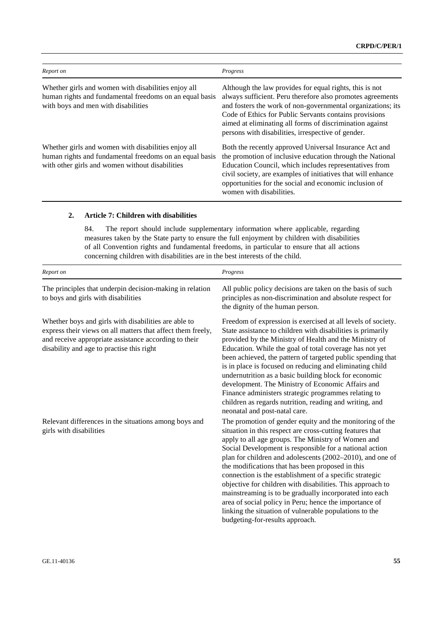| Report on                                                                                                                                                         | Progress                                                                                                                                                                                                                                                                                                                                                         |
|-------------------------------------------------------------------------------------------------------------------------------------------------------------------|------------------------------------------------------------------------------------------------------------------------------------------------------------------------------------------------------------------------------------------------------------------------------------------------------------------------------------------------------------------|
| Whether girls and women with disabilities enjoy all<br>human rights and fundamental freedoms on an equal basis<br>with boys and men with disabilities             | Although the law provides for equal rights, this is not<br>always sufficient. Peru therefore also promotes agreements<br>and fosters the work of non-governmental organizations; its<br>Code of Ethics for Public Servants contains provisions<br>aimed at eliminating all forms of discrimination against<br>persons with disabilities, irrespective of gender. |
| Whether girls and women with disabilities enjoy all<br>human rights and fundamental freedoms on an equal basis<br>with other girls and women without disabilities | Both the recently approved Universal Insurance Act and<br>the promotion of inclusive education through the National<br>Education Council, which includes representatives from<br>civil society, are examples of initiatives that will enhance<br>opportunities for the social and economic inclusion of<br>women with disabilities.                              |

#### **2. Article 7: Children with disabilities**

84. The report should include supplementary information where applicable, regarding measures taken by the State party to ensure the full enjoyment by children with disabilities of all Convention rights and fundamental freedoms, in particular to ensure that all actions concerning children with disabilities are in the best interests of the child.

| Report on                                                                                                                                                                                                                 | Progress                                                                                                                                                                                                                                                                                                                                                                                                                                                                                                                                                                                                                                                                                           |
|---------------------------------------------------------------------------------------------------------------------------------------------------------------------------------------------------------------------------|----------------------------------------------------------------------------------------------------------------------------------------------------------------------------------------------------------------------------------------------------------------------------------------------------------------------------------------------------------------------------------------------------------------------------------------------------------------------------------------------------------------------------------------------------------------------------------------------------------------------------------------------------------------------------------------------------|
| The principles that underpin decision-making in relation<br>to boys and girls with disabilities                                                                                                                           | All public policy decisions are taken on the basis of such<br>principles as non-discrimination and absolute respect for<br>the dignity of the human person.                                                                                                                                                                                                                                                                                                                                                                                                                                                                                                                                        |
| Whether boys and girls with disabilities are able to<br>express their views on all matters that affect them freely,<br>and receive appropriate assistance according to their<br>disability and age to practise this right | Freedom of expression is exercised at all levels of society.<br>State assistance to children with disabilities is primarily<br>provided by the Ministry of Health and the Ministry of<br>Education. While the goal of total coverage has not yet<br>been achieved, the pattern of targeted public spending that<br>is in place is focused on reducing and eliminating child<br>undernutrition as a basic building block for economic<br>development. The Ministry of Economic Affairs and<br>Finance administers strategic programmes relating to<br>children as regards nutrition, reading and writing, and<br>neonatal and post-natal care.                                                      |
| Relevant differences in the situations among boys and<br>girls with disabilities                                                                                                                                          | The promotion of gender equity and the monitoring of the<br>situation in this respect are cross-cutting features that<br>apply to all age groups. The Ministry of Women and<br>Social Development is responsible for a national action<br>plan for children and adolescents (2002–2010), and one of<br>the modifications that has been proposed in this<br>connection is the establishment of a specific strategic<br>objective for children with disabilities. This approach to<br>mainstreaming is to be gradually incorporated into each<br>area of social policy in Peru; hence the importance of<br>linking the situation of vulnerable populations to the<br>budgeting-for-results approach. |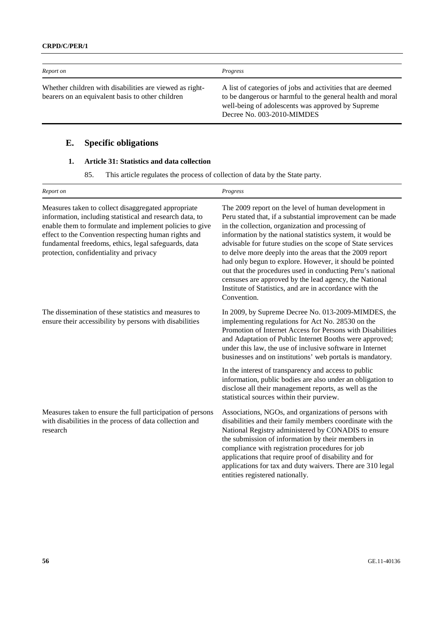| Report on                                                                                                   | Progress                                                                                                                                                                                                     |
|-------------------------------------------------------------------------------------------------------------|--------------------------------------------------------------------------------------------------------------------------------------------------------------------------------------------------------------|
| Whether children with disabilities are viewed as right-<br>bearers on an equivalent basis to other children | A list of categories of jobs and activities that are deemed<br>to be dangerous or harmful to the general health and moral<br>well-being of adolescents was approved by Supreme<br>Decree No. 003-2010-MIMDES |

# **E. Specific obligations**

# **1. Article 31: Statistics and data collection**

85. This article regulates the process of collection of data by the State party.

| Report on                                                                                                                                                                                                                                                                                                                             | Progress                                                                                                                                                                                                                                                                                                                                                                                                                                                                                                                                                                                                                       |
|---------------------------------------------------------------------------------------------------------------------------------------------------------------------------------------------------------------------------------------------------------------------------------------------------------------------------------------|--------------------------------------------------------------------------------------------------------------------------------------------------------------------------------------------------------------------------------------------------------------------------------------------------------------------------------------------------------------------------------------------------------------------------------------------------------------------------------------------------------------------------------------------------------------------------------------------------------------------------------|
| Measures taken to collect disaggregated appropriate<br>information, including statistical and research data, to<br>enable them to formulate and implement policies to give<br>effect to the Convention respecting human rights and<br>fundamental freedoms, ethics, legal safeguards, data<br>protection, confidentiality and privacy | The 2009 report on the level of human development in<br>Peru stated that, if a substantial improvement can be made<br>in the collection, organization and processing of<br>information by the national statistics system, it would be<br>advisable for future studies on the scope of State services<br>to delve more deeply into the areas that the 2009 report<br>had only begun to explore. However, it should be pointed<br>out that the procedures used in conducting Peru's national<br>censuses are approved by the lead agency, the National<br>Institute of Statistics, and are in accordance with the<br>Convention. |
| The dissemination of these statistics and measures to<br>ensure their accessibility by persons with disabilities                                                                                                                                                                                                                      | In 2009, by Supreme Decree No. 013-2009-MIMDES, the<br>implementing regulations for Act No. 28530 on the<br>Promotion of Internet Access for Persons with Disabilities<br>and Adaptation of Public Internet Booths were approved;<br>under this law, the use of inclusive software in Internet<br>businesses and on institutions' web portals is mandatory.                                                                                                                                                                                                                                                                    |
|                                                                                                                                                                                                                                                                                                                                       | In the interest of transparency and access to public<br>information, public bodies are also under an obligation to<br>disclose all their management reports, as well as the<br>statistical sources within their purview.                                                                                                                                                                                                                                                                                                                                                                                                       |
| Measures taken to ensure the full participation of persons<br>with disabilities in the process of data collection and<br>research                                                                                                                                                                                                     | Associations, NGOs, and organizations of persons with<br>disabilities and their family members coordinate with the<br>National Registry administered by CONADIS to ensure<br>the submission of information by their members in<br>compliance with registration procedures for job<br>applications that require proof of disability and for<br>applications for tax and duty waivers. There are 310 legal<br>entities registered nationally.                                                                                                                                                                                    |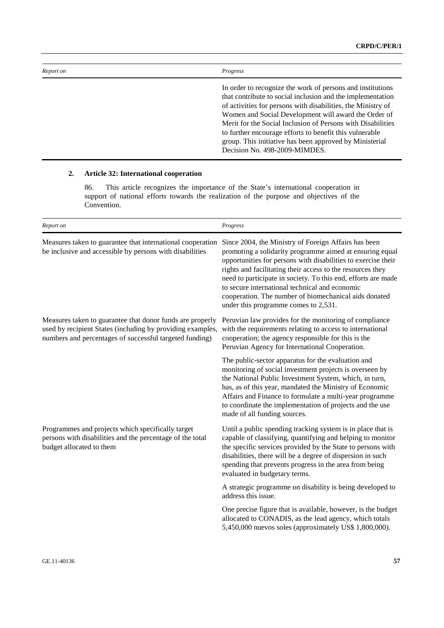| Report on | Progress                                                                                                                                                                                                                                                                                                                                                                                                                                                               |
|-----------|------------------------------------------------------------------------------------------------------------------------------------------------------------------------------------------------------------------------------------------------------------------------------------------------------------------------------------------------------------------------------------------------------------------------------------------------------------------------|
|           | In order to recognize the work of persons and institutions<br>that contribute to social inclusion and the implementation<br>of activities for persons with disabilities, the Ministry of<br>Women and Social Development will award the Order of<br>Merit for the Social Inclusion of Persons with Disabilities<br>to further encourage efforts to benefit this vulnerable<br>group. This initiative has been approved by Ministerial<br>Decision No. 498-2009-MIMDES. |

### **2. Article 32: International cooperation**

86. This article recognizes the importance of the State's international cooperation in support of national efforts towards the realization of the purpose and objectives of the Convention.

| Report on                                                                                                                                                                          | Progress                                                                                                                                                                                                                                                                                                                                                                                                                                                            |
|------------------------------------------------------------------------------------------------------------------------------------------------------------------------------------|---------------------------------------------------------------------------------------------------------------------------------------------------------------------------------------------------------------------------------------------------------------------------------------------------------------------------------------------------------------------------------------------------------------------------------------------------------------------|
| Measures taken to guarantee that international cooperation<br>be inclusive and accessible by persons with disabilities                                                             | Since 2004, the Ministry of Foreign Affairs has been<br>promoting a solidarity programme aimed at ensuring equal<br>opportunities for persons with disabilities to exercise their<br>rights and facilitating their access to the resources they<br>need to participate in society. To this end, efforts are made<br>to secure international technical and economic<br>cooperation. The number of biomechanical aids donated<br>under this programme comes to 2,531. |
| Measures taken to guarantee that donor funds are properly<br>used by recipient States (including by providing examples,<br>numbers and percentages of successful targeted funding) | Peruvian law provides for the monitoring of compliance<br>with the requirements relating to access to international<br>cooperation; the agency responsible for this is the<br>Peruvian Agency for International Cooperation.                                                                                                                                                                                                                                        |
|                                                                                                                                                                                    | The public-sector apparatus for the evaluation and<br>monitoring of social investment projects is overseen by<br>the National Public Investment System, which, in turn,<br>has, as of this year, mandated the Ministry of Economic<br>Affairs and Finance to formulate a multi-year programme<br>to coordinate the implementation of projects and the use<br>made of all funding sources.                                                                           |
| Programmes and projects which specifically target<br>persons with disabilities and the percentage of the total<br>budget allocated to them                                         | Until a public spending tracking system is in place that is<br>capable of classifying, quantifying and helping to monitor<br>the specific services provided by the State to persons with<br>disabilities, there will be a degree of dispersion in such<br>spending that prevents progress in the area from being<br>evaluated in budgetary terms.                                                                                                                   |
|                                                                                                                                                                                    | A strategic programme on disability is being developed to<br>address this issue.                                                                                                                                                                                                                                                                                                                                                                                    |
|                                                                                                                                                                                    | One precise figure that is available, however, is the budget<br>allocated to CONADIS, as the lead agency, which totals<br>5,450,000 nuevos soles (approximately US\$ 1,800,000).                                                                                                                                                                                                                                                                                    |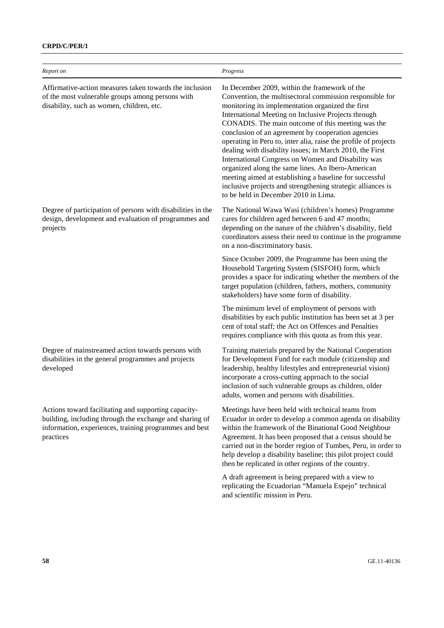### **CRPD/C/PER/1**

| Report on                                                                                                                                                                              | Progress                                                                                                                                                                                                                                                                                                                                                                                                                                                                                                                                                                                                                                                                                                                                     |
|----------------------------------------------------------------------------------------------------------------------------------------------------------------------------------------|----------------------------------------------------------------------------------------------------------------------------------------------------------------------------------------------------------------------------------------------------------------------------------------------------------------------------------------------------------------------------------------------------------------------------------------------------------------------------------------------------------------------------------------------------------------------------------------------------------------------------------------------------------------------------------------------------------------------------------------------|
| Affirmative-action measures taken towards the inclusion<br>of the most vulnerable groups among persons with<br>disability, such as women, children, etc.                               | In December 2009, within the framework of the<br>Convention, the multisectoral commission responsible for<br>monitoring its implementation organized the first<br>International Meeting on Inclusive Projects through<br>CONADIS. The main outcome of this meeting was the<br>conclusion of an agreement by cooperation agencies<br>operating in Peru to, inter alia, raise the profile of projects<br>dealing with disability issues; in March 2010, the First<br>International Congress on Women and Disability was<br>organized along the same lines. An Ibero-American<br>meeting aimed at establishing a baseline for successful<br>inclusive projects and strengthening strategic alliances is<br>to be held in December 2010 in Lima. |
| Degree of participation of persons with disabilities in the<br>design, development and evaluation of programmes and<br>projects                                                        | The National Wawa Wasi (children's homes) Programme<br>cares for children aged between 6 and 47 months;<br>depending on the nature of the children's disability, field<br>coordinators assess their need to continue in the programme<br>on a non-discriminatory basis.                                                                                                                                                                                                                                                                                                                                                                                                                                                                      |
|                                                                                                                                                                                        | Since October 2009, the Programme has been using the<br>Household Targeting System (SISFOH) form, which<br>provides a space for indicating whether the members of the<br>target population (children, fathers, mothers, community<br>stakeholders) have some form of disability.                                                                                                                                                                                                                                                                                                                                                                                                                                                             |
|                                                                                                                                                                                        | The minimum level of employment of persons with<br>disabilities by each public institution has been set at 3 per<br>cent of total staff; the Act on Offences and Penalties<br>requires compliance with this quota as from this year.                                                                                                                                                                                                                                                                                                                                                                                                                                                                                                         |
| Degree of mainstreamed action towards persons with<br>disabilities in the general programmes and projects<br>developed                                                                 | Training materials prepared by the National Cooperation<br>for Development Fund for each module (citizenship and<br>leadership, healthy lifestyles and entrepreneurial vision)<br>incorporate a cross-cutting approach to the social<br>inclusion of such vulnerable groups as children, older<br>adults, women and persons with disabilities.                                                                                                                                                                                                                                                                                                                                                                                               |
| Actions toward facilitating and supporting capacity-<br>building, including through the exchange and sharing of<br>information, experiences, training programmes and best<br>practices | Meetings have been held with technical teams from<br>Ecuador in order to develop a common agenda on disability<br>within the framework of the Binational Good Neighbour<br>Agreement. It has been proposed that a census should be<br>carried out in the border region of Tumbes, Peru, in order to<br>help develop a disability baseline; this pilot project could<br>then be replicated in other regions of the country.<br>A draft agreement is being prepared with a view to<br>replicating the Ecuadorian "Manuela Espejo" technical<br>and scientific mission in Peru.                                                                                                                                                                 |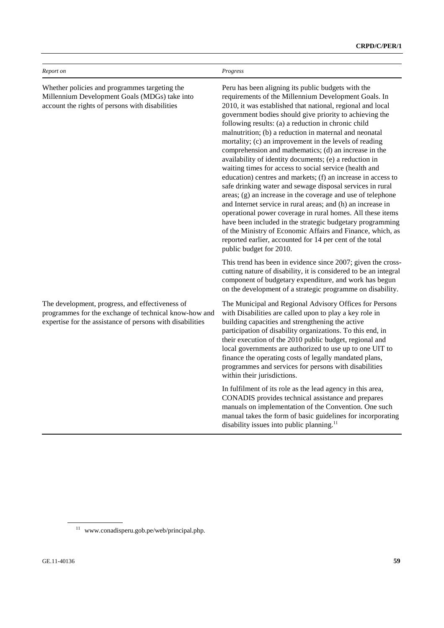| Report on                                                                                                                                                             | Progress                                                                                                                                                                                                                                                                                                                                                                                                                                                                                                                                                                                                                                                                                                                                                                                                                                                                                                                                                                                                                                                                                                                               |
|-----------------------------------------------------------------------------------------------------------------------------------------------------------------------|----------------------------------------------------------------------------------------------------------------------------------------------------------------------------------------------------------------------------------------------------------------------------------------------------------------------------------------------------------------------------------------------------------------------------------------------------------------------------------------------------------------------------------------------------------------------------------------------------------------------------------------------------------------------------------------------------------------------------------------------------------------------------------------------------------------------------------------------------------------------------------------------------------------------------------------------------------------------------------------------------------------------------------------------------------------------------------------------------------------------------------------|
| Whether policies and programmes targeting the<br>Millennium Development Goals (MDGs) take into<br>account the rights of persons with disabilities                     | Peru has been aligning its public budgets with the<br>requirements of the Millennium Development Goals. In<br>2010, it was established that national, regional and local<br>government bodies should give priority to achieving the<br>following results: (a) a reduction in chronic child<br>malnutrition; (b) a reduction in maternal and neonatal<br>mortality; (c) an improvement in the levels of reading<br>comprehension and mathematics; (d) an increase in the<br>availability of identity documents; (e) a reduction in<br>waiting times for access to social service (health and<br>education) centres and markets; (f) an increase in access to<br>safe drinking water and sewage disposal services in rural<br>areas; (g) an increase in the coverage and use of telephone<br>and Internet service in rural areas; and (h) an increase in<br>operational power coverage in rural homes. All these items<br>have been included in the strategic budgetary programming<br>of the Ministry of Economic Affairs and Finance, which, as<br>reported earlier, accounted for 14 per cent of the total<br>public budget for 2010. |
|                                                                                                                                                                       | This trend has been in evidence since 2007; given the cross-<br>cutting nature of disability, it is considered to be an integral<br>component of budgetary expenditure, and work has begun<br>on the development of a strategic programme on disability.                                                                                                                                                                                                                                                                                                                                                                                                                                                                                                                                                                                                                                                                                                                                                                                                                                                                               |
| The development, progress, and effectiveness of<br>programmes for the exchange of technical know-how and<br>expertise for the assistance of persons with disabilities | The Municipal and Regional Advisory Offices for Persons<br>with Disabilities are called upon to play a key role in<br>building capacities and strengthening the active<br>participation of disability organizations. To this end, in<br>their execution of the 2010 public budget, regional and<br>local governments are authorized to use up to one UIT to<br>finance the operating costs of legally mandated plans,<br>programmes and services for persons with disabilities<br>within their jurisdictions.                                                                                                                                                                                                                                                                                                                                                                                                                                                                                                                                                                                                                          |
|                                                                                                                                                                       | In fulfilment of its role as the lead agency in this area,<br>CONADIS provides technical assistance and prepares<br>manuals on implementation of the Convention. One such<br>manual takes the form of basic guidelines for incorporating<br>disability issues into public planning. $11$                                                                                                                                                                                                                                                                                                                                                                                                                                                                                                                                                                                                                                                                                                                                                                                                                                               |

11 www.conadisperu.gob.pe/web/principal.php.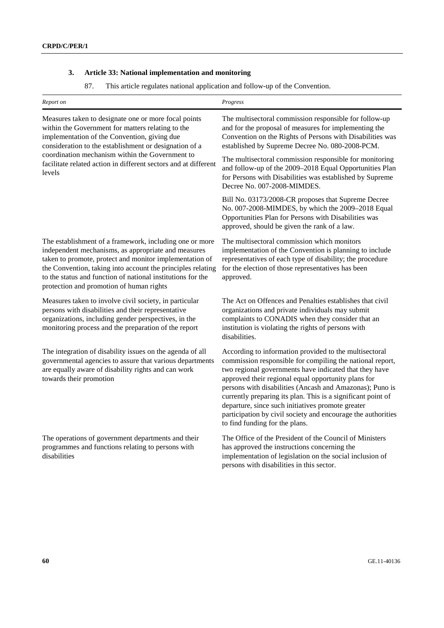# **3. Article 33: National implementation and monitoring**

87. This article regulates national application and follow-up of the Convention.

| Report on                                                                                                                                                                                                                                                                                                                                           | Progress                                                                                                                                                                                                                                                                                                                                                                                                                                                                                                                |
|-----------------------------------------------------------------------------------------------------------------------------------------------------------------------------------------------------------------------------------------------------------------------------------------------------------------------------------------------------|-------------------------------------------------------------------------------------------------------------------------------------------------------------------------------------------------------------------------------------------------------------------------------------------------------------------------------------------------------------------------------------------------------------------------------------------------------------------------------------------------------------------------|
| Measures taken to designate one or more focal points<br>within the Government for matters relating to the<br>implementation of the Convention, giving due<br>consideration to the establishment or designation of a<br>coordination mechanism within the Government to<br>facilitate related action in different sectors and at different<br>levels | The multisectoral commission responsible for follow-up<br>and for the proposal of measures for implementing the<br>Convention on the Rights of Persons with Disabilities was<br>established by Supreme Decree No. 080-2008-PCM.                                                                                                                                                                                                                                                                                         |
|                                                                                                                                                                                                                                                                                                                                                     | The multisectoral commission responsible for monitoring<br>and follow-up of the 2009-2018 Equal Opportunities Plan<br>for Persons with Disabilities was established by Supreme<br>Decree No. 007-2008-MIMDES.                                                                                                                                                                                                                                                                                                           |
|                                                                                                                                                                                                                                                                                                                                                     | Bill No. 03173/2008-CR proposes that Supreme Decree<br>No. 007-2008-MIMDES, by which the 2009-2018 Equal<br>Opportunities Plan for Persons with Disabilities was<br>approved, should be given the rank of a law.                                                                                                                                                                                                                                                                                                        |
| The establishment of a framework, including one or more<br>independent mechanisms, as appropriate and measures<br>taken to promote, protect and monitor implementation of<br>the Convention, taking into account the principles relating<br>to the status and function of national institutions for the<br>protection and promotion of human rights | The multisectoral commission which monitors<br>implementation of the Convention is planning to include<br>representatives of each type of disability; the procedure<br>for the election of those representatives has been<br>approved.                                                                                                                                                                                                                                                                                  |
| Measures taken to involve civil society, in particular<br>persons with disabilities and their representative<br>organizations, including gender perspectives, in the<br>monitoring process and the preparation of the report                                                                                                                        | The Act on Offences and Penalties establishes that civil<br>organizations and private individuals may submit<br>complaints to CONADIS when they consider that an<br>institution is violating the rights of persons with<br>disabilities.                                                                                                                                                                                                                                                                                |
| The integration of disability issues on the agenda of all<br>governmental agencies to assure that various departments<br>are equally aware of disability rights and can work<br>towards their promotion                                                                                                                                             | According to information provided to the multisectoral<br>commission responsible for compiling the national report,<br>two regional governments have indicated that they have<br>approved their regional equal opportunity plans for<br>persons with disabilities (Ancash and Amazonas); Puno is<br>currently preparing its plan. This is a significant point of<br>departure, since such initiatives promote greater<br>participation by civil society and encourage the authorities<br>to find funding for the plans. |
| The operations of government departments and their<br>programmes and functions relating to persons with<br>disabilities                                                                                                                                                                                                                             | The Office of the President of the Council of Ministers<br>has approved the instructions concerning the<br>implementation of legislation on the social inclusion of<br>persons with disabilities in this sector.                                                                                                                                                                                                                                                                                                        |
|                                                                                                                                                                                                                                                                                                                                                     |                                                                                                                                                                                                                                                                                                                                                                                                                                                                                                                         |